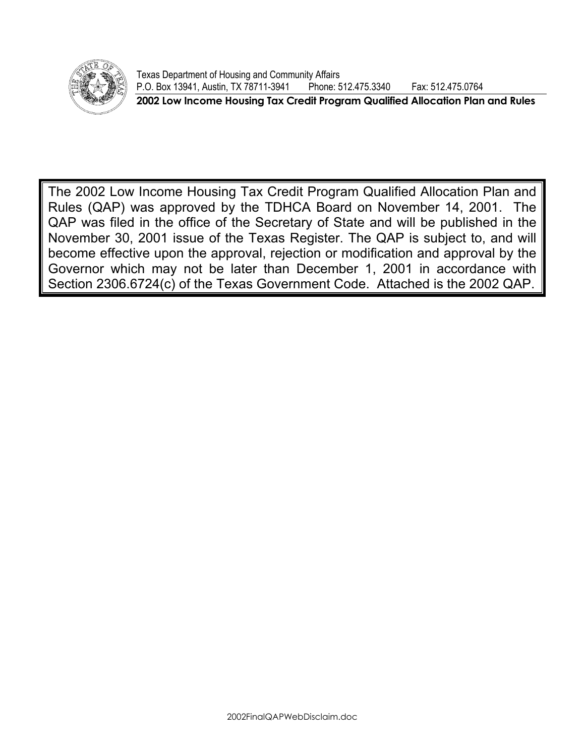

Texas Department of Housing and Community Affairs P.O. Box 13941, Austin, TX 78711-3941 Phone: 512.475.3340 Fax: 512.475.0764 **2002 Low Income Housing Tax Credit Program Qualified Allocation Plan and Rules** 

The 2002 Low Income Housing Tax Credit Program Qualified Allocation Plan and Rules (QAP) was approved by the TDHCA Board on November 14, 2001. The QAP was filed in the office of the Secretary of State and will be published in the November 30, 2001 issue of the Texas Register. The QAP is subject to, and will become effective upon the approval, rejection or modification and approval by the Governor which may not be later than December 1, 2001 in accordance with Section 2306.6724(c) of the Texas Government Code. Attached is the 2002 QAP.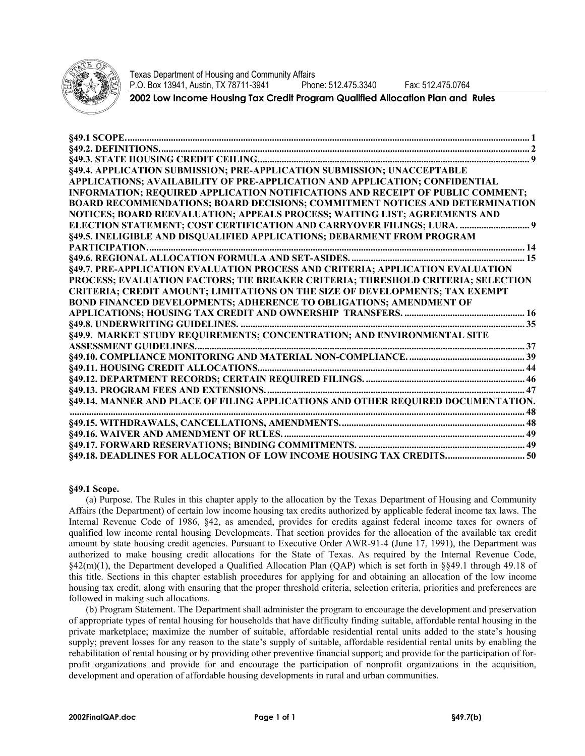

Texas Department of Housing and Community Affairs P.O. Box 13941, Austin, TX 78711-3941 Phone: 512.475.3340 Fax: 512.475.0764

**2002 Low Income Housing Tax Credit Program Qualified Allocation Plan and Rules** 

| §49.4. APPLICATION SUBMISSION; PRE-APPLICATION SUBMISSION; UNACCEPTABLE             |  |
|-------------------------------------------------------------------------------------|--|
| APPLICATIONS; AVAILABILITY OF PRE-APPLICATION AND APPLICATION; CONFIDENTIAL         |  |
| INFORMATION; REQUIRED APPLICATION NOTIFICATIONS AND RECEIPT OF PUBLIC COMMENT;      |  |
| <b>BOARD RECOMMENDATIONS; BOARD DECISIONS; COMMITMENT NOTICES AND DETERMINATION</b> |  |
| NOTICES; BOARD REEVALUATION; APPEALS PROCESS; WAITING LIST; AGREEMENTS AND          |  |
| ELECTION STATEMENT; COST CERTIFICATION AND CARRYOVER FILINGS; LURA.  9              |  |
| §49.5. INELIGIBLE AND DISQUALIFIED APPLICATIONS; DEBARMENT FROM PROGRAM             |  |
|                                                                                     |  |
|                                                                                     |  |
| §49.7. PRE-APPLICATION EVALUATION PROCESS AND CRITERIA; APPLICATION EVALUATION      |  |
| PROCESS; EVALUATION FACTORS; TIE BREAKER CRITERIA; THRESHOLD CRITERIA; SELECTION    |  |
| <b>CRITERIA; CREDIT AMOUNT; LIMITATIONS ON THE SIZE OF DEVELOPMENTS; TAX EXEMPT</b> |  |
| <b>BOND FINANCED DEVELOPMENTS; ADHERENCE TO OBLIGATIONS; AMENDMENT OF</b>           |  |
|                                                                                     |  |
|                                                                                     |  |
| §49.9. MARKET STUDY REQUIREMENTS; CONCENTRATION; AND ENVIRONMENTAL SITE             |  |
|                                                                                     |  |
|                                                                                     |  |
|                                                                                     |  |
|                                                                                     |  |
|                                                                                     |  |
| §49.14. MANNER AND PLACE OF FILING APPLICATIONS AND OTHER REQUIRED DOCUMENTATION.   |  |
|                                                                                     |  |
|                                                                                     |  |
|                                                                                     |  |
|                                                                                     |  |
| §49.18. DEADLINES FOR ALLOCATION OF LOW INCOME HOUSING TAX CREDITS 50               |  |

## **§49.1 Scope.**

(a) Purpose. The Rules in this chapter apply to the allocation by the Texas Department of Housing and Community Affairs (the Department) of certain low income housing tax credits authorized by applicable federal income tax laws. The Internal Revenue Code of 1986, §42, as amended, provides for credits against federal income taxes for owners of qualified low income rental housing Developments. That section provides for the allocation of the available tax credit amount by state housing credit agencies. Pursuant to Executive Order AWR-91-4 (June 17, 1991), the Department was authorized to make housing credit allocations for the State of Texas. As required by the Internal Revenue Code, §42(m)(1), the Department developed a Qualified Allocation Plan (QAP) which is set forth in §§49.1 through 49.18 of this title. Sections in this chapter establish procedures for applying for and obtaining an allocation of the low income housing tax credit, along with ensuring that the proper threshold criteria, selection criteria, priorities and preferences are followed in making such allocations.

(b) Program Statement. The Department shall administer the program to encourage the development and preservation of appropriate types of rental housing for households that have difficulty finding suitable, affordable rental housing in the private marketplace; maximize the number of suitable, affordable residential rental units added to the state's housing supply; prevent losses for any reason to the state's supply of suitable, affordable residential rental units by enabling the rehabilitation of rental housing or by providing other preventive financial support; and provide for the participation of forprofit organizations and provide for and encourage the participation of nonprofit organizations in the acquisition, development and operation of affordable housing developments in rural and urban communities.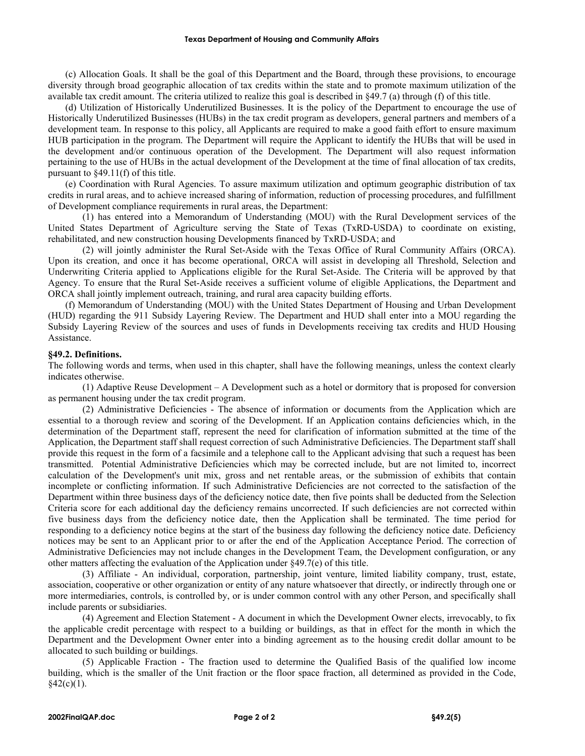#### **Texas Department of Housing and Community Affairs**

(c) Allocation Goals. It shall be the goal of this Department and the Board, through these provisions, to encourage diversity through broad geographic allocation of tax credits within the state and to promote maximum utilization of the available tax credit amount. The criteria utilized to realize this goal is described in §49.7 (a) through (f) of this title.

(d) Utilization of Historically Underutilized Businesses. It is the policy of the Department to encourage the use of Historically Underutilized Businesses (HUBs) in the tax credit program as developers, general partners and members of a development team. In response to this policy, all Applicants are required to make a good faith effort to ensure maximum HUB participation in the program. The Department will require the Applicant to identify the HUBs that will be used in the development and/or continuous operation of the Development. The Department will also request information pertaining to the use of HUBs in the actual development of the Development at the time of final allocation of tax credits, pursuant to §49.11(f) of this title.

(e) Coordination with Rural Agencies. To assure maximum utilization and optimum geographic distribution of tax credits in rural areas, and to achieve increased sharing of information, reduction of processing procedures, and fulfillment of Development compliance requirements in rural areas, the Department:

(1) has entered into a Memorandum of Understanding (MOU) with the Rural Development services of the United States Department of Agriculture serving the State of Texas (TxRD-USDA) to coordinate on existing, rehabilitated, and new construction housing Developments financed by TxRD-USDA; and

(2) will jointly administer the Rural Set-Aside with the Texas Office of Rural Community Affairs (ORCA). Upon its creation, and once it has become operational, ORCA will assist in developing all Threshold, Selection and Underwriting Criteria applied to Applications eligible for the Rural Set-Aside. The Criteria will be approved by that Agency. To ensure that the Rural Set-Aside receives a sufficient volume of eligible Applications, the Department and ORCA shall jointly implement outreach, training, and rural area capacity building efforts.

(f) Memorandum of Understanding (MOU) with the United States Department of Housing and Urban Development (HUD) regarding the 911 Subsidy Layering Review. The Department and HUD shall enter into a MOU regarding the Subsidy Layering Review of the sources and uses of funds in Developments receiving tax credits and HUD Housing Assistance.

### **§49.2. Definitions.**

The following words and terms, when used in this chapter, shall have the following meanings, unless the context clearly indicates otherwise.

(1) Adaptive Reuse Development – A Development such as a hotel or dormitory that is proposed for conversion as permanent housing under the tax credit program.

(2) Administrative Deficiencies - The absence of information or documents from the Application which are essential to a thorough review and scoring of the Development. If an Application contains deficiencies which, in the determination of the Department staff, represent the need for clarification of information submitted at the time of the Application, the Department staff shall request correction of such Administrative Deficiencies. The Department staff shall provide this request in the form of a facsimile and a telephone call to the Applicant advising that such a request has been transmitted. Potential Administrative Deficiencies which may be corrected include, but are not limited to, incorrect calculation of the Development's unit mix, gross and net rentable areas, or the submission of exhibits that contain incomplete or conflicting information. If such Administrative Deficiencies are not corrected to the satisfaction of the Department within three business days of the deficiency notice date, then five points shall be deducted from the Selection Criteria score for each additional day the deficiency remains uncorrected. If such deficiencies are not corrected within five business days from the deficiency notice date, then the Application shall be terminated. The time period for responding to a deficiency notice begins at the start of the business day following the deficiency notice date. Deficiency notices may be sent to an Applicant prior to or after the end of the Application Acceptance Period. The correction of Administrative Deficiencies may not include changes in the Development Team, the Development configuration, or any other matters affecting the evaluation of the Application under §49.7(e) of this title.

(3) Affiliate - An individual, corporation, partnership, joint venture, limited liability company, trust, estate, association, cooperative or other organization or entity of any nature whatsoever that directly, or indirectly through one or more intermediaries, controls, is controlled by, or is under common control with any other Person, and specifically shall include parents or subsidiaries.

(4) Agreement and Election Statement - A document in which the Development Owner elects, irrevocably, to fix the applicable credit percentage with respect to a building or buildings, as that in effect for the month in which the Department and the Development Owner enter into a binding agreement as to the housing credit dollar amount to be allocated to such building or buildings.

(5) Applicable Fraction - The fraction used to determine the Qualified Basis of the qualified low income building, which is the smaller of the Unit fraction or the floor space fraction, all determined as provided in the Code,  $§42(c)(1)$ .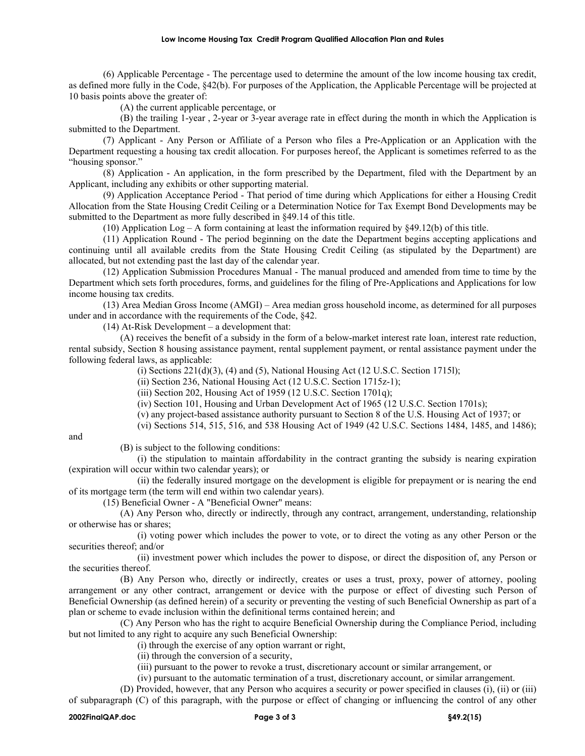(6) Applicable Percentage - The percentage used to determine the amount of the low income housing tax credit, as defined more fully in the Code, §42(b). For purposes of the Application, the Applicable Percentage will be projected at 10 basis points above the greater of:

(A) the current applicable percentage, or

(B) the trailing 1-year , 2-year or 3-year average rate in effect during the month in which the Application is submitted to the Department.

(7) Applicant - Any Person or Affiliate of a Person who files a Pre-Application or an Application with the Department requesting a housing tax credit allocation. For purposes hereof, the Applicant is sometimes referred to as the "housing sponsor."

(8) Application - An application, in the form prescribed by the Department, filed with the Department by an Applicant, including any exhibits or other supporting material.

(9) Application Acceptance Period - That period of time during which Applications for either a Housing Credit Allocation from the State Housing Credit Ceiling or a Determination Notice for Tax Exempt Bond Developments may be submitted to the Department as more fully described in §49.14 of this title.

(10) Application Log – A form containing at least the information required by §49.12(b) of this title.

(11) Application Round - The period beginning on the date the Department begins accepting applications and continuing until all available credits from the State Housing Credit Ceiling (as stipulated by the Department) are allocated, but not extending past the last day of the calendar year.

(12) Application Submission Procedures Manual - The manual produced and amended from time to time by the Department which sets forth procedures, forms, and guidelines for the filing of Pre-Applications and Applications for low income housing tax credits.

(13) Area Median Gross Income (AMGI) – Area median gross household income, as determined for all purposes under and in accordance with the requirements of the Code, §42.

(14) At-Risk Development – a development that:

(A) receives the benefit of a subsidy in the form of a below-market interest rate loan, interest rate reduction, rental subsidy, Section 8 housing assistance payment, rental supplement payment, or rental assistance payment under the following federal laws, as applicable:

(i) Sections  $221(d)(3)$ , (4) and (5), National Housing Act (12 U.S.C. Section 1715l);

(ii) Section 236, National Housing Act (12 U.S.C. Section 1715z-1);

(iii) Section 202, Housing Act of 1959 (12 U.S.C. Section 1701q);

(iv) Section 101, Housing and Urban Development Act of 1965 (12 U.S.C. Section 1701s);

(v) any project-based assistance authority pursuant to Section 8 of the U.S. Housing Act of 1937; or

(vi) Sections 514, 515, 516, and 538 Housing Act of 1949 (42 U.S.C. Sections 1484, 1485, and 1486);

and

(B) is subject to the following conditions:

(i) the stipulation to maintain affordability in the contract granting the subsidy is nearing expiration (expiration will occur within two calendar years); or

(ii) the federally insured mortgage on the development is eligible for prepayment or is nearing the end of its mortgage term (the term will end within two calendar years).

(15) Beneficial Owner - A "Beneficial Owner" means:

(A) Any Person who, directly or indirectly, through any contract, arrangement, understanding, relationship or otherwise has or shares;

(i) voting power which includes the power to vote, or to direct the voting as any other Person or the securities thereof; and/or

(ii) investment power which includes the power to dispose, or direct the disposition of, any Person or the securities thereof.

(B) Any Person who, directly or indirectly, creates or uses a trust, proxy, power of attorney, pooling arrangement or any other contract, arrangement or device with the purpose or effect of divesting such Person of Beneficial Ownership (as defined herein) of a security or preventing the vesting of such Beneficial Ownership as part of a plan or scheme to evade inclusion within the definitional terms contained herein; and

(C) Any Person who has the right to acquire Beneficial Ownership during the Compliance Period, including but not limited to any right to acquire any such Beneficial Ownership:

(i) through the exercise of any option warrant or right,

(ii) through the conversion of a security,

(iii) pursuant to the power to revoke a trust, discretionary account or similar arrangement, or

(iv) pursuant to the automatic termination of a trust, discretionary account, or similar arrangement.

(D) Provided, however, that any Person who acquires a security or power specified in clauses (i), (ii) or (iii) of subparagraph (C) of this paragraph, with the purpose or effect of changing or influencing the control of any other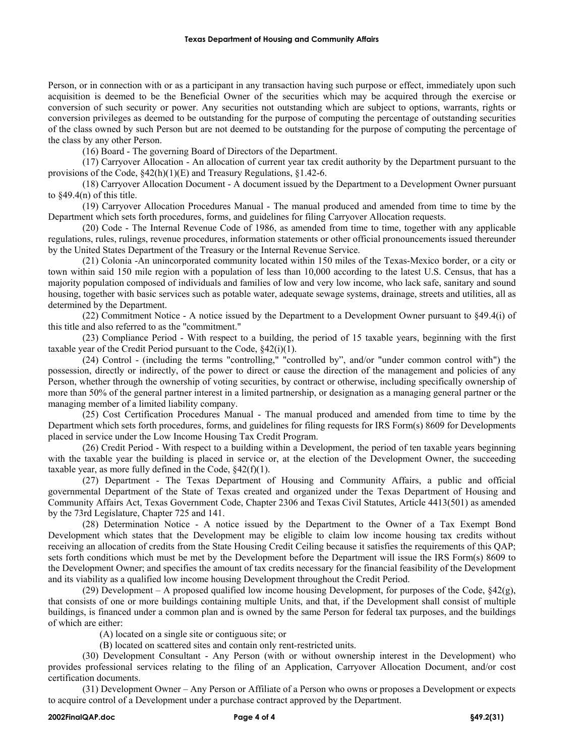Person, or in connection with or as a participant in any transaction having such purpose or effect, immediately upon such acquisition is deemed to be the Beneficial Owner of the securities which may be acquired through the exercise or conversion of such security or power. Any securities not outstanding which are subject to options, warrants, rights or conversion privileges as deemed to be outstanding for the purpose of computing the percentage of outstanding securities of the class owned by such Person but are not deemed to be outstanding for the purpose of computing the percentage of the class by any other Person.

(16) Board - The governing Board of Directors of the Department.

(17) Carryover Allocation - An allocation of current year tax credit authority by the Department pursuant to the provisions of the Code, §42(h)(1)(E) and Treasury Regulations, §1.42-6.

(18) Carryover Allocation Document - A document issued by the Department to a Development Owner pursuant to §49.4(n) of this title.

(19) Carryover Allocation Procedures Manual - The manual produced and amended from time to time by the Department which sets forth procedures, forms, and guidelines for filing Carryover Allocation requests.

(20) Code - The Internal Revenue Code of 1986, as amended from time to time, together with any applicable regulations, rules, rulings, revenue procedures, information statements or other official pronouncements issued thereunder by the United States Department of the Treasury or the Internal Revenue Service.

(21) Colonia -An unincorporated community located within 150 miles of the Texas-Mexico border, or a city or town within said 150 mile region with a population of less than 10,000 according to the latest U.S. Census, that has a majority population composed of individuals and families of low and very low income, who lack safe, sanitary and sound housing, together with basic services such as potable water, adequate sewage systems, drainage, streets and utilities, all as determined by the Department.

(22) Commitment Notice - A notice issued by the Department to a Development Owner pursuant to §49.4(i) of this title and also referred to as the "commitment."

(23) Compliance Period - With respect to a building, the period of 15 taxable years, beginning with the first taxable year of the Credit Period pursuant to the Code, §42(i)(1).

(24) Control - (including the terms "controlling," "controlled by", and/or "under common control with") the possession, directly or indirectly, of the power to direct or cause the direction of the management and policies of any Person, whether through the ownership of voting securities, by contract or otherwise, including specifically ownership of more than 50% of the general partner interest in a limited partnership, or designation as a managing general partner or the managing member of a limited liability company.

(25) Cost Certification Procedures Manual - The manual produced and amended from time to time by the Department which sets forth procedures, forms, and guidelines for filing requests for IRS Form(s) 8609 for Developments placed in service under the Low Income Housing Tax Credit Program.

(26) Credit Period - With respect to a building within a Development, the period of ten taxable years beginning with the taxable year the building is placed in service or, at the election of the Development Owner, the succeeding taxable year, as more fully defined in the Code,  $§42(f)(1)$ .

(27) Department - The Texas Department of Housing and Community Affairs, a public and official governmental Department of the State of Texas created and organized under the Texas Department of Housing and Community Affairs Act, Texas Government Code, Chapter 2306 and Texas Civil Statutes, Article 4413(501) as amended by the 73rd Legislature, Chapter 725 and 141.

(28) Determination Notice - A notice issued by the Department to the Owner of a Tax Exempt Bond Development which states that the Development may be eligible to claim low income housing tax credits without receiving an allocation of credits from the State Housing Credit Ceiling because it satisfies the requirements of this QAP; sets forth conditions which must be met by the Development before the Department will issue the IRS Form(s) 8609 to the Development Owner; and specifies the amount of tax credits necessary for the financial feasibility of the Development and its viability as a qualified low income housing Development throughout the Credit Period.

(29) Development – A proposed qualified low income housing Development, for purposes of the Code,  $\S42(g)$ , that consists of one or more buildings containing multiple Units, and that, if the Development shall consist of multiple buildings, is financed under a common plan and is owned by the same Person for federal tax purposes, and the buildings of which are either:

(A) located on a single site or contiguous site; or

(B) located on scattered sites and contain only rent-restricted units.

(30) Development Consultant - Any Person (with or without ownership interest in the Development) who provides professional services relating to the filing of an Application, Carryover Allocation Document, and/or cost certification documents.

(31) Development Owner – Any Person or Affiliate of a Person who owns or proposes a Development or expects to acquire control of a Development under a purchase contract approved by the Department.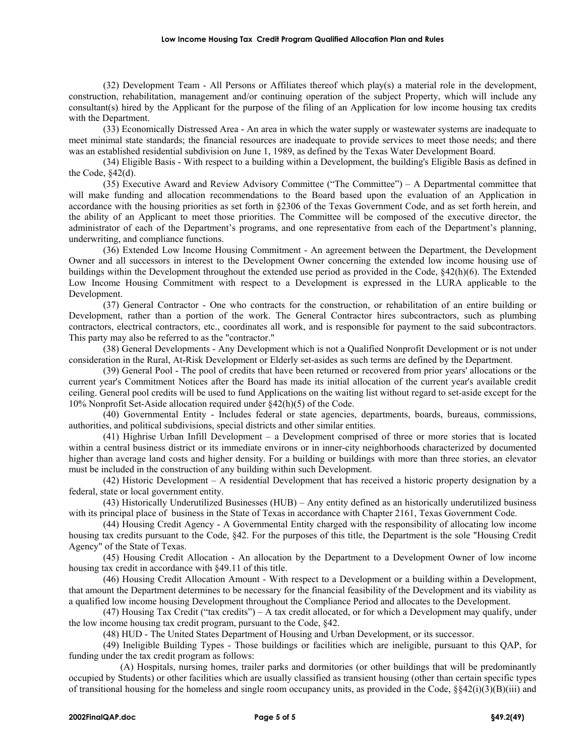(32) Development Team - All Persons or Affiliates thereof which play(s) a material role in the development, construction, rehabilitation, management and/or continuing operation of the subject Property, which will include any consultant(s) hired by the Applicant for the purpose of the filing of an Application for low income housing tax credits with the Department.

(33) Economically Distressed Area - An area in which the water supply or wastewater systems are inadequate to meet minimal state standards; the financial resources are inadequate to provide services to meet those needs; and there was an established residential subdivision on June 1, 1989, as defined by the Texas Water Development Board.

(34) Eligible Basis - With respect to a building within a Development, the building's Eligible Basis as defined in the Code, §42(d).

(35) Executive Award and Review Advisory Committee ("The Committee") – A Departmental committee that will make funding and allocation recommendations to the Board based upon the evaluation of an Application in accordance with the housing priorities as set forth in §2306 of the Texas Government Code, and as set forth herein, and the ability of an Applicant to meet those priorities. The Committee will be composed of the executive director, the administrator of each of the Department's programs, and one representative from each of the Department's planning, underwriting, and compliance functions.

(36) Extended Low Income Housing Commitment - An agreement between the Department, the Development Owner and all successors in interest to the Development Owner concerning the extended low income housing use of buildings within the Development throughout the extended use period as provided in the Code, §42(h)(6). The Extended Low Income Housing Commitment with respect to a Development is expressed in the LURA applicable to the Development.

(37) General Contractor - One who contracts for the construction, or rehabilitation of an entire building or Development, rather than a portion of the work. The General Contractor hires subcontractors, such as plumbing contractors, electrical contractors, etc., coordinates all work, and is responsible for payment to the said subcontractors. This party may also be referred to as the "contractor."

(38) General Developments - Any Development which is not a Qualified Nonprofit Development or is not under consideration in the Rural, At-Risk Development or Elderly set-asides as such terms are defined by the Department.

(39) General Pool - The pool of credits that have been returned or recovered from prior years' allocations or the current year's Commitment Notices after the Board has made its initial allocation of the current year's available credit ceiling. General pool credits will be used to fund Applications on the waiting list without regard to set-aside except for the 10% Nonprofit Set-Aside allocation required under §42(h)(5) of the Code.

(40) Governmental Entity - Includes federal or state agencies, departments, boards, bureaus, commissions, authorities, and political subdivisions, special districts and other similar entities.

(41) Highrise Urban Infill Development – a Development comprised of three or more stories that is located within a central business district or its immediate environs or in inner-city neighborhoods characterized by documented higher than average land costs and higher density. For a building or buildings with more than three stories, an elevator must be included in the construction of any building within such Development.

(42) Historic Development – A residential Development that has received a historic property designation by a federal, state or local government entity.

(43) Historically Underutilized Businesses (HUB) – Any entity defined as an historically underutilized business with its principal place of business in the State of Texas in accordance with Chapter 2161, Texas Government Code.

(44) Housing Credit Agency - A Governmental Entity charged with the responsibility of allocating low income housing tax credits pursuant to the Code, §42. For the purposes of this title, the Department is the sole "Housing Credit Agency" of the State of Texas.

(45) Housing Credit Allocation - An allocation by the Department to a Development Owner of low income housing tax credit in accordance with §49.11 of this title.

(46) Housing Credit Allocation Amount - With respect to a Development or a building within a Development, that amount the Department determines to be necessary for the financial feasibility of the Development and its viability as a qualified low income housing Development throughout the Compliance Period and allocates to the Development.

(47) Housing Tax Credit ("tax credits") – A tax credit allocated, or for which a Development may qualify, under the low income housing tax credit program, pursuant to the Code, §42.

(48) HUD - The United States Department of Housing and Urban Development, or its successor.

(49) Ineligible Building Types - Those buildings or facilities which are ineligible, pursuant to this QAP, for funding under the tax credit program as follows:

(A) Hospitals, nursing homes, trailer parks and dormitories (or other buildings that will be predominantly occupied by Students) or other facilities which are usually classified as transient housing (other than certain specific types of transitional housing for the homeless and single room occupancy units, as provided in the Code,  $\S 42(i)(3)(B)(iii)$  and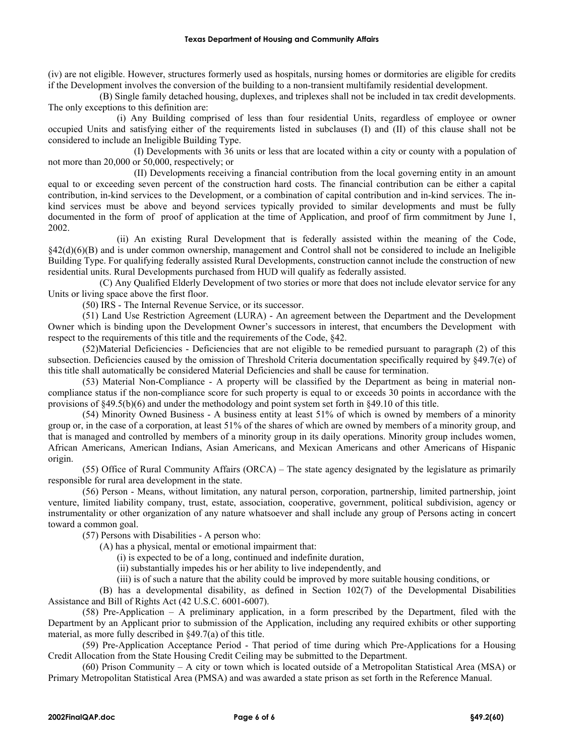(iv) are not eligible. However, structures formerly used as hospitals, nursing homes or dormitories are eligible for credits if the Development involves the conversion of the building to a non-transient multifamily residential development.

(B) Single family detached housing, duplexes, and triplexes shall not be included in tax credit developments. The only exceptions to this definition are:

(i) Any Building comprised of less than four residential Units, regardless of employee or owner occupied Units and satisfying either of the requirements listed in subclauses (I) and (II) of this clause shall not be considered to include an Ineligible Building Type.

(I) Developments with 36 units or less that are located within a city or county with a population of not more than 20,000 or 50,000, respectively; or

(II) Developments receiving a financial contribution from the local governing entity in an amount equal to or exceeding seven percent of the construction hard costs. The financial contribution can be either a capital contribution, in-kind services to the Development, or a combination of capital contribution and in-kind services. The inkind services must be above and beyond services typically provided to similar developments and must be fully documented in the form of proof of application at the time of Application, and proof of firm commitment by June 1, 2002.

(ii) An existing Rural Development that is federally assisted within the meaning of the Code, §42(d)(6)(B) and is under common ownership, management and Control shall not be considered to include an Ineligible Building Type. For qualifying federally assisted Rural Developments, construction cannot include the construction of new residential units. Rural Developments purchased from HUD will qualify as federally assisted.

(C) Any Qualified Elderly Development of two stories or more that does not include elevator service for any Units or living space above the first floor.

(50) IRS - The Internal Revenue Service, or its successor.

(51) Land Use Restriction Agreement (LURA) - An agreement between the Department and the Development Owner which is binding upon the Development Owner's successors in interest, that encumbers the Development with respect to the requirements of this title and the requirements of the Code, §42.

(52)Material Deficiencies - Deficiencies that are not eligible to be remedied pursuant to paragraph (2) of this subsection. Deficiencies caused by the omission of Threshold Criteria documentation specifically required by §49.7(e) of this title shall automatically be considered Material Deficiencies and shall be cause for termination.

(53) Material Non-Compliance - A property will be classified by the Department as being in material noncompliance status if the non-compliance score for such property is equal to or exceeds 30 points in accordance with the provisions of §49.5(b)(6) and under the methodology and point system set forth in §49.10 of this title.

(54) Minority Owned Business - A business entity at least 51% of which is owned by members of a minority group or, in the case of a corporation, at least 51% of the shares of which are owned by members of a minority group, and that is managed and controlled by members of a minority group in its daily operations. Minority group includes women, African Americans, American Indians, Asian Americans, and Mexican Americans and other Americans of Hispanic origin.

(55) Office of Rural Community Affairs (ORCA) – The state agency designated by the legislature as primarily responsible for rural area development in the state.

(56) Person - Means, without limitation, any natural person, corporation, partnership, limited partnership, joint venture, limited liability company, trust, estate, association, cooperative, government, political subdivision, agency or instrumentality or other organization of any nature whatsoever and shall include any group of Persons acting in concert toward a common goal.

(57) Persons with Disabilities - A person who:

(A) has a physical, mental or emotional impairment that:

(i) is expected to be of a long, continued and indefinite duration,

(ii) substantially impedes his or her ability to live independently, and

(iii) is of such a nature that the ability could be improved by more suitable housing conditions, or

(B) has a developmental disability, as defined in Section 102(7) of the Developmental Disabilities Assistance and Bill of Rights Act (42 U.S.C. 6001-6007).

(58) Pre-Application – A preliminary application, in a form prescribed by the Department, filed with the Department by an Applicant prior to submission of the Application, including any required exhibits or other supporting material, as more fully described in §49.7(a) of this title.

(59) Pre-Application Acceptance Period - That period of time during which Pre-Applications for a Housing Credit Allocation from the State Housing Credit Ceiling may be submitted to the Department.

(60) Prison Community – A city or town which is located outside of a Metropolitan Statistical Area (MSA) or Primary Metropolitan Statistical Area (PMSA) and was awarded a state prison as set forth in the Reference Manual.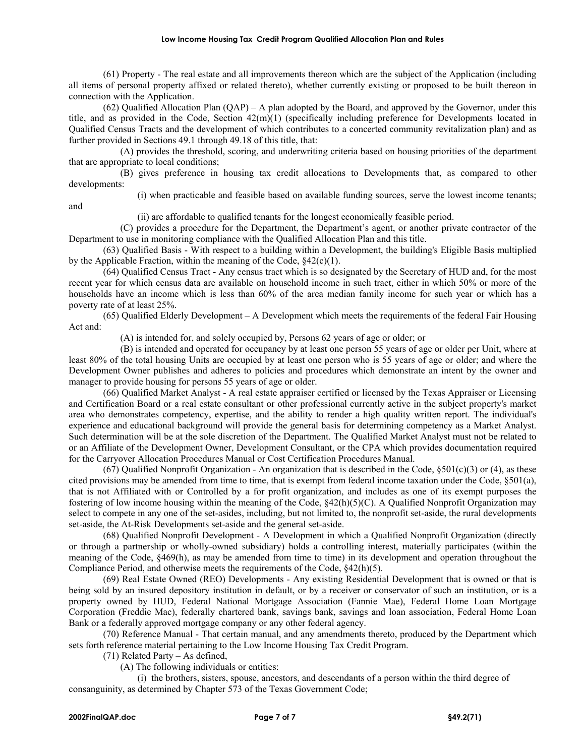#### **Low Income Housing Tax Credit Program Qualified Allocation Plan and Rules**

(61) Property - The real estate and all improvements thereon which are the subject of the Application (including all items of personal property affixed or related thereto), whether currently existing or proposed to be built thereon in connection with the Application.

(62) Qualified Allocation Plan (QAP) – A plan adopted by the Board, and approved by the Governor, under this title, and as provided in the Code, Section 42(m)(1) (specifically including preference for Developments located in Qualified Census Tracts and the development of which contributes to a concerted community revitalization plan) and as further provided in Sections 49.1 through 49.18 of this title, that:

(A) provides the threshold, scoring, and underwriting criteria based on housing priorities of the department that are appropriate to local conditions;

(B) gives preference in housing tax credit allocations to Developments that, as compared to other developments:

and

(i) when practicable and feasible based on available funding sources, serve the lowest income tenants;

(ii) are affordable to qualified tenants for the longest economically feasible period.

(C) provides a procedure for the Department, the Department's agent, or another private contractor of the Department to use in monitoring compliance with the Qualified Allocation Plan and this title.

(63) Qualified Basis - With respect to a building within a Development, the building's Eligible Basis multiplied by the Applicable Fraction, within the meaning of the Code,  $§42(c)(1)$ .

(64) Qualified Census Tract - Any census tract which is so designated by the Secretary of HUD and, for the most recent year for which census data are available on household income in such tract, either in which 50% or more of the households have an income which is less than 60% of the area median family income for such year or which has a poverty rate of at least 25%.

(65) Qualified Elderly Development – A Development which meets the requirements of the federal Fair Housing Act and:

(A) is intended for, and solely occupied by, Persons 62 years of age or older; or

(B) is intended and operated for occupancy by at least one person 55 years of age or older per Unit, where at least 80% of the total housing Units are occupied by at least one person who is 55 years of age or older; and where the Development Owner publishes and adheres to policies and procedures which demonstrate an intent by the owner and manager to provide housing for persons 55 years of age or older.

(66) Qualified Market Analyst - A real estate appraiser certified or licensed by the Texas Appraiser or Licensing and Certification Board or a real estate consultant or other professional currently active in the subject property's market area who demonstrates competency, expertise, and the ability to render a high quality written report. The individual's experience and educational background will provide the general basis for determining competency as a Market Analyst. Such determination will be at the sole discretion of the Department. The Qualified Market Analyst must not be related to or an Affiliate of the Development Owner, Development Consultant, or the CPA which provides documentation required for the Carryover Allocation Procedures Manual or Cost Certification Procedures Manual.

 $(67)$  Qualified Nonprofit Organization - An organization that is described in the Code,  $$501(c)(3)$  or (4), as these cited provisions may be amended from time to time, that is exempt from federal income taxation under the Code, §501(a), that is not Affiliated with or Controlled by a for profit organization, and includes as one of its exempt purposes the fostering of low income housing within the meaning of the Code, §42(h)(5)(C). A Qualified Nonprofit Organization may select to compete in any one of the set-asides, including, but not limited to, the nonprofit set-aside, the rural developments set-aside, the At-Risk Developments set-aside and the general set-aside.

(68) Qualified Nonprofit Development - A Development in which a Qualified Nonprofit Organization (directly or through a partnership or wholly-owned subsidiary) holds a controlling interest, materially participates (within the meaning of the Code, §469(h), as may be amended from time to time) in its development and operation throughout the Compliance Period, and otherwise meets the requirements of the Code, §42(h)(5).

(69) Real Estate Owned (REO) Developments - Any existing Residential Development that is owned or that is being sold by an insured depository institution in default, or by a receiver or conservator of such an institution, or is a property owned by HUD, Federal National Mortgage Association (Fannie Mae), Federal Home Loan Mortgage Corporation (Freddie Mac), federally chartered bank, savings bank, savings and loan association, Federal Home Loan Bank or a federally approved mortgage company or any other federal agency.

(70) Reference Manual - That certain manual, and any amendments thereto, produced by the Department which sets forth reference material pertaining to the Low Income Housing Tax Credit Program.

(71) Related Party – As defined,

(A) The following individuals or entities:

(i) the brothers, sisters, spouse, ancestors, and descendants of a person within the third degree of consanguinity, as determined by Chapter 573 of the Texas Government Code;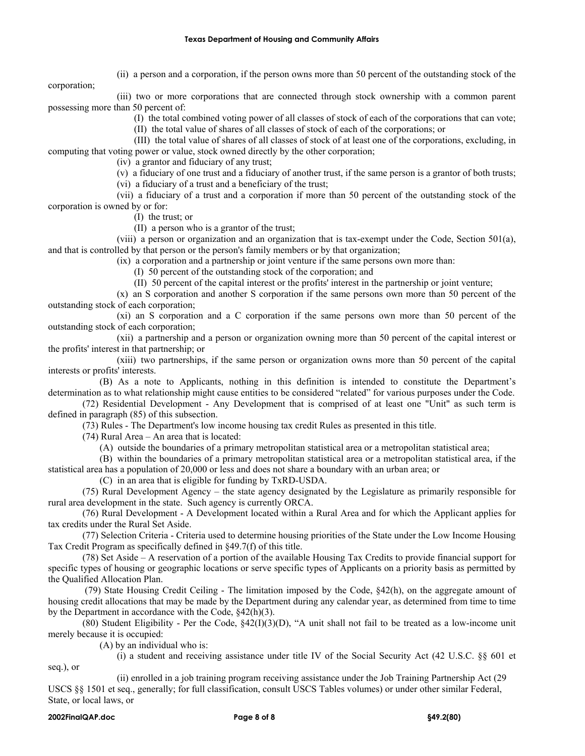(ii) a person and a corporation, if the person owns more than 50 percent of the outstanding stock of the

corporation;

(iii) two or more corporations that are connected through stock ownership with a common parent possessing more than 50 percent of:

(I) the total combined voting power of all classes of stock of each of the corporations that can vote;

(II) the total value of shares of all classes of stock of each of the corporations; or

(III) the total value of shares of all classes of stock of at least one of the corporations, excluding, in computing that voting power or value, stock owned directly by the other corporation;

(iv) a grantor and fiduciary of any trust;

(v) a fiduciary of one trust and a fiduciary of another trust, if the same person is a grantor of both trusts; (vi) a fiduciary of a trust and a beneficiary of the trust;

(vii) a fiduciary of a trust and a corporation if more than 50 percent of the outstanding stock of the corporation is owned by or for:

(I) the trust; or

(II) a person who is a grantor of the trust;

(viii) a person or organization and an organization that is tax-exempt under the Code, Section 501(a), and that is controlled by that person or the person's family members or by that organization;

(ix) a corporation and a partnership or joint venture if the same persons own more than:

(I) 50 percent of the outstanding stock of the corporation; and

(II) 50 percent of the capital interest or the profits' interest in the partnership or joint venture;

(x) an S corporation and another S corporation if the same persons own more than 50 percent of the outstanding stock of each corporation;

(xi) an S corporation and a C corporation if the same persons own more than 50 percent of the outstanding stock of each corporation;

(xii) a partnership and a person or organization owning more than 50 percent of the capital interest or the profits' interest in that partnership; or

(xiii) two partnerships, if the same person or organization owns more than 50 percent of the capital interests or profits' interests.

(B) As a note to Applicants, nothing in this definition is intended to constitute the Department's determination as to what relationship might cause entities to be considered "related" for various purposes under the Code.

(72) Residential Development - Any Development that is comprised of at least one "Unit" as such term is defined in paragraph (85) of this subsection.

(73) Rules - The Department's low income housing tax credit Rules as presented in this title.

(74) Rural Area – An area that is located:

(A) outside the boundaries of a primary metropolitan statistical area or a metropolitan statistical area;

(B) within the boundaries of a primary metropolitan statistical area or a metropolitan statistical area, if the statistical area has a population of 20,000 or less and does not share a boundary with an urban area; or

(C) in an area that is eligible for funding by TxRD-USDA.

(75) Rural Development Agency – the state agency designated by the Legislature as primarily responsible for rural area development in the state. Such agency is currently ORCA.

(76) Rural Development - A Development located within a Rural Area and for which the Applicant applies for tax credits under the Rural Set Aside.

(77) Selection Criteria - Criteria used to determine housing priorities of the State under the Low Income Housing Tax Credit Program as specifically defined in §49.7(f) of this title.

(78) Set Aside – A reservation of a portion of the available Housing Tax Credits to provide financial support for specific types of housing or geographic locations or serve specific types of Applicants on a priority basis as permitted by the Qualified Allocation Plan.

(79) State Housing Credit Ceiling - The limitation imposed by the Code, §42(h), on the aggregate amount of housing credit allocations that may be made by the Department during any calendar year, as determined from time to time by the Department in accordance with the Code, §42(h)(3).

(80) Student Eligibility - Per the Code, §42(I)(3)(D), "A unit shall not fail to be treated as a low-income unit merely because it is occupied:

(A) by an individual who is:

(i) a student and receiving assistance under title IV of the Social Security Act (42 U.S.C. §§ 601 et

seq.), or

(ii) enrolled in a job training program receiving assistance under the Job Training Partnership Act (29 USCS §§ 1501 et seq., generally; for full classification, consult USCS Tables volumes) or under other similar Federal, State, or local laws, or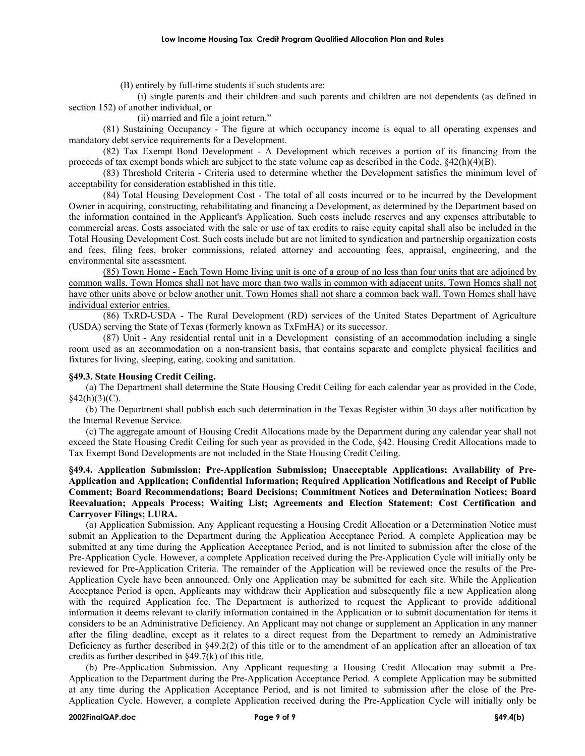(B) entirely by full-time students if such students are:

(i) single parents and their children and such parents and children are not dependents (as defined in section 152) of another individual, or

(ii) married and file a joint return."

(81) Sustaining Occupancy - The figure at which occupancy income is equal to all operating expenses and mandatory debt service requirements for a Development.

(82) Tax Exempt Bond Development - A Development which receives a portion of its financing from the proceeds of tax exempt bonds which are subject to the state volume cap as described in the Code, §42(h)(4)(B).

(83) Threshold Criteria - Criteria used to determine whether the Development satisfies the minimum level of acceptability for consideration established in this title.

(84) Total Housing Development Cost - The total of all costs incurred or to be incurred by the Development Owner in acquiring, constructing, rehabilitating and financing a Development, as determined by the Department based on the information contained in the Applicant's Application. Such costs include reserves and any expenses attributable to commercial areas. Costs associated with the sale or use of tax credits to raise equity capital shall also be included in the Total Housing Development Cost. Such costs include but are not limited to syndication and partnership organization costs and fees, filing fees, broker commissions, related attorney and accounting fees, appraisal, engineering, and the environmental site assessment.

(85) Town Home - Each Town Home living unit is one of a group of no less than four units that are adjoined by common walls. Town Homes shall not have more than two walls in common with adjacent units. Town Homes shall not have other units above or below another unit. Town Homes shall not share a common back wall. Town Homes shall have individual exterior entries.

(86) TxRD-USDA - The Rural Development (RD) services of the United States Department of Agriculture (USDA) serving the State of Texas (formerly known as TxFmHA) or its successor.

(87) Unit - Any residential rental unit in a Development consisting of an accommodation including a single room used as an accommodation on a non-transient basis, that contains separate and complete physical facilities and fixtures for living, sleeping, eating, cooking and sanitation.

## **§49.3. State Housing Credit Ceiling.**

(a) The Department shall determine the State Housing Credit Ceiling for each calendar year as provided in the Code,  $§42(h)(3)(C).$ 

(b) The Department shall publish each such determination in the Texas Register within 30 days after notification by the Internal Revenue Service.

(c) The aggregate amount of Housing Credit Allocations made by the Department during any calendar year shall not exceed the State Housing Credit Ceiling for such year as provided in the Code, §42. Housing Credit Allocations made to Tax Exempt Bond Developments are not included in the State Housing Credit Ceiling.

# **§49.4. Application Submission; Pre-Application Submission; Unacceptable Applications; Availability of Pre-Application and Application; Confidential Information; Required Application Notifications and Receipt of Public Comment; Board Recommendations; Board Decisions; Commitment Notices and Determination Notices; Board Reevaluation; Appeals Process; Waiting List; Agreements and Election Statement; Cost Certification and Carryover Filings; LURA.**

(a) Application Submission. Any Applicant requesting a Housing Credit Allocation or a Determination Notice must submit an Application to the Department during the Application Acceptance Period. A complete Application may be submitted at any time during the Application Acceptance Period, and is not limited to submission after the close of the Pre-Application Cycle. However, a complete Application received during the Pre-Application Cycle will initially only be reviewed for Pre-Application Criteria. The remainder of the Application will be reviewed once the results of the Pre-Application Cycle have been announced. Only one Application may be submitted for each site. While the Application Acceptance Period is open, Applicants may withdraw their Application and subsequently file a new Application along with the required Application fee. The Department is authorized to request the Applicant to provide additional information it deems relevant to clarify information contained in the Application or to submit documentation for items it considers to be an Administrative Deficiency. An Applicant may not change or supplement an Application in any manner after the filing deadline, except as it relates to a direct request from the Department to remedy an Administrative Deficiency as further described in §49.2(2) of this title or to the amendment of an application after an allocation of tax credits as further described in §49.7(k) of this title.

(b) Pre-Application Submission. Any Applicant requesting a Housing Credit Allocation may submit a Pre-Application to the Department during the Pre-Application Acceptance Period. A complete Application may be submitted at any time during the Application Acceptance Period, and is not limited to submission after the close of the Pre-Application Cycle. However, a complete Application received during the Pre-Application Cycle will initially only be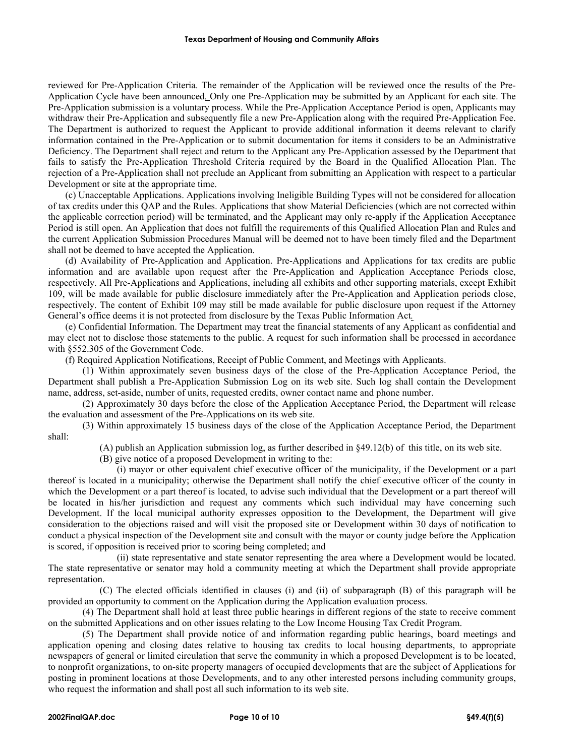reviewed for Pre-Application Criteria. The remainder of the Application will be reviewed once the results of the Pre-Application Cycle have been announced*.* Only one Pre-Application may be submitted by an Applicant for each site. The Pre-Application submission is a voluntary process. While the Pre-Application Acceptance Period is open, Applicants may withdraw their Pre-Application and subsequently file a new Pre-Application along with the required Pre-Application Fee. The Department is authorized to request the Applicant to provide additional information it deems relevant to clarify information contained in the Pre-Application or to submit documentation for items it considers to be an Administrative Deficiency. The Department shall reject and return to the Applicant any Pre-Application assessed by the Department that fails to satisfy the Pre-Application Threshold Criteria required by the Board in the Qualified Allocation Plan. The rejection of a Pre-Application shall not preclude an Applicant from submitting an Application with respect to a particular Development or site at the appropriate time.

(c) Unacceptable Applications. Applications involving Ineligible Building Types will not be considered for allocation of tax credits under this QAP and the Rules. Applications that show Material Deficiencies (which are not corrected within the applicable correction period) will be terminated, and the Applicant may only re-apply if the Application Acceptance Period is still open. An Application that does not fulfill the requirements of this Qualified Allocation Plan and Rules and the current Application Submission Procedures Manual will be deemed not to have been timely filed and the Department shall not be deemed to have accepted the Application.

(d) Availability of Pre-Application and Application. Pre-Applications and Applications for tax credits are public information and are available upon request after the Pre-Application and Application Acceptance Periods close, respectively. All Pre-Applications and Applications, including all exhibits and other supporting materials, except Exhibit 109, will be made available for public disclosure immediately after the Pre-Application and Application periods close, respectively. The content of Exhibit 109 may still be made available for public disclosure upon request if the Attorney General's office deems it is not protected from disclosure by the Texas Public Information Act*.* 

(e) Confidential Information. The Department may treat the financial statements of any Applicant as confidential and may elect not to disclose those statements to the public. A request for such information shall be processed in accordance with §552.305 of the Government Code.

(f) Required Application Notifications, Receipt of Public Comment, and Meetings with Applicants.

(1) Within approximately seven business days of the close of the Pre-Application Acceptance Period, the Department shall publish a Pre-Application Submission Log on its web site. Such log shall contain the Development name, address, set-aside, number of units, requested credits, owner contact name and phone number.

(2) Approximately 30 days before the close of the Application Acceptance Period, the Department will release the evaluation and assessment of the Pre-Applications on its web site.

(3) Within approximately 15 business days of the close of the Application Acceptance Period, the Department shall:

(A) publish an Application submission log, as further described in §49.12(b) of this title, on its web site.

(B) give notice of a proposed Development in writing to the:

(i) mayor or other equivalent chief executive officer of the municipality, if the Development or a part thereof is located in a municipality; otherwise the Department shall notify the chief executive officer of the county in which the Development or a part thereof is located, to advise such individual that the Development or a part thereof will be located in his/her jurisdiction and request any comments which such individual may have concerning such Development. If the local municipal authority expresses opposition to the Development, the Department will give consideration to the objections raised and will visit the proposed site or Development within 30 days of notification to conduct a physical inspection of the Development site and consult with the mayor or county judge before the Application is scored, if opposition is received prior to scoring being completed; and

(ii) state representative and state senator representing the area where a Development would be located. The state representative or senator may hold a community meeting at which the Department shall provide appropriate representation.

(C) The elected officials identified in clauses (i) and (ii) of subparagraph (B) of this paragraph will be provided an opportunity to comment on the Application during the Application evaluation process.

(4) The Department shall hold at least three public hearings in different regions of the state to receive comment on the submitted Applications and on other issues relating to the Low Income Housing Tax Credit Program.

(5) The Department shall provide notice of and information regarding public hearings, board meetings and application opening and closing dates relative to housing tax credits to local housing departments, to appropriate newspapers of general or limited circulation that serve the community in which a proposed Development is to be located, to nonprofit organizations, to on-site property managers of occupied developments that are the subject of Applications for posting in prominent locations at those Developments, and to any other interested persons including community groups, who request the information and shall post all such information to its web site.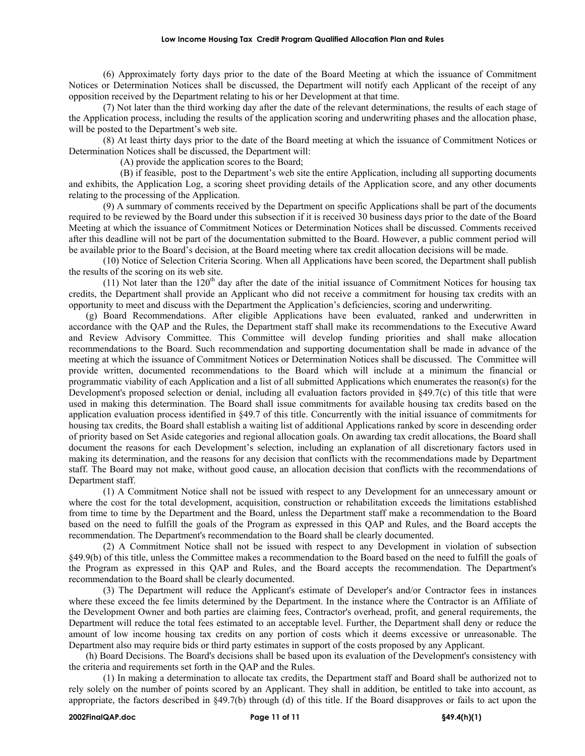#### **Low Income Housing Tax Credit Program Qualified Allocation Plan and Rules**

(6) Approximately forty days prior to the date of the Board Meeting at which the issuance of Commitment Notices or Determination Notices shall be discussed, the Department will notify each Applicant of the receipt of any opposition received by the Department relating to his or her Development at that time.

(7) Not later than the third working day after the date of the relevant determinations, the results of each stage of the Application process, including the results of the application scoring and underwriting phases and the allocation phase, will be posted to the Department's web site.

(8) At least thirty days prior to the date of the Board meeting at which the issuance of Commitment Notices or Determination Notices shall be discussed, the Department will:

(A) provide the application scores to the Board;

(B) if feasible, post to the Department's web site the entire Application, including all supporting documents and exhibits, the Application Log, a scoring sheet providing details of the Application score, and any other documents relating to the processing of the Application.

(9) A summary of comments received by the Department on specific Applications shall be part of the documents required to be reviewed by the Board under this subsection if it is received 30 business days prior to the date of the Board Meeting at which the issuance of Commitment Notices or Determination Notices shall be discussed. Comments received after this deadline will not be part of the documentation submitted to the Board. However, a public comment period will be available prior to the Board's decision, at the Board meeting where tax credit allocation decisions will be made.

(10) Notice of Selection Criteria Scoring. When all Applications have been scored, the Department shall publish the results of the scoring on its web site.

(11) Not later than the  $120<sup>th</sup>$  day after the date of the initial issuance of Commitment Notices for housing tax credits, the Department shall provide an Applicant who did not receive a commitment for housing tax credits with an opportunity to meet and discuss with the Department the Application's deficiencies, scoring and underwriting.

(g) Board Recommendations. After eligible Applications have been evaluated, ranked and underwritten in accordance with the QAP and the Rules, the Department staff shall make its recommendations to the Executive Award and Review Advisory Committee. This Committee will develop funding priorities and shall make allocation recommendations to the Board. Such recommendation and supporting documentation shall be made in advance of the meeting at which the issuance of Commitment Notices or Determination Notices shall be discussed. The Committee will provide written, documented recommendations to the Board which will include at a minimum the financial or programmatic viability of each Application and a list of all submitted Applications which enumerates the reason(s) for the Development's proposed selection or denial, including all evaluation factors provided in §49.7(c) of this title that were used in making this determination. The Board shall issue commitments for available housing tax credits based on the application evaluation process identified in §49.7 of this title. Concurrently with the initial issuance of commitments for housing tax credits, the Board shall establish a waiting list of additional Applications ranked by score in descending order of priority based on Set Aside categories and regional allocation goals. On awarding tax credit allocations, the Board shall document the reasons for each Development's selection, including an explanation of all discretionary factors used in making its determination, and the reasons for any decision that conflicts with the recommendations made by Department staff. The Board may not make, without good cause, an allocation decision that conflicts with the recommendations of Department staff.

(1) A Commitment Notice shall not be issued with respect to any Development for an unnecessary amount or where the cost for the total development, acquisition, construction or rehabilitation exceeds the limitations established from time to time by the Department and the Board, unless the Department staff make a recommendation to the Board based on the need to fulfill the goals of the Program as expressed in this QAP and Rules, and the Board accepts the recommendation. The Department's recommendation to the Board shall be clearly documented.

(2) A Commitment Notice shall not be issued with respect to any Development in violation of subsection §49.9(b) of this title, unless the Committee makes a recommendation to the Board based on the need to fulfill the goals of the Program as expressed in this QAP and Rules, and the Board accepts the recommendation. The Department's recommendation to the Board shall be clearly documented.

(3) The Department will reduce the Applicant's estimate of Developer's and/or Contractor fees in instances where these exceed the fee limits determined by the Department. In the instance where the Contractor is an Affiliate of the Development Owner and both parties are claiming fees, Contractor's overhead, profit, and general requirements, the Department will reduce the total fees estimated to an acceptable level. Further, the Department shall deny or reduce the amount of low income housing tax credits on any portion of costs which it deems excessive or unreasonable. The Department also may require bids or third party estimates in support of the costs proposed by any Applicant.

(h) Board Decisions. The Board's decisions shall be based upon its evaluation of the Development's consistency with the criteria and requirements set forth in the QAP and the Rules.

(1) In making a determination to allocate tax credits, the Department staff and Board shall be authorized not to rely solely on the number of points scored by an Applicant. They shall in addition, be entitled to take into account, as appropriate, the factors described in §49.7(b) through (d) of this title. If the Board disapproves or fails to act upon the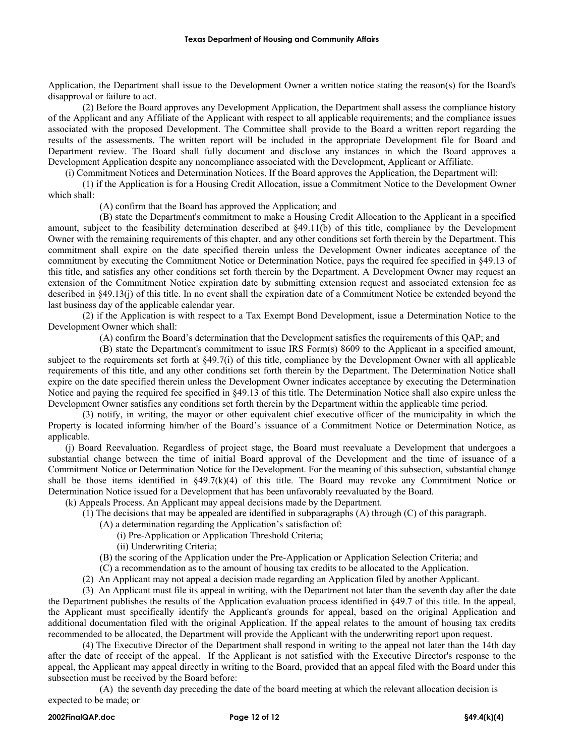Application, the Department shall issue to the Development Owner a written notice stating the reason(s) for the Board's disapproval or failure to act.

(2) Before the Board approves any Development Application, the Department shall assess the compliance history of the Applicant and any Affiliate of the Applicant with respect to all applicable requirements; and the compliance issues associated with the proposed Development. The Committee shall provide to the Board a written report regarding the results of the assessments. The written report will be included in the appropriate Development file for Board and Department review. The Board shall fully document and disclose any instances in which the Board approves a Development Application despite any noncompliance associated with the Development, Applicant or Affiliate.

(i) Commitment Notices and Determination Notices. If the Board approves the Application, the Department will:

(1) if the Application is for a Housing Credit Allocation, issue a Commitment Notice to the Development Owner which shall:

(A) confirm that the Board has approved the Application; and

(B) state the Department's commitment to make a Housing Credit Allocation to the Applicant in a specified amount, subject to the feasibility determination described at §49.11(b) of this title, compliance by the Development Owner with the remaining requirements of this chapter, and any other conditions set forth therein by the Department. This commitment shall expire on the date specified therein unless the Development Owner indicates acceptance of the commitment by executing the Commitment Notice or Determination Notice, pays the required fee specified in §49.13 of this title, and satisfies any other conditions set forth therein by the Department. A Development Owner may request an extension of the Commitment Notice expiration date by submitting extension request and associated extension fee as described in §49.13(j) of this title. In no event shall the expiration date of a Commitment Notice be extended beyond the last business day of the applicable calendar year.

(2) if the Application is with respect to a Tax Exempt Bond Development, issue a Determination Notice to the Development Owner which shall:

(A) confirm the Board's determination that the Development satisfies the requirements of this QAP; and

(B) state the Department's commitment to issue IRS Form(s) 8609 to the Applicant in a specified amount, subject to the requirements set forth at §49.7(i) of this title, compliance by the Development Owner with all applicable requirements of this title, and any other conditions set forth therein by the Department. The Determination Notice shall expire on the date specified therein unless the Development Owner indicates acceptance by executing the Determination Notice and paying the required fee specified in §49.13 of this title. The Determination Notice shall also expire unless the Development Owner satisfies any conditions set forth therein by the Department within the applicable time period.

(3) notify, in writing, the mayor or other equivalent chief executive officer of the municipality in which the Property is located informing him/her of the Board's issuance of a Commitment Notice or Determination Notice, as applicable.

(j) Board Reevaluation. Regardless of project stage, the Board must reevaluate a Development that undergoes a substantial change between the time of initial Board approval of the Development and the time of issuance of a Commitment Notice or Determination Notice for the Development. For the meaning of this subsection, substantial change shall be those items identified in  $\S 49.7(k)(4)$  of this title. The Board may revoke any Commitment Notice or Determination Notice issued for a Development that has been unfavorably reevaluated by the Board.

(k) Appeals Process. An Applicant may appeal decisions made by the Department.

- (1) The decisions that may be appealed are identified in subparagraphs (A) through (C) of this paragraph.
	- (A) a determination regarding the Application's satisfaction of:
		- (i) Pre-Application or Application Threshold Criteria;
			- (ii) Underwriting Criteria;
	- (B) the scoring of the Application under the Pre-Application or Application Selection Criteria; and
	- (C) a recommendation as to the amount of housing tax credits to be allocated to the Application.
- (2) An Applicant may not appeal a decision made regarding an Application filed by another Applicant.

(3) An Applicant must file its appeal in writing, with the Department not later than the seventh day after the date the Department publishes the results of the Application evaluation process identified in §49.7 of this title. In the appeal, the Applicant must specifically identify the Applicant's grounds for appeal, based on the original Application and additional documentation filed with the original Application. If the appeal relates to the amount of housing tax credits recommended to be allocated, the Department will provide the Applicant with the underwriting report upon request.

(4) The Executive Director of the Department shall respond in writing to the appeal not later than the 14th day after the date of receipt of the appeal. If the Applicant is not satisfied with the Executive Director's response to the appeal, the Applicant may appeal directly in writing to the Board, provided that an appeal filed with the Board under this subsection must be received by the Board before:

(A) the seventh day preceding the date of the board meeting at which the relevant allocation decision is expected to be made; or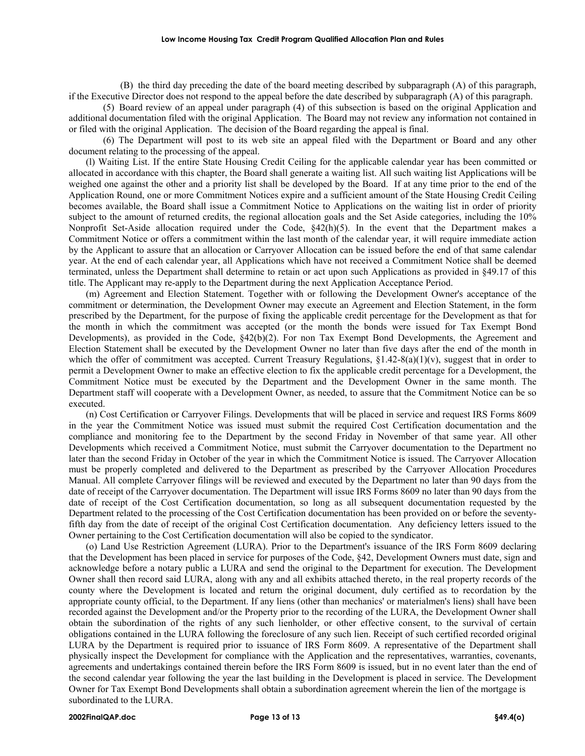(B) the third day preceding the date of the board meeting described by subparagraph (A) of this paragraph, if the Executive Director does not respond to the appeal before the date described by subparagraph (A) of this paragraph.

(5) Board review of an appeal under paragraph (4) of this subsection is based on the original Application and additional documentation filed with the original Application. The Board may not review any information not contained in or filed with the original Application. The decision of the Board regarding the appeal is final.

(6) The Department will post to its web site an appeal filed with the Department or Board and any other document relating to the processing of the appeal.

(l) Waiting List. If the entire State Housing Credit Ceiling for the applicable calendar year has been committed or allocated in accordance with this chapter, the Board shall generate a waiting list. All such waiting list Applications will be weighed one against the other and a priority list shall be developed by the Board. If at any time prior to the end of the Application Round, one or more Commitment Notices expire and a sufficient amount of the State Housing Credit Ceiling becomes available, the Board shall issue a Commitment Notice to Applications on the waiting list in order of priority subject to the amount of returned credits, the regional allocation goals and the Set Aside categories, including the 10% Nonprofit Set-Aside allocation required under the Code, §42(h)(5). In the event that the Department makes a Commitment Notice or offers a commitment within the last month of the calendar year, it will require immediate action by the Applicant to assure that an allocation or Carryover Allocation can be issued before the end of that same calendar year. At the end of each calendar year, all Applications which have not received a Commitment Notice shall be deemed terminated, unless the Department shall determine to retain or act upon such Applications as provided in §49.17 of this title. The Applicant may re-apply to the Department during the next Application Acceptance Period.

(m) Agreement and Election Statement. Together with or following the Development Owner's acceptance of the commitment or determination, the Development Owner may execute an Agreement and Election Statement, in the form prescribed by the Department, for the purpose of fixing the applicable credit percentage for the Development as that for the month in which the commitment was accepted (or the month the bonds were issued for Tax Exempt Bond Developments), as provided in the Code, §42(b)(2). For non Tax Exempt Bond Developments, the Agreement and Election Statement shall be executed by the Development Owner no later than five days after the end of the month in which the offer of commitment was accepted. Current Treasury Regulations,  $\S1.42-8(a)(1)(v)$ , suggest that in order to permit a Development Owner to make an effective election to fix the applicable credit percentage for a Development, the Commitment Notice must be executed by the Department and the Development Owner in the same month. The Department staff will cooperate with a Development Owner, as needed, to assure that the Commitment Notice can be so executed.

(n) Cost Certification or Carryover Filings. Developments that will be placed in service and request IRS Forms 8609 in the year the Commitment Notice was issued must submit the required Cost Certification documentation and the compliance and monitoring fee to the Department by the second Friday in November of that same year. All other Developments which received a Commitment Notice, must submit the Carryover documentation to the Department no later than the second Friday in October of the year in which the Commitment Notice is issued. The Carryover Allocation must be properly completed and delivered to the Department as prescribed by the Carryover Allocation Procedures Manual. All complete Carryover filings will be reviewed and executed by the Department no later than 90 days from the date of receipt of the Carryover documentation. The Department will issue IRS Forms 8609 no later than 90 days from the date of receipt of the Cost Certification documentation, so long as all subsequent documentation requested by the Department related to the processing of the Cost Certification documentation has been provided on or before the seventyfifth day from the date of receipt of the original Cost Certification documentation. Any deficiency letters issued to the Owner pertaining to the Cost Certification documentation will also be copied to the syndicator.

(o) Land Use Restriction Agreement (LURA). Prior to the Department's issuance of the IRS Form 8609 declaring that the Development has been placed in service for purposes of the Code, §42, Development Owners must date, sign and acknowledge before a notary public a LURA and send the original to the Department for execution. The Development Owner shall then record said LURA, along with any and all exhibits attached thereto, in the real property records of the county where the Development is located and return the original document, duly certified as to recordation by the appropriate county official, to the Department. If any liens (other than mechanics' or materialmen's liens) shall have been recorded against the Development and/or the Property prior to the recording of the LURA, the Development Owner shall obtain the subordination of the rights of any such lienholder, or other effective consent, to the survival of certain obligations contained in the LURA following the foreclosure of any such lien. Receipt of such certified recorded original LURA by the Department is required prior to issuance of IRS Form 8609. A representative of the Department shall physically inspect the Development for compliance with the Application and the representatives, warranties, covenants, agreements and undertakings contained therein before the IRS Form 8609 is issued, but in no event later than the end of the second calendar year following the year the last building in the Development is placed in service. The Development Owner for Tax Exempt Bond Developments shall obtain a subordination agreement wherein the lien of the mortgage is subordinated to the LURA.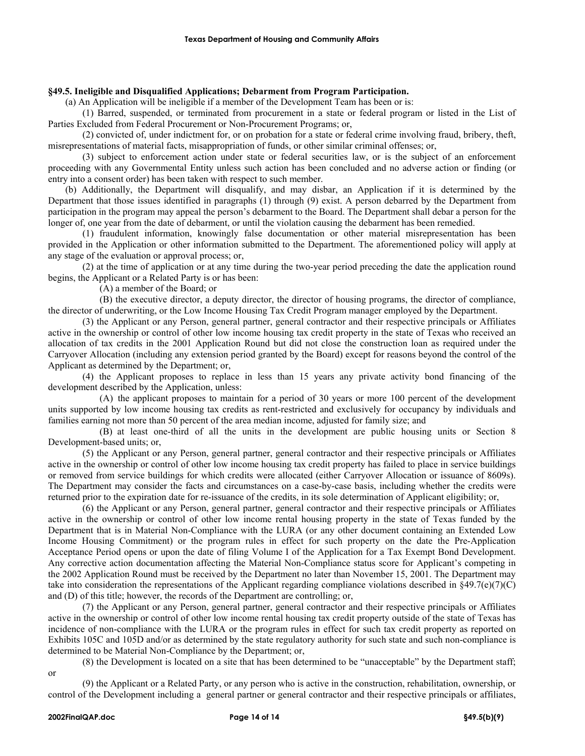## **§49.5. Ineligible and Disqualified Applications; Debarment from Program Participation.**

(a) An Application will be ineligible if a member of the Development Team has been or is:

(1) Barred, suspended, or terminated from procurement in a state or federal program or listed in the List of Parties Excluded from Federal Procurement or Non-Procurement Programs; or,

(2) convicted of, under indictment for, or on probation for a state or federal crime involving fraud, bribery, theft, misrepresentations of material facts, misappropriation of funds, or other similar criminal offenses; or,

(3) subject to enforcement action under state or federal securities law, or is the subject of an enforcement proceeding with any Governmental Entity unless such action has been concluded and no adverse action or finding (or entry into a consent order) has been taken with respect to such member.

(b) Additionally, the Department will disqualify, and may disbar, an Application if it is determined by the Department that those issues identified in paragraphs (1) through (9) exist. A person debarred by the Department from participation in the program may appeal the person's debarment to the Board. The Department shall debar a person for the longer of, one year from the date of debarment, or until the violation causing the debarment has been remedied.

(1) fraudulent information, knowingly false documentation or other material misrepresentation has been provided in the Application or other information submitted to the Department. The aforementioned policy will apply at any stage of the evaluation or approval process; or,

(2) at the time of application or at any time during the two-year period preceding the date the application round begins, the Applicant or a Related Party is or has been:

(A) a member of the Board; or

(B) the executive director, a deputy director, the director of housing programs, the director of compliance, the director of underwriting, or the Low Income Housing Tax Credit Program manager employed by the Department.

(3) the Applicant or any Person, general partner, general contractor and their respective principals or Affiliates active in the ownership or control of other low income housing tax credit property in the state of Texas who received an allocation of tax credits in the 2001 Application Round but did not close the construction loan as required under the Carryover Allocation (including any extension period granted by the Board) except for reasons beyond the control of the Applicant as determined by the Department; or,

(4) the Applicant proposes to replace in less than 15 years any private activity bond financing of the development described by the Application, unless:

(A) the applicant proposes to maintain for a period of 30 years or more 100 percent of the development units supported by low income housing tax credits as rent-restricted and exclusively for occupancy by individuals and families earning not more than 50 percent of the area median income, adjusted for family size; and

(B) at least one-third of all the units in the development are public housing units or Section 8 Development-based units; or,

(5) the Applicant or any Person, general partner, general contractor and their respective principals or Affiliates active in the ownership or control of other low income housing tax credit property has failed to place in service buildings or removed from service buildings for which credits were allocated (either Carryover Allocation or issuance of 8609s). The Department may consider the facts and circumstances on a case-by-case basis, including whether the credits were returned prior to the expiration date for re-issuance of the credits, in its sole determination of Applicant eligibility; or,

(6) the Applicant or any Person, general partner, general contractor and their respective principals or Affiliates active in the ownership or control of other low income rental housing property in the state of Texas funded by the Department that is in Material Non-Compliance with the LURA (or any other document containing an Extended Low Income Housing Commitment) or the program rules in effect for such property on the date the Pre-Application Acceptance Period opens or upon the date of filing Volume I of the Application for a Tax Exempt Bond Development. Any corrective action documentation affecting the Material Non-Compliance status score for Applicant's competing in the 2002 Application Round must be received by the Department no later than November 15, 2001. The Department may take into consideration the representations of the Applicant regarding compliance violations described in  $\S49.7(e)(7)(C)$ and (D) of this title; however, the records of the Department are controlling; or,

(7) the Applicant or any Person, general partner, general contractor and their respective principals or Affiliates active in the ownership or control of other low income rental housing tax credit property outside of the state of Texas has incidence of non-compliance with the LURA or the program rules in effect for such tax credit property as reported on Exhibits 105C and 105D and/or as determined by the state regulatory authority for such state and such non-compliance is determined to be Material Non-Compliance by the Department; or,

(8) the Development is located on a site that has been determined to be "unacceptable" by the Department staff; or

(9) the Applicant or a Related Party, or any person who is active in the construction, rehabilitation, ownership, or control of the Development including a general partner or general contractor and their respective principals or affiliates,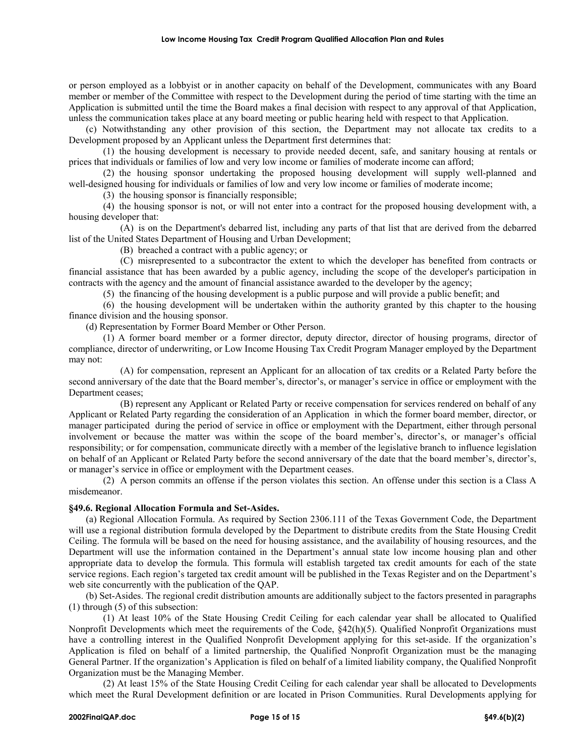or person employed as a lobbyist or in another capacity on behalf of the Development, communicates with any Board member or member of the Committee with respect to the Development during the period of time starting with the time an Application is submitted until the time the Board makes a final decision with respect to any approval of that Application, unless the communication takes place at any board meeting or public hearing held with respect to that Application.

(c) Notwithstanding any other provision of this section, the Department may not allocate tax credits to a Development proposed by an Applicant unless the Department first determines that:

(1) the housing development is necessary to provide needed decent, safe, and sanitary housing at rentals or prices that individuals or families of low and very low income or families of moderate income can afford;

(2) the housing sponsor undertaking the proposed housing development will supply well-planned and well-designed housing for individuals or families of low and very low income or families of moderate income;

(3) the housing sponsor is financially responsible;

(4) the housing sponsor is not, or will not enter into a contract for the proposed housing development with, a housing developer that:

(A) is on the Department's debarred list, including any parts of that list that are derived from the debarred list of the United States Department of Housing and Urban Development;

(B) breached a contract with a public agency; or

(C) misrepresented to a subcontractor the extent to which the developer has benefited from contracts or financial assistance that has been awarded by a public agency, including the scope of the developer's participation in contracts with the agency and the amount of financial assistance awarded to the developer by the agency;

(5) the financing of the housing development is a public purpose and will provide a public benefit; and

(6) the housing development will be undertaken within the authority granted by this chapter to the housing finance division and the housing sponsor.

(d) Representation by Former Board Member or Other Person.

(1) A former board member or a former director, deputy director, director of housing programs, director of compliance, director of underwriting, or Low Income Housing Tax Credit Program Manager employed by the Department may not:

(A) for compensation, represent an Applicant for an allocation of tax credits or a Related Party before the second anniversary of the date that the Board member's, director's, or manager's service in office or employment with the Department ceases;

(B) represent any Applicant or Related Party or receive compensation for services rendered on behalf of any Applicant or Related Party regarding the consideration of an Application in which the former board member, director, or manager participated during the period of service in office or employment with the Department, either through personal involvement or because the matter was within the scope of the board member's, director's, or manager's official responsibility; or for compensation, communicate directly with a member of the legislative branch to influence legislation on behalf of an Applicant or Related Party before the second anniversary of the date that the board member's, director's, or manager's service in office or employment with the Department ceases.

(2) A person commits an offense if the person violates this section. An offense under this section is a Class A misdemeanor.

## **§49.6. Regional Allocation Formula and Set-Asides.**

(a) Regional Allocation Formula. As required by Section 2306.111 of the Texas Government Code, the Department will use a regional distribution formula developed by the Department to distribute credits from the State Housing Credit Ceiling. The formula will be based on the need for housing assistance, and the availability of housing resources, and the Department will use the information contained in the Department's annual state low income housing plan and other appropriate data to develop the formula. This formula will establish targeted tax credit amounts for each of the state service regions. Each region's targeted tax credit amount will be published in the Texas Register and on the Department's web site concurrently with the publication of the QAP.

(b) Set-Asides. The regional credit distribution amounts are additionally subject to the factors presented in paragraphs (1) through (5) of this subsection:

(1) At least 10% of the State Housing Credit Ceiling for each calendar year shall be allocated to Qualified Nonprofit Developments which meet the requirements of the Code, §42(h)(5). Qualified Nonprofit Organizations must have a controlling interest in the Qualified Nonprofit Development applying for this set-aside. If the organization's Application is filed on behalf of a limited partnership, the Qualified Nonprofit Organization must be the managing General Partner. If the organization's Application is filed on behalf of a limited liability company, the Qualified Nonprofit Organization must be the Managing Member.

(2) At least 15% of the State Housing Credit Ceiling for each calendar year shall be allocated to Developments which meet the Rural Development definition or are located in Prison Communities. Rural Developments applying for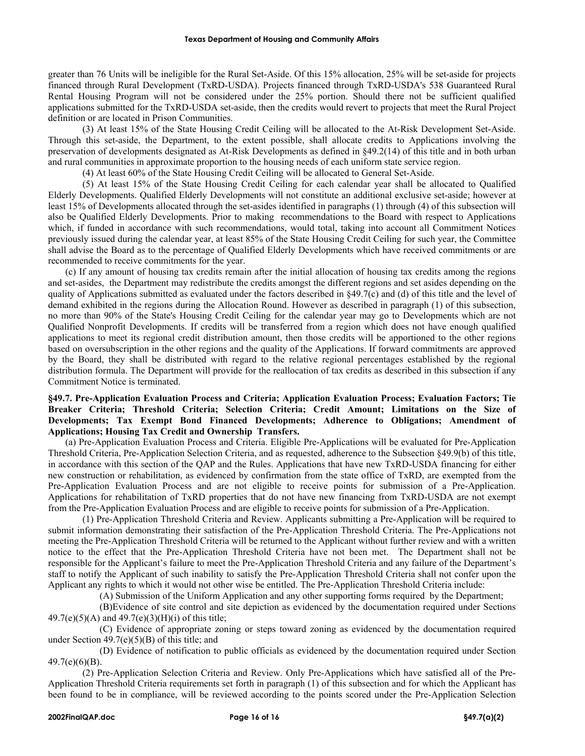greater than 76 Units will be ineligible for the Rural Set-Aside. Of this 15% allocation, 25% will be set-aside for projects financed through Rural Development (TxRD-USDA). Projects financed through TxRD-USDA's 538 Guaranteed Rural Rental Housing Program will not be considered under the 25% portion. Should there not be sufficient qualified applications submitted for the TxRD-USDA set-aside, then the credits would revert to projects that meet the Rural Project definition or are located in Prison Communities.

(3) At least 15% of the State Housing Credit Ceiling will be allocated to the At-Risk Development Set-Aside. Through this set-aside, the Department, to the extent possible, shall allocate credits to Applications involving the preservation of developments designated as At-Risk Developments as defined in §49.2(14) of this title and in both urban and rural communities in approximate proportion to the housing needs of each uniform state service region.

(4) At least 60% of the State Housing Credit Ceiling will be allocated to General Set-Aside.

(5) At least 15% of the State Housing Credit Ceiling for each calendar year shall be allocated to Qualified Elderly Developments. Qualified Elderly Developments will not constitute an additional exclusive set-aside; however at least 15% of Developments allocated through the set-asides identified in paragraphs (1) through (4) of this subsection will also be Qualified Elderly Developments. Prior to making recommendations to the Board with respect to Applications which, if funded in accordance with such recommendations, would total, taking into account all Commitment Notices previously issued during the calendar year, at least 85% of the State Housing Credit Ceiling for such year, the Committee shall advise the Board as to the percentage of Qualified Elderly Developments which have received commitments or are recommended to receive commitments for the year.

(c) If any amount of housing tax credits remain after the initial allocation of housing tax credits among the regions and set-asides, the Department may redistribute the credits amongst the different regions and set asides depending on the quality of Applications submitted as evaluated under the factors described in §49.7(c) and (d) of this title and the level of demand exhibited in the regions during the Allocation Round. However as described in paragraph (1) of this subsection, no more than 90% of the State's Housing Credit Ceiling for the calendar year may go to Developments which are not Qualified Nonprofit Developments. If credits will be transferred from a region which does not have enough qualified applications to meet its regional credit distribution amount, then those credits will be apportioned to the other regions based on oversubscription in the other regions and the quality of the Applications. If forward commitments are approved by the Board, they shall be distributed with regard to the relative regional percentages established by the regional distribution formula. The Department will provide for the reallocation of tax credits as described in this subsection if any Commitment Notice is terminated.

# **§49.7. Pre-Application Evaluation Process and Criteria; Application Evaluation Process; Evaluation Factors; Tie Breaker Criteria; Threshold Criteria; Selection Criteria; Credit Amount; Limitations on the Size of Developments; Tax Exempt Bond Financed Developments; Adherence to Obligations; Amendment of Applications; Housing Tax Credit and Ownership Transfers.**

(a) Pre-Application Evaluation Process and Criteria. Eligible Pre-Applications will be evaluated for Pre-Application Threshold Criteria, Pre-Application Selection Criteria, and as requested, adherence to the Subsection §49.9(b) of this title, in accordance with this section of the QAP and the Rules. Applications that have new TxRD-USDA financing for either new construction or rehabilitation, as evidenced by confirmation from the state office of TxRD, are exempted from the Pre-Application Evaluation Process and are not eligible to receive points for submission of a Pre-Application. Applications for rehabilitation of TxRD properties that do not have new financing from TxRD-USDA are not exempt from the Pre-Application Evaluation Process and are eligible to receive points for submission of a Pre-Application.

(1) Pre-Application Threshold Criteria and Review. Applicants submitting a Pre-Application will be required to submit information demonstrating their satisfaction of the Pre-Application Threshold Criteria. The Pre-Applications not meeting the Pre-Application Threshold Criteria will be returned to the Applicant without further review and with a written notice to the effect that the Pre-Application Threshold Criteria have not been met. The Department shall not be responsible for the Applicant's failure to meet the Pre-Application Threshold Criteria and any failure of the Department's staff to notify the Applicant of such inability to satisfy the Pre-Application Threshold Criteria shall not confer upon the Applicant any rights to which it would not other wise be entitled. The Pre-Application Threshold Criteria include:

(A) Submission of the Uniform Application and any other supporting forms required by the Department;

(B)Evidence of site control and site depiction as evidenced by the documentation required under Sections 49.7(e)(5)(A) and 49.7(e)(3)(H)(i) of this title;

(C) Evidence of appropriate zoning or steps toward zoning as evidenced by the documentation required under Section  $49.7(e)(5)(B)$  of this title; and

(D) Evidence of notification to public officials as evidenced by the documentation required under Section 49.7(e)(6)(B).

(2) Pre-Application Selection Criteria and Review. Only Pre-Applications which have satisfied all of the Pre-Application Threshold Criteria requirements set forth in paragraph (1) of this subsection and for which the Applicant has been found to be in compliance, will be reviewed according to the points scored under the Pre-Application Selection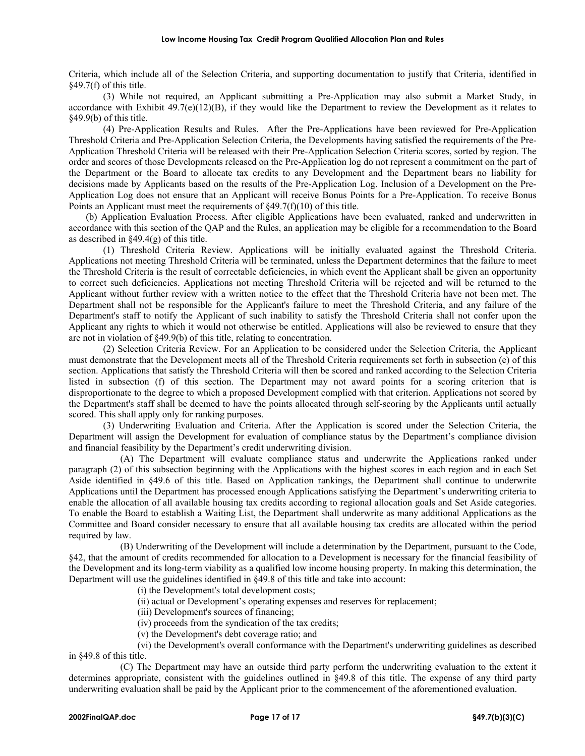Criteria, which include all of the Selection Criteria, and supporting documentation to justify that Criteria, identified in §49.7(f) of this title.

(3) While not required, an Applicant submitting a Pre-Application may also submit a Market Study, in accordance with Exhibit  $49.7(e)(12)(B)$ , if they would like the Department to review the Development as it relates to §49.9(b) of this title.

(4) Pre-Application Results and Rules. After the Pre-Applications have been reviewed for Pre-Application Threshold Criteria and Pre-Application Selection Criteria, the Developments having satisfied the requirements of the Pre-Application Threshold Criteria will be released with their Pre-Application Selection Criteria scores, sorted by region. The order and scores of those Developments released on the Pre-Application log do not represent a commitment on the part of the Department or the Board to allocate tax credits to any Development and the Department bears no liability for decisions made by Applicants based on the results of the Pre-Application Log. Inclusion of a Development on the Pre-Application Log does not ensure that an Applicant will receive Bonus Points for a Pre-Application. To receive Bonus Points an Applicant must meet the requirements of  $\S 49.7(f)(10)$  of this title.

(b) Application Evaluation Process. After eligible Applications have been evaluated, ranked and underwritten in accordance with this section of the QAP and the Rules, an application may be eligible for a recommendation to the Board as described in §49.4(g) of this title.

(1) Threshold Criteria Review. Applications will be initially evaluated against the Threshold Criteria. Applications not meeting Threshold Criteria will be terminated, unless the Department determines that the failure to meet the Threshold Criteria is the result of correctable deficiencies, in which event the Applicant shall be given an opportunity to correct such deficiencies. Applications not meeting Threshold Criteria will be rejected and will be returned to the Applicant without further review with a written notice to the effect that the Threshold Criteria have not been met. The Department shall not be responsible for the Applicant's failure to meet the Threshold Criteria, and any failure of the Department's staff to notify the Applicant of such inability to satisfy the Threshold Criteria shall not confer upon the Applicant any rights to which it would not otherwise be entitled. Applications will also be reviewed to ensure that they are not in violation of §49.9(b) of this title, relating to concentration.

(2) Selection Criteria Review. For an Application to be considered under the Selection Criteria, the Applicant must demonstrate that the Development meets all of the Threshold Criteria requirements set forth in subsection (e) of this section. Applications that satisfy the Threshold Criteria will then be scored and ranked according to the Selection Criteria listed in subsection (f) of this section. The Department may not award points for a scoring criterion that is disproportionate to the degree to which a proposed Development complied with that criterion. Applications not scored by the Department's staff shall be deemed to have the points allocated through self-scoring by the Applicants until actually scored. This shall apply only for ranking purposes.

(3) Underwriting Evaluation and Criteria. After the Application is scored under the Selection Criteria, the Department will assign the Development for evaluation of compliance status by the Department's compliance division and financial feasibility by the Department's credit underwriting division.

(A) The Department will evaluate compliance status and underwrite the Applications ranked under paragraph (2) of this subsection beginning with the Applications with the highest scores in each region and in each Set Aside identified in §49.6 of this title. Based on Application rankings, the Department shall continue to underwrite Applications until the Department has processed enough Applications satisfying the Department's underwriting criteria to enable the allocation of all available housing tax credits according to regional allocation goals and Set Aside categories. To enable the Board to establish a Waiting List, the Department shall underwrite as many additional Applications as the Committee and Board consider necessary to ensure that all available housing tax credits are allocated within the period required by law.

(B) Underwriting of the Development will include a determination by the Department, pursuant to the Code, §42, that the amount of credits recommended for allocation to a Development is necessary for the financial feasibility of the Development and its long-term viability as a qualified low income housing property. In making this determination, the Department will use the guidelines identified in §49.8 of this title and take into account:

(i) the Development's total development costs;

(ii) actual or Development's operating expenses and reserves for replacement;

(iii) Development's sources of financing;

(iv) proceeds from the syndication of the tax credits;

(v) the Development's debt coverage ratio; and

(vi) the Development's overall conformance with the Department's underwriting guidelines as described in §49.8 of this title.

(C) The Department may have an outside third party perform the underwriting evaluation to the extent it determines appropriate, consistent with the guidelines outlined in §49.8 of this title. The expense of any third party underwriting evaluation shall be paid by the Applicant prior to the commencement of the aforementioned evaluation.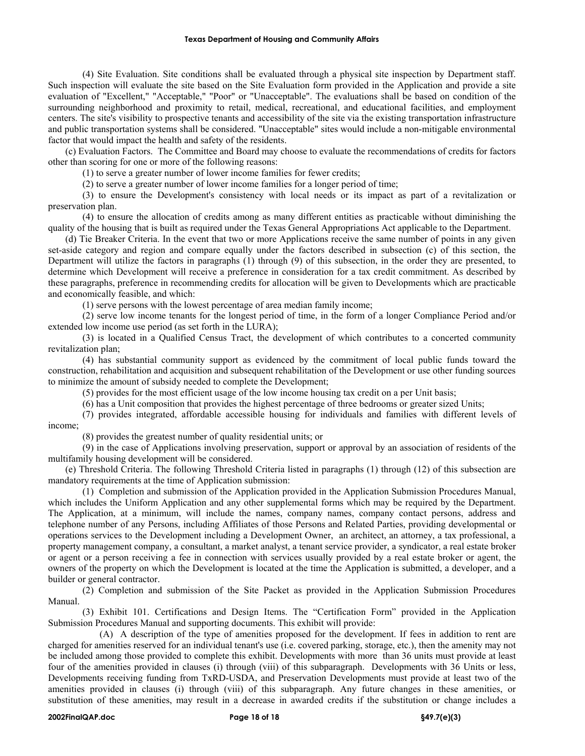(4) Site Evaluation. Site conditions shall be evaluated through a physical site inspection by Department staff. Such inspection will evaluate the site based on the Site Evaluation form provided in the Application and provide a site evaluation of "Excellent," "Acceptable," "Poor" or "Unacceptable". The evaluations shall be based on condition of the surrounding neighborhood and proximity to retail, medical, recreational, and educational facilities, and employment centers. The site's visibility to prospective tenants and accessibility of the site via the existing transportation infrastructure and public transportation systems shall be considered. "Unacceptable" sites would include a non-mitigable environmental factor that would impact the health and safety of the residents.

(c) Evaluation Factors. The Committee and Board may choose to evaluate the recommendations of credits for factors other than scoring for one or more of the following reasons:

(1) to serve a greater number of lower income families for fewer credits;

(2) to serve a greater number of lower income families for a longer period of time;

(3) to ensure the Development's consistency with local needs or its impact as part of a revitalization or preservation plan.

(4) to ensure the allocation of credits among as many different entities as practicable without diminishing the quality of the housing that is built as required under the Texas General Appropriations Act applicable to the Department.

(d) Tie Breaker Criteria. In the event that two or more Applications receive the same number of points in any given set-aside category and region and compare equally under the factors described in subsection (c) of this section, the Department will utilize the factors in paragraphs (1) through (9) of this subsection, in the order they are presented, to determine which Development will receive a preference in consideration for a tax credit commitment. As described by these paragraphs, preference in recommending credits for allocation will be given to Developments which are practicable and economically feasible, and which:

(1) serve persons with the lowest percentage of area median family income;

(2) serve low income tenants for the longest period of time, in the form of a longer Compliance Period and/or extended low income use period (as set forth in the LURA);

(3) is located in a Qualified Census Tract, the development of which contributes to a concerted community revitalization plan;

(4) has substantial community support as evidenced by the commitment of local public funds toward the construction, rehabilitation and acquisition and subsequent rehabilitation of the Development or use other funding sources to minimize the amount of subsidy needed to complete the Development;

(5) provides for the most efficient usage of the low income housing tax credit on a per Unit basis;

(6) has a Unit composition that provides the highest percentage of three bedrooms or greater sized Units;

(7) provides integrated, affordable accessible housing for individuals and families with different levels of income;

(8) provides the greatest number of quality residential units; or

(9) in the case of Applications involving preservation, support or approval by an association of residents of the multifamily housing development will be considered.

(e) Threshold Criteria. The following Threshold Criteria listed in paragraphs (1) through (12) of this subsection are mandatory requirements at the time of Application submission:

(1) Completion and submission of the Application provided in the Application Submission Procedures Manual, which includes the Uniform Application and any other supplemental forms which may be required by the Department. The Application, at a minimum, will include the names, company names, company contact persons, address and telephone number of any Persons, including Affiliates of those Persons and Related Parties, providing developmental or operations services to the Development including a Development Owner, an architect, an attorney, a tax professional, a property management company, a consultant, a market analyst, a tenant service provider, a syndicator, a real estate broker or agent or a person receiving a fee in connection with services usually provided by a real estate broker or agent, the owners of the property on which the Development is located at the time the Application is submitted, a developer, and a builder or general contractor.

(2) Completion and submission of the Site Packet as provided in the Application Submission Procedures Manual.

(3) Exhibit 101. Certifications and Design Items. The "Certification Form" provided in the Application Submission Procedures Manual and supporting documents. This exhibit will provide:

(A) A description of the type of amenities proposed for the development. If fees in addition to rent are charged for amenities reserved for an individual tenant's use (i.e. covered parking, storage, etc.), then the amenity may not be included among those provided to complete this exhibit. Developments with more than 36 units must provide at least four of the amenities provided in clauses (i) through (viii) of this subparagraph. Developments with 36 Units or less, Developments receiving funding from TxRD-USDA, and Preservation Developments must provide at least two of the amenities provided in clauses (i) through (viii) of this subparagraph. Any future changes in these amenities, or substitution of these amenities, may result in a decrease in awarded credits if the substitution or change includes a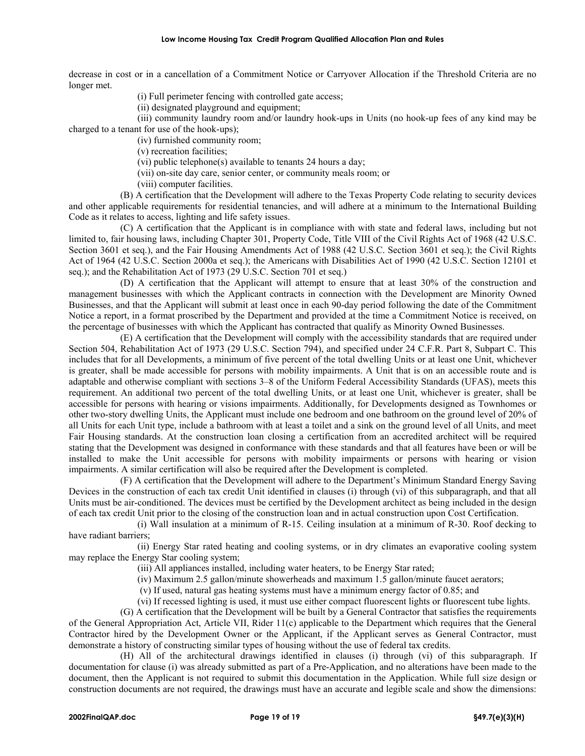decrease in cost or in a cancellation of a Commitment Notice or Carryover Allocation if the Threshold Criteria are no longer met.

(i) Full perimeter fencing with controlled gate access;

(ii) designated playground and equipment;

(iii) community laundry room and/or laundry hook-ups in Units (no hook-up fees of any kind may be charged to a tenant for use of the hook-ups);

(iv) furnished community room;

(v) recreation facilities;

(vi) public telephone(s) available to tenants 24 hours a day;

(vii) on-site day care, senior center, or community meals room; or

(viii) computer facilities.

(B) A certification that the Development will adhere to the Texas Property Code relating to security devices and other applicable requirements for residential tenancies, and will adhere at a minimum to the International Building Code as it relates to access, lighting and life safety issues.

(C) A certification that the Applicant is in compliance with with state and federal laws, including but not limited to, fair housing laws, including Chapter 301, Property Code, Title VIII of the Civil Rights Act of 1968 (42 U.S.C. Section 3601 et seq.), and the Fair Housing Amendments Act of 1988 (42 U.S.C. Section 3601 et seq.); the Civil Rights Act of 1964 (42 U.S.C. Section 2000a et seq.); the Americans with Disabilities Act of 1990 (42 U.S.C. Section 12101 et seq.); and the Rehabilitation Act of 1973 (29 U.S.C. Section 701 et seq.)

(D) A certification that the Applicant will attempt to ensure that at least 30% of the construction and management businesses with which the Applicant contracts in connection with the Development are Minority Owned Businesses, and that the Applicant will submit at least once in each 90-day period following the date of the Commitment Notice a report, in a format proscribed by the Department and provided at the time a Commitment Notice is received, on the percentage of businesses with which the Applicant has contracted that qualify as Minority Owned Businesses.

(E) A certification that the Development will comply with the accessibility standards that are required under Section 504, Rehabilitation Act of 1973 (29 U.S.C. Section 794), and specified under 24 C.F.R. Part 8, Subpart C. This includes that for all Developments, a minimum of five percent of the total dwelling Units or at least one Unit, whichever is greater, shall be made accessible for persons with mobility impairments. A Unit that is on an accessible route and is adaptable and otherwise compliant with sections 3–8 of the Uniform Federal Accessibility Standards (UFAS), meets this requirement. An additional two percent of the total dwelling Units, or at least one Unit, whichever is greater, shall be accessible for persons with hearing or visions impairments. Additionally, for Developments designed as Townhomes or other two-story dwelling Units, the Applicant must include one bedroom and one bathroom on the ground level of 20% of all Units for each Unit type, include a bathroom with at least a toilet and a sink on the ground level of all Units, and meet Fair Housing standards. At the construction loan closing a certification from an accredited architect will be required stating that the Development was designed in conformance with these standards and that all features have been or will be installed to make the Unit accessible for persons with mobility impairments or persons with hearing or vision impairments. A similar certification will also be required after the Development is completed.

(F) A certification that the Development will adhere to the Department's Minimum Standard Energy Saving Devices in the construction of each tax credit Unit identified in clauses (i) through (vi) of this subparagraph, and that all Units must be air-conditioned. The devices must be certified by the Development architect as being included in the design of each tax credit Unit prior to the closing of the construction loan and in actual construction upon Cost Certification.

(i) Wall insulation at a minimum of R-15. Ceiling insulation at a minimum of R-30. Roof decking to have radiant barriers;

(ii) Energy Star rated heating and cooling systems, or in dry climates an evaporative cooling system may replace the Energy Star cooling system;

(iii) All appliances installed, including water heaters, to be Energy Star rated;

(iv) Maximum 2.5 gallon/minute showerheads and maximum 1.5 gallon/minute faucet aerators;

(v) If used, natural gas heating systems must have a minimum energy factor of 0.85; and

(vi) If recessed lighting is used, it must use either compact fluorescent lights or fluorescent tube lights.

(G) A certification that the Development will be built by a General Contractor that satisfies the requirements of the General Appropriation Act, Article VII, Rider 11(c) applicable to the Department which requires that the General Contractor hired by the Development Owner or the Applicant, if the Applicant serves as General Contractor, must demonstrate a history of constructing similar types of housing without the use of federal tax credits.

(H) All of the architectural drawings identified in clauses (i) through (vi) of this subparagraph. If documentation for clause (i) was already submitted as part of a Pre-Application, and no alterations have been made to the document, then the Applicant is not required to submit this documentation in the Application. While full size design or construction documents are not required, the drawings must have an accurate and legible scale and show the dimensions: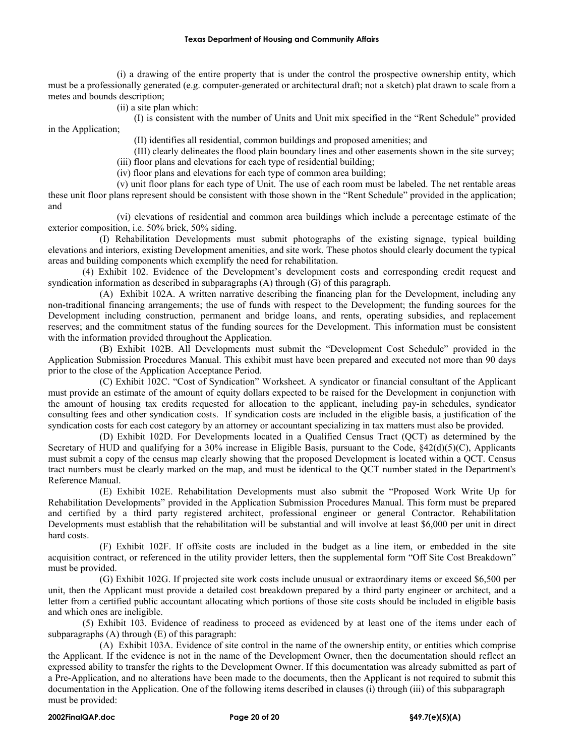(i) a drawing of the entire property that is under the control the prospective ownership entity, which must be a professionally generated (e.g. computer-generated or architectural draft; not a sketch) plat drawn to scale from a metes and bounds description;

(ii) a site plan which:

(I) is consistent with the number of Units and Unit mix specified in the "Rent Schedule" provided in the Application;

(II) identifies all residential, common buildings and proposed amenities; and

(III) clearly delineates the flood plain boundary lines and other easements shown in the site survey;

(iii) floor plans and elevations for each type of residential building;

(iv) floor plans and elevations for each type of common area building;

(v) unit floor plans for each type of Unit. The use of each room must be labeled. The net rentable areas these unit floor plans represent should be consistent with those shown in the "Rent Schedule" provided in the application; and

(vi) elevations of residential and common area buildings which include a percentage estimate of the exterior composition, i.e. 50% brick, 50% siding.

(I) Rehabilitation Developments must submit photographs of the existing signage, typical building elevations and interiors, existing Development amenities, and site work. These photos should clearly document the typical areas and building components which exemplify the need for rehabilitation.

(4) Exhibit 102. Evidence of the Development's development costs and corresponding credit request and syndication information as described in subparagraphs (A) through (G) of this paragraph.

(A) Exhibit 102A. A written narrative describing the financing plan for the Development, including any non-traditional financing arrangements; the use of funds with respect to the Development; the funding sources for the Development including construction, permanent and bridge loans, and rents, operating subsidies, and replacement reserves; and the commitment status of the funding sources for the Development. This information must be consistent with the information provided throughout the Application.

(B) Exhibit 102B. All Developments must submit the "Development Cost Schedule" provided in the Application Submission Procedures Manual. This exhibit must have been prepared and executed not more than 90 days prior to the close of the Application Acceptance Period.

(C) Exhibit 102C. "Cost of Syndication" Worksheet. A syndicator or financial consultant of the Applicant must provide an estimate of the amount of equity dollars expected to be raised for the Development in conjunction with the amount of housing tax credits requested for allocation to the applicant, including pay-in schedules, syndicator consulting fees and other syndication costs. If syndication costs are included in the eligible basis, a justification of the syndication costs for each cost category by an attorney or accountant specializing in tax matters must also be provided.

(D) Exhibit 102D. For Developments located in a Qualified Census Tract (QCT) as determined by the Secretary of HUD and qualifying for a 30% increase in Eligible Basis, pursuant to the Code, §42(d)(5)(C), Applicants must submit a copy of the census map clearly showing that the proposed Development is located within a QCT. Census tract numbers must be clearly marked on the map, and must be identical to the QCT number stated in the Department's Reference Manual.

(E) Exhibit 102E. Rehabilitation Developments must also submit the "Proposed Work Write Up for Rehabilitation Developments" provided in the Application Submission Procedures Manual. This form must be prepared and certified by a third party registered architect, professional engineer or general Contractor. Rehabilitation Developments must establish that the rehabilitation will be substantial and will involve at least \$6,000 per unit in direct hard costs.

(F) Exhibit 102F. If offsite costs are included in the budget as a line item, or embedded in the site acquisition contract, or referenced in the utility provider letters, then the supplemental form "Off Site Cost Breakdown" must be provided.

(G) Exhibit 102G. If projected site work costs include unusual or extraordinary items or exceed \$6,500 per unit, then the Applicant must provide a detailed cost breakdown prepared by a third party engineer or architect, and a letter from a certified public accountant allocating which portions of those site costs should be included in eligible basis and which ones are ineligible.

(5) Exhibit 103. Evidence of readiness to proceed as evidenced by at least one of the items under each of subparagraphs (A) through (E) of this paragraph:

(A) Exhibit 103A. Evidence of site control in the name of the ownership entity, or entities which comprise the Applicant. If the evidence is not in the name of the Development Owner, then the documentation should reflect an expressed ability to transfer the rights to the Development Owner. If this documentation was already submitted as part of a Pre-Application, and no alterations have been made to the documents, then the Applicant is not required to submit this documentation in the Application. One of the following items described in clauses (i) through (iii) of this subparagraph must be provided: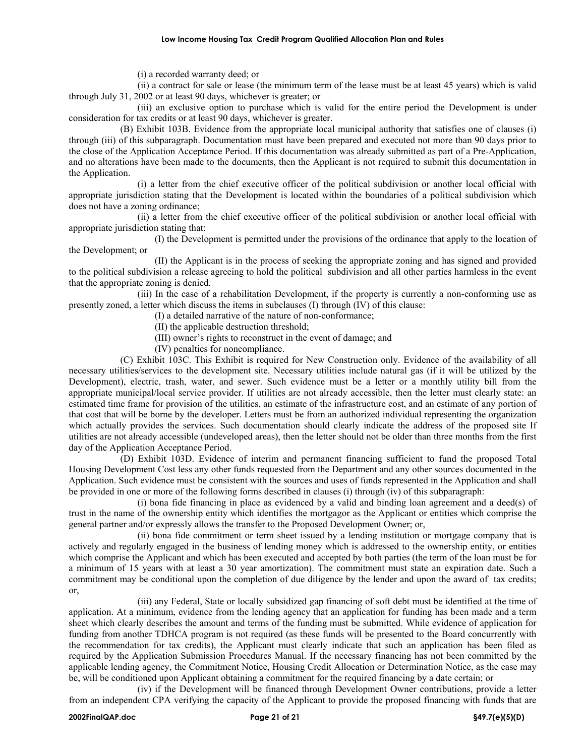### **Low Income Housing Tax Credit Program Qualified Allocation Plan and Rules**

(i) a recorded warranty deed; or

(ii) a contract for sale or lease (the minimum term of the lease must be at least 45 years) which is valid through July 31, 2002 or at least 90 days, whichever is greater; or

(iii) an exclusive option to purchase which is valid for the entire period the Development is under consideration for tax credits or at least 90 days, whichever is greater.

(B) Exhibit 103B. Evidence from the appropriate local municipal authority that satisfies one of clauses (i) through (iii) of this subparagraph. Documentation must have been prepared and executed not more than 90 days prior to the close of the Application Acceptance Period. If this documentation was already submitted as part of a Pre-Application, and no alterations have been made to the documents, then the Applicant is not required to submit this documentation in the Application.

(i) a letter from the chief executive officer of the political subdivision or another local official with appropriate jurisdiction stating that the Development is located within the boundaries of a political subdivision which does not have a zoning ordinance;

(ii) a letter from the chief executive officer of the political subdivision or another local official with appropriate jurisdiction stating that:

(I) the Development is permitted under the provisions of the ordinance that apply to the location of the Development; or

(II) the Applicant is in the process of seeking the appropriate zoning and has signed and provided to the political subdivision a release agreeing to hold the political subdivision and all other parties harmless in the event that the appropriate zoning is denied.

(iii) In the case of a rehabilitation Development, if the property is currently a non-conforming use as presently zoned, a letter which discuss the items in subclauses (I) through (IV) of this clause:

- (I) a detailed narrative of the nature of non-conformance;
- (II) the applicable destruction threshold;
- (III) owner's rights to reconstruct in the event of damage; and
- (IV) penalties for noncompliance.

(C) Exhibit 103C. This Exhibit is required for New Construction only. Evidence of the availability of all necessary utilities/services to the development site. Necessary utilities include natural gas (if it will be utilized by the Development), electric, trash, water, and sewer. Such evidence must be a letter or a monthly utility bill from the appropriate municipal/local service provider. If utilities are not already accessible, then the letter must clearly state: an estimated time frame for provision of the utilities, an estimate of the infrastructure cost, and an estimate of any portion of that cost that will be borne by the developer. Letters must be from an authorized individual representing the organization which actually provides the services. Such documentation should clearly indicate the address of the proposed site If utilities are not already accessible (undeveloped areas), then the letter should not be older than three months from the first day of the Application Acceptance Period.

(D) Exhibit 103D. Evidence of interim and permanent financing sufficient to fund the proposed Total Housing Development Cost less any other funds requested from the Department and any other sources documented in the Application. Such evidence must be consistent with the sources and uses of funds represented in the Application and shall be provided in one or more of the following forms described in clauses (i) through (iv) of this subparagraph:

(i) bona fide financing in place as evidenced by a valid and binding loan agreement and a deed(s) of trust in the name of the ownership entity which identifies the mortgagor as the Applicant or entities which comprise the general partner and/or expressly allows the transfer to the Proposed Development Owner; or,

(ii) bona fide commitment or term sheet issued by a lending institution or mortgage company that is actively and regularly engaged in the business of lending money which is addressed to the ownership entity, or entities which comprise the Applicant and which has been executed and accepted by both parties (the term of the loan must be for a minimum of 15 years with at least a 30 year amortization). The commitment must state an expiration date. Such a commitment may be conditional upon the completion of due diligence by the lender and upon the award of tax credits; or,

(iii) any Federal, State or locally subsidized gap financing of soft debt must be identified at the time of application. At a minimum, evidence from the lending agency that an application for funding has been made and a term sheet which clearly describes the amount and terms of the funding must be submitted. While evidence of application for funding from another TDHCA program is not required (as these funds will be presented to the Board concurrently with the recommendation for tax credits), the Applicant must clearly indicate that such an application has been filed as required by the Application Submission Procedures Manual. If the necessary financing has not been committed by the applicable lending agency, the Commitment Notice, Housing Credit Allocation or Determination Notice, as the case may be, will be conditioned upon Applicant obtaining a commitment for the required financing by a date certain; or

(iv) if the Development will be financed through Development Owner contributions, provide a letter from an independent CPA verifying the capacity of the Applicant to provide the proposed financing with funds that are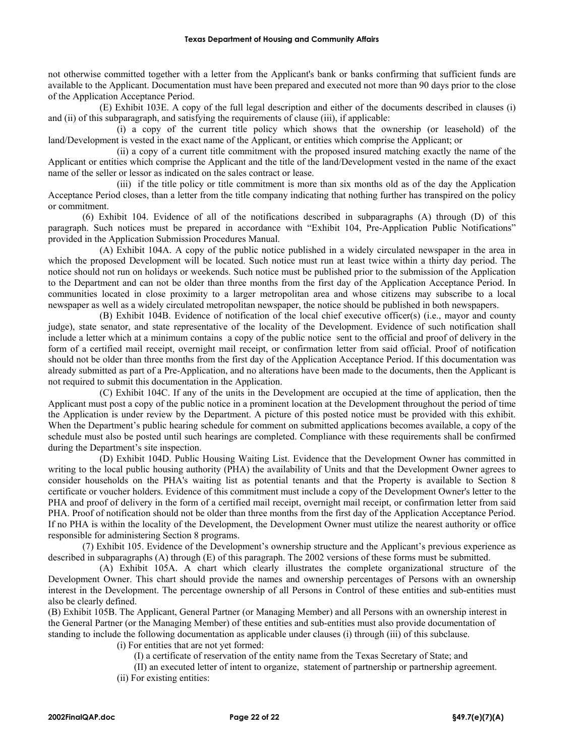not otherwise committed together with a letter from the Applicant's bank or banks confirming that sufficient funds are available to the Applicant. Documentation must have been prepared and executed not more than 90 days prior to the close of the Application Acceptance Period.

(E) Exhibit 103E. A copy of the full legal description and either of the documents described in clauses (i) and (ii) of this subparagraph, and satisfying the requirements of clause (iii), if applicable:

(i) a copy of the current title policy which shows that the ownership (or leasehold) of the land/Development is vested in the exact name of the Applicant, or entities which comprise the Applicant; or

(ii) a copy of a current title commitment with the proposed insured matching exactly the name of the Applicant or entities which comprise the Applicant and the title of the land/Development vested in the name of the exact name of the seller or lessor as indicated on the sales contract or lease.

(iii) if the title policy or title commitment is more than six months old as of the day the Application Acceptance Period closes, than a letter from the title company indicating that nothing further has transpired on the policy or commitment.

(6) Exhibit 104. Evidence of all of the notifications described in subparagraphs (A) through (D) of this paragraph. Such notices must be prepared in accordance with "Exhibit 104, Pre-Application Public Notifications" provided in the Application Submission Procedures Manual.

(A) Exhibit 104A. A copy of the public notice published in a widely circulated newspaper in the area in which the proposed Development will be located. Such notice must run at least twice within a thirty day period. The notice should not run on holidays or weekends. Such notice must be published prior to the submission of the Application to the Department and can not be older than three months from the first day of the Application Acceptance Period. In communities located in close proximity to a larger metropolitan area and whose citizens may subscribe to a local newspaper as well as a widely circulated metropolitan newspaper, the notice should be published in both newspapers.

(B) Exhibit 104B. Evidence of notification of the local chief executive officer(s) (i.e., mayor and county judge), state senator, and state representative of the locality of the Development. Evidence of such notification shall include a letter which at a minimum contains a copy of the public notice sent to the official and proof of delivery in the form of a certified mail receipt, overnight mail receipt, or confirmation letter from said official. Proof of notification should not be older than three months from the first day of the Application Acceptance Period. If this documentation was already submitted as part of a Pre-Application, and no alterations have been made to the documents, then the Applicant is not required to submit this documentation in the Application.

(C) Exhibit 104C. If any of the units in the Development are occupied at the time of application, then the Applicant must post a copy of the public notice in a prominent location at the Development throughout the period of time the Application is under review by the Department. A picture of this posted notice must be provided with this exhibit. When the Department's public hearing schedule for comment on submitted applications becomes available, a copy of the schedule must also be posted until such hearings are completed. Compliance with these requirements shall be confirmed during the Department's site inspection.

(D) Exhibit 104D. Public Housing Waiting List. Evidence that the Development Owner has committed in writing to the local public housing authority (PHA) the availability of Units and that the Development Owner agrees to consider households on the PHA's waiting list as potential tenants and that the Property is available to Section 8 certificate or voucher holders. Evidence of this commitment must include a copy of the Development Owner's letter to the PHA and proof of delivery in the form of a certified mail receipt, overnight mail receipt, or confirmation letter from said PHA. Proof of notification should not be older than three months from the first day of the Application Acceptance Period. If no PHA is within the locality of the Development, the Development Owner must utilize the nearest authority or office responsible for administering Section 8 programs.

(7) Exhibit 105. Evidence of the Development's ownership structure and the Applicant's previous experience as described in subparagraphs (A) through (E) of this paragraph. The 2002 versions of these forms must be submitted.

(A) Exhibit 105A. A chart which clearly illustrates the complete organizational structure of the Development Owner. This chart should provide the names and ownership percentages of Persons with an ownership interest in the Development. The percentage ownership of all Persons in Control of these entities and sub-entities must also be clearly defined.

(B) Exhibit 105B. The Applicant, General Partner (or Managing Member) and all Persons with an ownership interest in the General Partner (or the Managing Member) of these entities and sub-entities must also provide documentation of standing to include the following documentation as applicable under clauses (i) through (iii) of this subclause.

(i) For entities that are not yet formed:

(I) a certificate of reservation of the entity name from the Texas Secretary of State; and

(II) an executed letter of intent to organize, statement of partnership or partnership agreement.

(ii) For existing entities: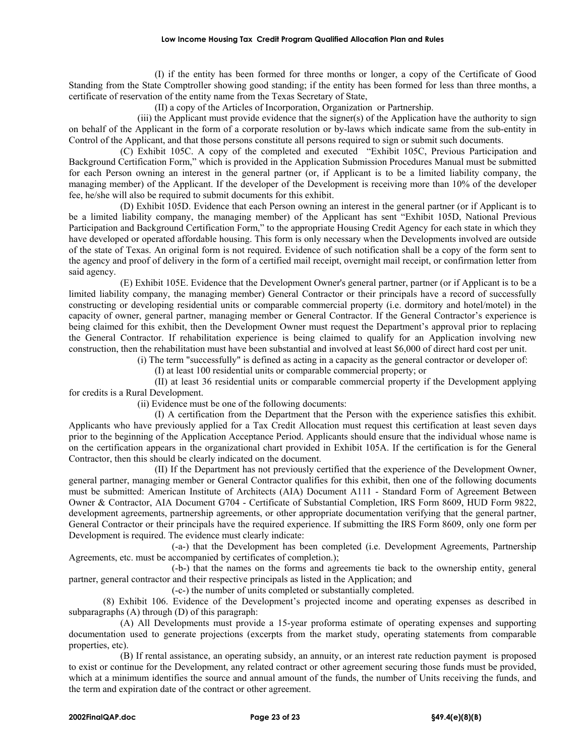### **Low Income Housing Tax Credit Program Qualified Allocation Plan and Rules**

(I) if the entity has been formed for three months or longer, a copy of the Certificate of Good Standing from the State Comptroller showing good standing; if the entity has been formed for less than three months, a certificate of reservation of the entity name from the Texas Secretary of State,

(II) a copy of the Articles of Incorporation, Organization or Partnership.

(iii) the Applicant must provide evidence that the signer(s) of the Application have the authority to sign on behalf of the Applicant in the form of a corporate resolution or by-laws which indicate same from the sub-entity in Control of the Applicant, and that those persons constitute all persons required to sign or submit such documents.

(C) Exhibit 105C. A copy of the completed and executed "Exhibit 105C, Previous Participation and Background Certification Form," which is provided in the Application Submission Procedures Manual must be submitted for each Person owning an interest in the general partner (or, if Applicant is to be a limited liability company, the managing member) of the Applicant. If the developer of the Development is receiving more than 10% of the developer fee, he/she will also be required to submit documents for this exhibit.

(D) Exhibit 105D. Evidence that each Person owning an interest in the general partner (or if Applicant is to be a limited liability company, the managing member) of the Applicant has sent "Exhibit 105D, National Previous Participation and Background Certification Form," to the appropriate Housing Credit Agency for each state in which they have developed or operated affordable housing. This form is only necessary when the Developments involved are outside of the state of Texas. An original form is not required. Evidence of such notification shall be a copy of the form sent to the agency and proof of delivery in the form of a certified mail receipt, overnight mail receipt, or confirmation letter from said agency.

(E) Exhibit 105E. Evidence that the Development Owner's general partner, partner (or if Applicant is to be a limited liability company, the managing member) General Contractor or their principals have a record of successfully constructing or developing residential units or comparable commercial property (i.e. dormitory and hotel/motel) in the capacity of owner, general partner, managing member or General Contractor. If the General Contractor's experience is being claimed for this exhibit, then the Development Owner must request the Department's approval prior to replacing the General Contractor. If rehabilitation experience is being claimed to qualify for an Application involving new construction, then the rehabilitation must have been substantial and involved at least \$6,000 of direct hard cost per unit.

(i) The term "successfully" is defined as acting in a capacity as the general contractor or developer of:

(I) at least 100 residential units or comparable commercial property; or

(II) at least 36 residential units or comparable commercial property if the Development applying for credits is a Rural Development.

(ii) Evidence must be one of the following documents:

(I) A certification from the Department that the Person with the experience satisfies this exhibit. Applicants who have previously applied for a Tax Credit Allocation must request this certification at least seven days prior to the beginning of the Application Acceptance Period. Applicants should ensure that the individual whose name is on the certification appears in the organizational chart provided in Exhibit 105A. If the certification is for the General Contractor, then this should be clearly indicated on the document.

(II) If the Department has not previously certified that the experience of the Development Owner, general partner, managing member or General Contractor qualifies for this exhibit, then one of the following documents must be submitted: American Institute of Architects (AIA) Document A111 - Standard Form of Agreement Between Owner & Contractor, AIA Document G704 - Certificate of Substantial Completion, IRS Form 8609, HUD Form 9822, development agreements, partnership agreements, or other appropriate documentation verifying that the general partner, General Contractor or their principals have the required experience. If submitting the IRS Form 8609, only one form per Development is required. The evidence must clearly indicate:

(-a-) that the Development has been completed (i.e. Development Agreements, Partnership Agreements, etc. must be accompanied by certificates of completion.);

(-b-) that the names on the forms and agreements tie back to the ownership entity, general partner, general contractor and their respective principals as listed in the Application; and

(-c-) the number of units completed or substantially completed.

(8) Exhibit 106. Evidence of the Development's projected income and operating expenses as described in subparagraphs (A) through (D) of this paragraph:

(A) All Developments must provide a 15-year proforma estimate of operating expenses and supporting documentation used to generate projections (excerpts from the market study, operating statements from comparable properties, etc).

(B) If rental assistance, an operating subsidy, an annuity, or an interest rate reduction payment is proposed to exist or continue for the Development, any related contract or other agreement securing those funds must be provided, which at a minimum identifies the source and annual amount of the funds, the number of Units receiving the funds, and the term and expiration date of the contract or other agreement.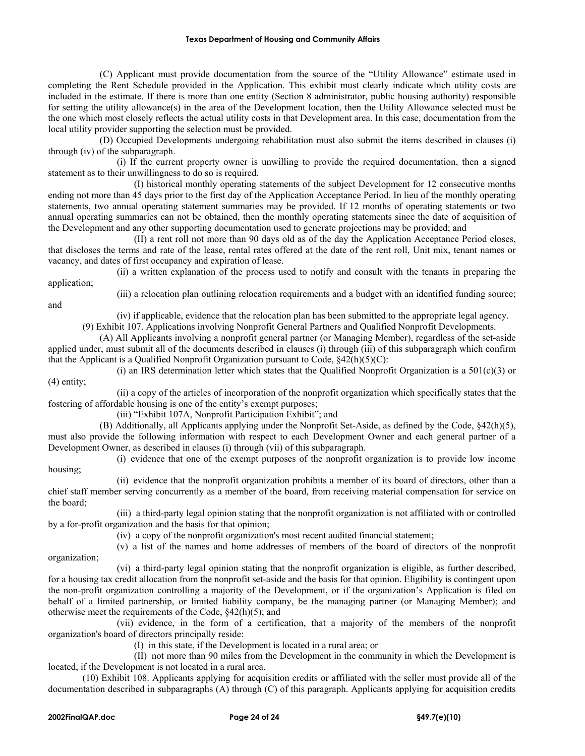### **Texas Department of Housing and Community Affairs**

(C) Applicant must provide documentation from the source of the "Utility Allowance" estimate used in completing the Rent Schedule provided in the Application. This exhibit must clearly indicate which utility costs are included in the estimate. If there is more than one entity (Section 8 administrator, public housing authority) responsible for setting the utility allowance(s) in the area of the Development location, then the Utility Allowance selected must be the one which most closely reflects the actual utility costs in that Development area. In this case, documentation from the local utility provider supporting the selection must be provided.

(D) Occupied Developments undergoing rehabilitation must also submit the items described in clauses (i) through (iv) of the subparagraph.

(i) If the current property owner is unwilling to provide the required documentation, then a signed statement as to their unwillingness to do so is required.

(I) historical monthly operating statements of the subject Development for 12 consecutive months ending not more than 45 days prior to the first day of the Application Acceptance Period. In lieu of the monthly operating statements, two annual operating statement summaries may be provided. If 12 months of operating statements or two annual operating summaries can not be obtained, then the monthly operating statements since the date of acquisition of the Development and any other supporting documentation used to generate projections may be provided; and

(II) a rent roll not more than 90 days old as of the day the Application Acceptance Period closes, that discloses the terms and rate of the lease, rental rates offered at the date of the rent roll, Unit mix, tenant names or vacancy, and dates of first occupancy and expiration of lease.

(ii) a written explanation of the process used to notify and consult with the tenants in preparing the application;

and

(iii) a relocation plan outlining relocation requirements and a budget with an identified funding source;

(iv) if applicable, evidence that the relocation plan has been submitted to the appropriate legal agency.

(9) Exhibit 107. Applications involving Nonprofit General Partners and Qualified Nonprofit Developments.

(A) All Applicants involving a nonprofit general partner (or Managing Member), regardless of the set-aside applied under, must submit all of the documents described in clauses (i) through (iii) of this subparagraph which confirm that the Applicant is a Qualified Nonprofit Organization pursuant to Code,  $\frac{242(h)(5)(C)}{2}$ :

(i) an IRS determination letter which states that the Qualified Nonprofit Organization is a  $501(c)(3)$  or (4) entity;

(ii) a copy of the articles of incorporation of the nonprofit organization which specifically states that the fostering of affordable housing is one of the entity's exempt purposes;

(iii) "Exhibit 107A, Nonprofit Participation Exhibit"; and

(B) Additionally, all Applicants applying under the Nonprofit Set-Aside, as defined by the Code, §42(h)(5), must also provide the following information with respect to each Development Owner and each general partner of a Development Owner, as described in clauses (i) through (vii) of this subparagraph.

(i) evidence that one of the exempt purposes of the nonprofit organization is to provide low income housing;

(ii) evidence that the nonprofit organization prohibits a member of its board of directors, other than a chief staff member serving concurrently as a member of the board, from receiving material compensation for service on the board;

(iii) a third-party legal opinion stating that the nonprofit organization is not affiliated with or controlled by a for-profit organization and the basis for that opinion;

(iv) a copy of the nonprofit organization's most recent audited financial statement;

(v) a list of the names and home addresses of members of the board of directors of the nonprofit organization;

(vi) a third-party legal opinion stating that the nonprofit organization is eligible, as further described, for a housing tax credit allocation from the nonprofit set-aside and the basis for that opinion. Eligibility is contingent upon the non-profit organization controlling a majority of the Development, or if the organization's Application is filed on behalf of a limited partnership, or limited liability company, be the managing partner (or Managing Member); and otherwise meet the requirements of the Code, §42(h)(5); and

(vii) evidence, in the form of a certification, that a majority of the members of the nonprofit organization's board of directors principally reside:

(I) in this state, if the Development is located in a rural area; or

(II) not more than 90 miles from the Development in the community in which the Development is located, if the Development is not located in a rural area.

(10) Exhibit 108. Applicants applying for acquisition credits or affiliated with the seller must provide all of the documentation described in subparagraphs (A) through (C) of this paragraph. Applicants applying for acquisition credits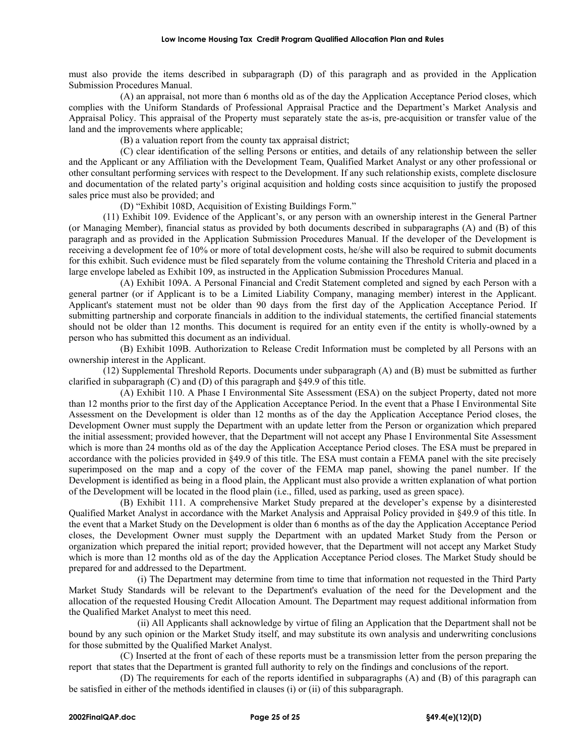must also provide the items described in subparagraph (D) of this paragraph and as provided in the Application Submission Procedures Manual.

(A) an appraisal, not more than 6 months old as of the day the Application Acceptance Period closes, which complies with the Uniform Standards of Professional Appraisal Practice and the Department's Market Analysis and Appraisal Policy. This appraisal of the Property must separately state the as-is, pre-acquisition or transfer value of the land and the improvements where applicable;

(B) a valuation report from the county tax appraisal district;

(C) clear identification of the selling Persons or entities, and details of any relationship between the seller and the Applicant or any Affiliation with the Development Team, Qualified Market Analyst or any other professional or other consultant performing services with respect to the Development. If any such relationship exists, complete disclosure and documentation of the related party's original acquisition and holding costs since acquisition to justify the proposed sales price must also be provided; and

(D) "Exhibit 108D, Acquisition of Existing Buildings Form."

(11) Exhibit 109. Evidence of the Applicant's, or any person with an ownership interest in the General Partner (or Managing Member), financial status as provided by both documents described in subparagraphs (A) and (B) of this paragraph and as provided in the Application Submission Procedures Manual. If the developer of the Development is receiving a development fee of 10% or more of total development costs, he/she will also be required to submit documents for this exhibit. Such evidence must be filed separately from the volume containing the Threshold Criteria and placed in a large envelope labeled as Exhibit 109, as instructed in the Application Submission Procedures Manual.

(A) Exhibit 109A. A Personal Financial and Credit Statement completed and signed by each Person with a general partner (or if Applicant is to be a Limited Liability Company, managing member) interest in the Applicant. Applicant's statement must not be older than 90 days from the first day of the Application Acceptance Period. If submitting partnership and corporate financials in addition to the individual statements, the certified financial statements should not be older than 12 months. This document is required for an entity even if the entity is wholly-owned by a person who has submitted this document as an individual.

(B) Exhibit 109B. Authorization to Release Credit Information must be completed by all Persons with an ownership interest in the Applicant.

(12) Supplemental Threshold Reports. Documents under subparagraph (A) and (B) must be submitted as further clarified in subparagraph (C) and (D) of this paragraph and §49.9 of this title.

(A) Exhibit 110. A Phase I Environmental Site Assessment (ESA) on the subject Property, dated not more than 12 months prior to the first day of the Application Acceptance Period. In the event that a Phase I Environmental Site Assessment on the Development is older than 12 months as of the day the Application Acceptance Period closes, the Development Owner must supply the Department with an update letter from the Person or organization which prepared the initial assessment; provided however, that the Department will not accept any Phase I Environmental Site Assessment which is more than 24 months old as of the day the Application Acceptance Period closes. The ESA must be prepared in accordance with the policies provided in §49.9 of this title. The ESA must contain a FEMA panel with the site precisely superimposed on the map and a copy of the cover of the FEMA map panel, showing the panel number. If the Development is identified as being in a flood plain, the Applicant must also provide a written explanation of what portion of the Development will be located in the flood plain (i.e., filled, used as parking, used as green space).

(B) Exhibit 111. A comprehensive Market Study prepared at the developer's expense by a disinterested Qualified Market Analyst in accordance with the Market Analysis and Appraisal Policy provided in §49.9 of this title. In the event that a Market Study on the Development is older than 6 months as of the day the Application Acceptance Period closes, the Development Owner must supply the Department with an updated Market Study from the Person or organization which prepared the initial report; provided however, that the Department will not accept any Market Study which is more than 12 months old as of the day the Application Acceptance Period closes. The Market Study should be prepared for and addressed to the Department.

(i) The Department may determine from time to time that information not requested in the Third Party Market Study Standards will be relevant to the Department's evaluation of the need for the Development and the allocation of the requested Housing Credit Allocation Amount. The Department may request additional information from the Qualified Market Analyst to meet this need.

(ii) All Applicants shall acknowledge by virtue of filing an Application that the Department shall not be bound by any such opinion or the Market Study itself, and may substitute its own analysis and underwriting conclusions for those submitted by the Qualified Market Analyst.

(C) Inserted at the front of each of these reports must be a transmission letter from the person preparing the report that states that the Department is granted full authority to rely on the findings and conclusions of the report.

(D) The requirements for each of the reports identified in subparagraphs (A) and (B) of this paragraph can be satisfied in either of the methods identified in clauses (i) or (ii) of this subparagraph.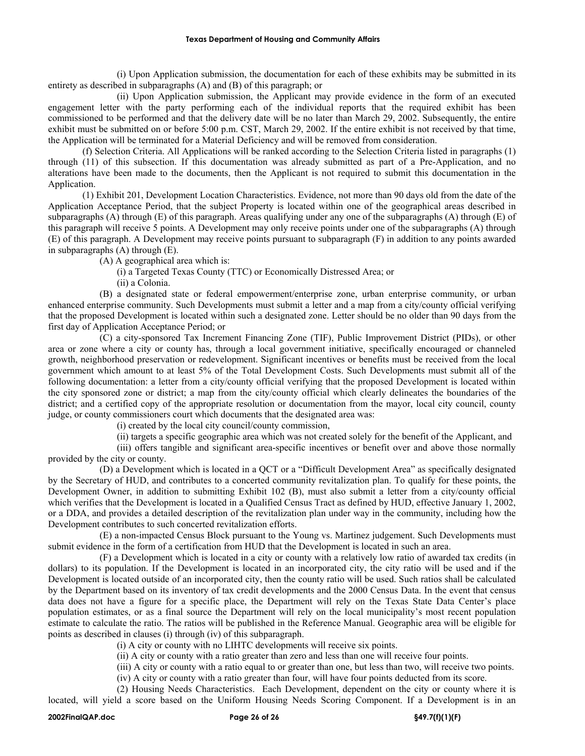(i) Upon Application submission, the documentation for each of these exhibits may be submitted in its entirety as described in subparagraphs (A) and (B) of this paragraph; or

(ii) Upon Application submission, the Applicant may provide evidence in the form of an executed engagement letter with the party performing each of the individual reports that the required exhibit has been commissioned to be performed and that the delivery date will be no later than March 29, 2002. Subsequently, the entire exhibit must be submitted on or before 5:00 p.m. CST, March 29, 2002. If the entire exhibit is not received by that time, the Application will be terminated for a Material Deficiency and will be removed from consideration.

(f) Selection Criteria. All Applications will be ranked according to the Selection Criteria listed in paragraphs (1) through (11) of this subsection. If this documentation was already submitted as part of a Pre-Application, and no alterations have been made to the documents, then the Applicant is not required to submit this documentation in the Application.

(1) Exhibit 201, Development Location Characteristics. Evidence, not more than 90 days old from the date of the Application Acceptance Period, that the subject Property is located within one of the geographical areas described in subparagraphs (A) through (E) of this paragraph. Areas qualifying under any one of the subparagraphs (A) through (E) of this paragraph will receive 5 points. A Development may only receive points under one of the subparagraphs (A) through (E) of this paragraph. A Development may receive points pursuant to subparagraph (F) in addition to any points awarded in subparagraphs (A) through (E).

(A) A geographical area which is:

(i) a Targeted Texas County (TTC) or Economically Distressed Area; or

(ii) a Colonia.

(B) a designated state or federal empowerment/enterprise zone, urban enterprise community, or urban enhanced enterprise community. Such Developments must submit a letter and a map from a city/county official verifying that the proposed Development is located within such a designated zone. Letter should be no older than 90 days from the first day of Application Acceptance Period; or

(C) a city-sponsored Tax Increment Financing Zone (TIF), Public Improvement District (PIDs), or other area or zone where a city or county has, through a local government initiative, specifically encouraged or channeled growth, neighborhood preservation or redevelopment. Significant incentives or benefits must be received from the local government which amount to at least 5% of the Total Development Costs. Such Developments must submit all of the following documentation: a letter from a city/county official verifying that the proposed Development is located within the city sponsored zone or district; a map from the city/county official which clearly delineates the boundaries of the district; and a certified copy of the appropriate resolution or documentation from the mayor, local city council, county judge, or county commissioners court which documents that the designated area was:

(i) created by the local city council/county commission,

(ii) targets a specific geographic area which was not created solely for the benefit of the Applicant, and

(iii) offers tangible and significant area-specific incentives or benefit over and above those normally provided by the city or county.

(D) a Development which is located in a QCT or a "Difficult Development Area" as specifically designated by the Secretary of HUD, and contributes to a concerted community revitalization plan. To qualify for these points, the Development Owner, in addition to submitting Exhibit 102 (B), must also submit a letter from a city/county official which verifies that the Development is located in a Qualified Census Tract as defined by HUD, effective January 1, 2002, or a DDA, and provides a detailed description of the revitalization plan under way in the community, including how the Development contributes to such concerted revitalization efforts.

(E) a non-impacted Census Block pursuant to the Young vs. Martinez judgement. Such Developments must submit evidence in the form of a certification from HUD that the Development is located in such an area.

(F) a Development which is located in a city or county with a relatively low ratio of awarded tax credits (in dollars) to its population. If the Development is located in an incorporated city, the city ratio will be used and if the Development is located outside of an incorporated city, then the county ratio will be used. Such ratios shall be calculated by the Department based on its inventory of tax credit developments and the 2000 Census Data. In the event that census data does not have a figure for a specific place, the Department will rely on the Texas State Data Center's place population estimates, or as a final source the Department will rely on the local municipality's most recent population estimate to calculate the ratio. The ratios will be published in the Reference Manual. Geographic area will be eligible for points as described in clauses (i) through (iv) of this subparagraph.

(i) A city or county with no LIHTC developments will receive six points.

(ii) A city or county with a ratio greater than zero and less than one will receive four points.

(iii) A city or county with a ratio equal to or greater than one, but less than two, will receive two points.

(iv) A city or county with a ratio greater than four, will have four points deducted from its score.

(2) Housing Needs Characteristics. Each Development, dependent on the city or county where it is located, will yield a score based on the Uniform Housing Needs Scoring Component. If a Development is in an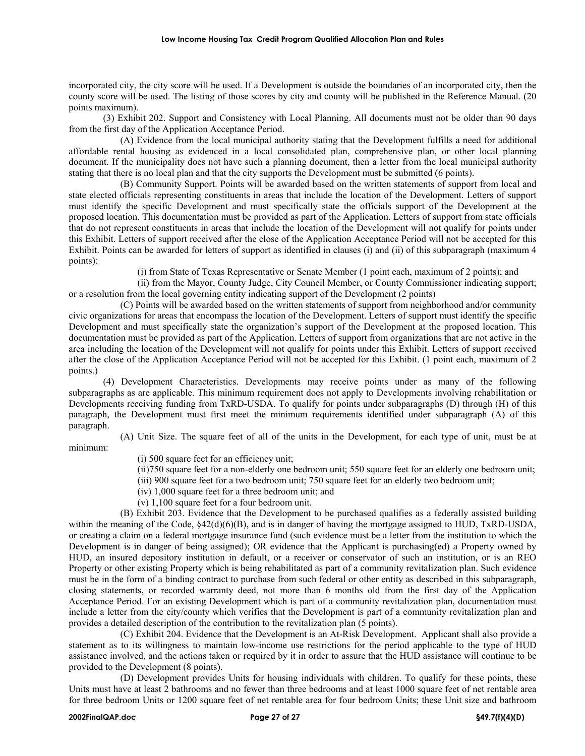incorporated city, the city score will be used. If a Development is outside the boundaries of an incorporated city, then the county score will be used. The listing of those scores by city and county will be published in the Reference Manual. (20 points maximum).

(3) Exhibit 202. Support and Consistency with Local Planning. All documents must not be older than 90 days from the first day of the Application Acceptance Period.

(A) Evidence from the local municipal authority stating that the Development fulfills a need for additional affordable rental housing as evidenced in a local consolidated plan, comprehensive plan, or other local planning document. If the municipality does not have such a planning document, then a letter from the local municipal authority stating that there is no local plan and that the city supports the Development must be submitted (6 points).

(B) Community Support. Points will be awarded based on the written statements of support from local and state elected officials representing constituents in areas that include the location of the Development. Letters of support must identify the specific Development and must specifically state the officials support of the Development at the proposed location. This documentation must be provided as part of the Application. Letters of support from state officials that do not represent constituents in areas that include the location of the Development will not qualify for points under this Exhibit. Letters of support received after the close of the Application Acceptance Period will not be accepted for this Exhibit. Points can be awarded for letters of support as identified in clauses (i) and (ii) of this subparagraph (maximum 4 points):

(i) from State of Texas Representative or Senate Member (1 point each, maximum of 2 points); and

(ii) from the Mayor, County Judge, City Council Member, or County Commissioner indicating support; or a resolution from the local governing entity indicating support of the Development (2 points)

(C) Points will be awarded based on the written statements of support from neighborhood and/or community civic organizations for areas that encompass the location of the Development. Letters of support must identify the specific Development and must specifically state the organization's support of the Development at the proposed location. This documentation must be provided as part of the Application. Letters of support from organizations that are not active in the area including the location of the Development will not qualify for points under this Exhibit. Letters of support received after the close of the Application Acceptance Period will not be accepted for this Exhibit. (1 point each, maximum of 2 points.)

(4) Development Characteristics. Developments may receive points under as many of the following subparagraphs as are applicable. This minimum requirement does not apply to Developments involving rehabilitation or Developments receiving funding from TxRD-USDA. To qualify for points under subparagraphs (D) through (H) of this paragraph, the Development must first meet the minimum requirements identified under subparagraph (A) of this paragraph.

(A) Unit Size. The square feet of all of the units in the Development, for each type of unit, must be at minimum:

- (i) 500 square feet for an efficiency unit;
- (ii)750 square feet for a non-elderly one bedroom unit; 550 square feet for an elderly one bedroom unit;
- (iii) 900 square feet for a two bedroom unit; 750 square feet for an elderly two bedroom unit;
- (iv) 1,000 square feet for a three bedroom unit; and
- (v) 1,100 square feet for a four bedroom unit.

(B) Exhibit 203. Evidence that the Development to be purchased qualifies as a federally assisted building within the meaning of the Code,  $\frac{842(d)(6)(B)}{B}$ , and is in danger of having the mortgage assigned to HUD, TxRD-USDA, or creating a claim on a federal mortgage insurance fund (such evidence must be a letter from the institution to which the Development is in danger of being assigned); OR evidence that the Applicant is purchasing(ed) a Property owned by HUD, an insured depository institution in default, or a receiver or conservator of such an institution, or is an REO Property or other existing Property which is being rehabilitated as part of a community revitalization plan. Such evidence must be in the form of a binding contract to purchase from such federal or other entity as described in this subparagraph, closing statements, or recorded warranty deed, not more than 6 months old from the first day of the Application Acceptance Period. For an existing Development which is part of a community revitalization plan, documentation must include a letter from the city/county which verifies that the Development is part of a community revitalization plan and provides a detailed description of the contribution to the revitalization plan (5 points).

(C) Exhibit 204. Evidence that the Development is an At-Risk Development. Applicant shall also provide a statement as to its willingness to maintain low-income use restrictions for the period applicable to the type of HUD assistance involved, and the actions taken or required by it in order to assure that the HUD assistance will continue to be provided to the Development (8 points).

(D) Development provides Units for housing individuals with children. To qualify for these points, these Units must have at least 2 bathrooms and no fewer than three bedrooms and at least 1000 square feet of net rentable area for three bedroom Units or 1200 square feet of net rentable area for four bedroom Units; these Unit size and bathroom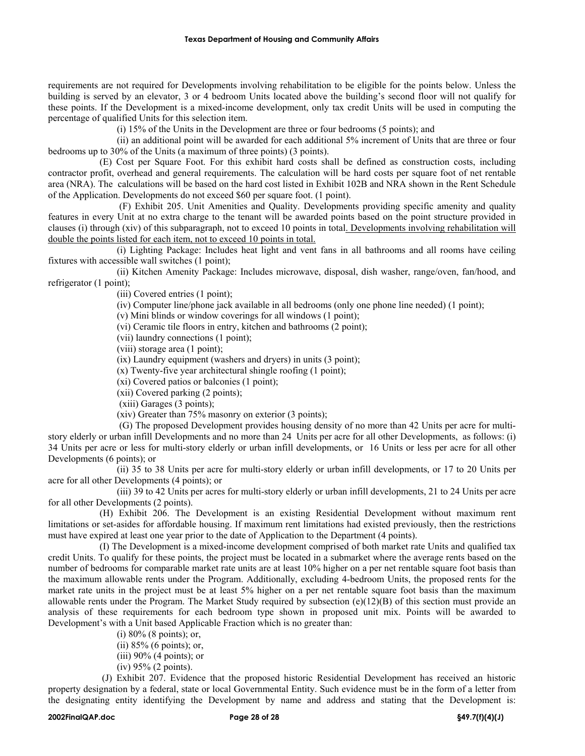requirements are not required for Developments involving rehabilitation to be eligible for the points below. Unless the building is served by an elevator, 3 or 4 bedroom Units located above the building's second floor will not qualify for these points. If the Development is a mixed-income development, only tax credit Units will be used in computing the percentage of qualified Units for this selection item.

(i) 15% of the Units in the Development are three or four bedrooms (5 points); and

(ii) an additional point will be awarded for each additional 5% increment of Units that are three or four bedrooms up to 30% of the Units (a maximum of three points) (3 points).

(E) Cost per Square Foot. For this exhibit hard costs shall be defined as construction costs, including contractor profit, overhead and general requirements. The calculation will be hard costs per square foot of net rentable area (NRA). The calculations will be based on the hard cost listed in Exhibit 102B and NRA shown in the Rent Schedule of the Application. Developments do not exceed \$60 per square foot. (1 point).

(F) Exhibit 205. Unit Amenities and Quality. Developments providing specific amenity and quality features in every Unit at no extra charge to the tenant will be awarded points based on the point structure provided in clauses (i) through (xiv) of this subparagraph, not to exceed 10 points in total. Developments involving rehabilitation will double the points listed for each item, not to exceed 10 points in total.

(i) Lighting Package: Includes heat light and vent fans in all bathrooms and all rooms have ceiling fixtures with accessible wall switches (1 point);

(ii) Kitchen Amenity Package: Includes microwave, disposal, dish washer, range/oven, fan/hood, and refrigerator (1 point);

(iii) Covered entries (1 point);

(iv) Computer line/phone jack available in all bedrooms (only one phone line needed) (1 point);

(v) Mini blinds or window coverings for all windows (1 point);

(vi) Ceramic tile floors in entry, kitchen and bathrooms (2 point);

(vii) laundry connections (1 point);

(viii) storage area (1 point);

(ix) Laundry equipment (washers and dryers) in units (3 point);

(x) Twenty-five year architectural shingle roofing (1 point);

(xi) Covered patios or balconies (1 point);

(xii) Covered parking (2 points);

(xiii) Garages (3 points);

(xiv) Greater than 75% masonry on exterior (3 points);

(G) The proposed Development provides housing density of no more than 42 Units per acre for multistory elderly or urban infill Developments and no more than 24 Units per acre for all other Developments, as follows: (i) 34 Units per acre or less for multi-story elderly or urban infill developments, or 16 Units or less per acre for all other Developments (6 points); or

(ii) 35 to 38 Units per acre for multi-story elderly or urban infill developments, or 17 to 20 Units per acre for all other Developments (4 points); or

(iii) 39 to 42 Units per acres for multi-story elderly or urban infill developments, 21 to 24 Units per acre for all other Developments (2 points).

(H) Exhibit 206. The Development is an existing Residential Development without maximum rent limitations or set-asides for affordable housing. If maximum rent limitations had existed previously, then the restrictions must have expired at least one year prior to the date of Application to the Department (4 points).

(I) The Development is a mixed-income development comprised of both market rate Units and qualified tax credit Units. To qualify for these points, the project must be located in a submarket where the average rents based on the number of bedrooms for comparable market rate units are at least 10% higher on a per net rentable square foot basis than the maximum allowable rents under the Program. Additionally, excluding 4-bedroom Units, the proposed rents for the market rate units in the project must be at least 5% higher on a per net rentable square foot basis than the maximum allowable rents under the Program. The Market Study required by subsection (e)(12)(B) of this section must provide an analysis of these requirements for each bedroom type shown in proposed unit mix. Points will be awarded to Development's with a Unit based Applicable Fraction which is no greater than:

(i) 80% (8 points); or, (ii) 85% (6 points); or, (iii) 90% (4 points); or (iv) 95% (2 points).

(J) Exhibit 207. Evidence that the proposed historic Residential Development has received an historic property designation by a federal, state or local Governmental Entity. Such evidence must be in the form of a letter from the designating entity identifying the Development by name and address and stating that the Development is: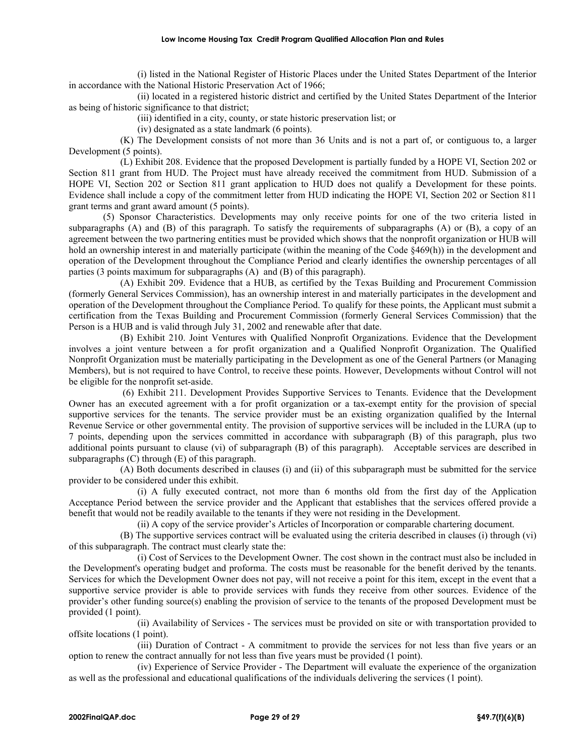(i) listed in the National Register of Historic Places under the United States Department of the Interior in accordance with the National Historic Preservation Act of 1966;

(ii) located in a registered historic district and certified by the United States Department of the Interior as being of historic significance to that district;

(iii) identified in a city, county, or state historic preservation list; or

(iv) designated as a state landmark (6 points).

(K) The Development consists of not more than 36 Units and is not a part of, or contiguous to, a larger Development (5 points).

(L) Exhibit 208. Evidence that the proposed Development is partially funded by a HOPE VI, Section 202 or Section 811 grant from HUD. The Project must have already received the commitment from HUD. Submission of a HOPE VI, Section 202 or Section 811 grant application to HUD does not qualify a Development for these points. Evidence shall include a copy of the commitment letter from HUD indicating the HOPE VI, Section 202 or Section 811 grant terms and grant award amount (5 points).

(5) Sponsor Characteristics. Developments may only receive points for one of the two criteria listed in subparagraphs (A) and (B) of this paragraph. To satisfy the requirements of subparagraphs (A) or (B), a copy of an agreement between the two partnering entities must be provided which shows that the nonprofit organization or HUB will hold an ownership interest in and materially participate (within the meaning of the Code §469(h)) in the development and operation of the Development throughout the Compliance Period and clearly identifies the ownership percentages of all parties (3 points maximum for subparagraphs (A) and (B) of this paragraph).

(A) Exhibit 209. Evidence that a HUB, as certified by the Texas Building and Procurement Commission (formerly General Services Commission), has an ownership interest in and materially participates in the development and operation of the Development throughout the Compliance Period. To qualify for these points, the Applicant must submit a certification from the Texas Building and Procurement Commission (formerly General Services Commission) that the Person is a HUB and is valid through July 31, 2002 and renewable after that date.

(B) Exhibit 210. Joint Ventures with Qualified Nonprofit Organizations. Evidence that the Development involves a joint venture between a for profit organization and a Qualified Nonprofit Organization. The Qualified Nonprofit Organization must be materially participating in the Development as one of the General Partners (or Managing Members), but is not required to have Control, to receive these points. However, Developments without Control will not be eligible for the nonprofit set-aside.

(6) Exhibit 211. Development Provides Supportive Services to Tenants. Evidence that the Development Owner has an executed agreement with a for profit organization or a tax-exempt entity for the provision of special supportive services for the tenants. The service provider must be an existing organization qualified by the Internal Revenue Service or other governmental entity. The provision of supportive services will be included in the LURA (up to 7 points, depending upon the services committed in accordance with subparagraph (B) of this paragraph, plus two additional points pursuant to clause (vi) of subparagraph (B) of this paragraph). Acceptable services are described in subparagraphs (C) through (E) of this paragraph.

(A) Both documents described in clauses (i) and (ii) of this subparagraph must be submitted for the service provider to be considered under this exhibit.

(i) A fully executed contract, not more than 6 months old from the first day of the Application Acceptance Period between the service provider and the Applicant that establishes that the services offered provide a benefit that would not be readily available to the tenants if they were not residing in the Development.

(ii) A copy of the service provider's Articles of Incorporation or comparable chartering document.

(B) The supportive services contract will be evaluated using the criteria described in clauses (i) through (vi) of this subparagraph. The contract must clearly state the:

(i) Cost of Services to the Development Owner. The cost shown in the contract must also be included in the Development's operating budget and proforma. The costs must be reasonable for the benefit derived by the tenants. Services for which the Development Owner does not pay, will not receive a point for this item, except in the event that a supportive service provider is able to provide services with funds they receive from other sources. Evidence of the provider's other funding source(s) enabling the provision of service to the tenants of the proposed Development must be provided (1 point).

(ii) Availability of Services - The services must be provided on site or with transportation provided to offsite locations (1 point).

(iii) Duration of Contract - A commitment to provide the services for not less than five years or an option to renew the contract annually for not less than five years must be provided (1 point).

(iv) Experience of Service Provider - The Department will evaluate the experience of the organization as well as the professional and educational qualifications of the individuals delivering the services (1 point).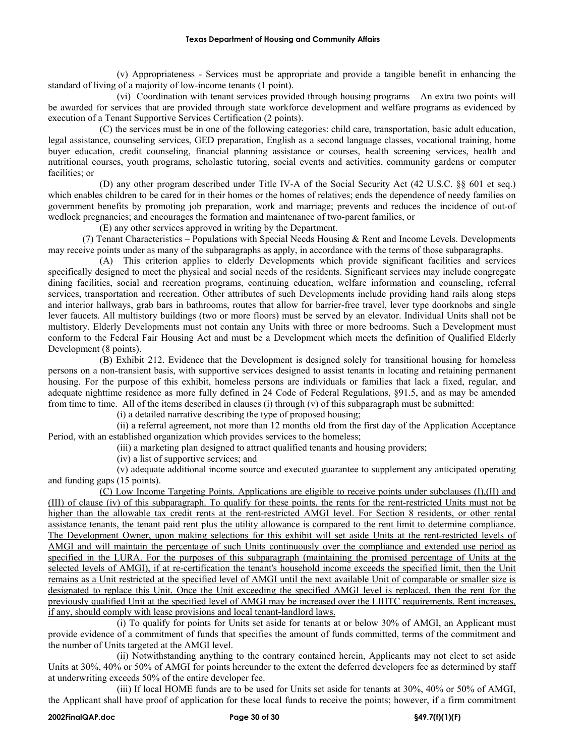(v) Appropriateness - Services must be appropriate and provide a tangible benefit in enhancing the standard of living of a majority of low-income tenants (1 point).

(vi) Coordination with tenant services provided through housing programs – An extra two points will be awarded for services that are provided through state workforce development and welfare programs as evidenced by execution of a Tenant Supportive Services Certification (2 points).

(C) the services must be in one of the following categories: child care, transportation, basic adult education, legal assistance, counseling services, GED preparation, English as a second language classes, vocational training, home buyer education, credit counseling, financial planning assistance or courses, health screening services, health and nutritional courses, youth programs, scholastic tutoring, social events and activities, community gardens or computer facilities; or

(D) any other program described under Title IV-A of the Social Security Act (42 U.S.C. §§ 601 et seq.) which enables children to be cared for in their homes or the homes of relatives; ends the dependence of needy families on government benefits by promoting job preparation, work and marriage; prevents and reduces the incidence of out-of wedlock pregnancies; and encourages the formation and maintenance of two-parent families, or

(E) any other services approved in writing by the Department.

(7) Tenant Characteristics – Populations with Special Needs Housing & Rent and Income Levels. Developments may receive points under as many of the subparagraphs as apply, in accordance with the terms of those subparagraphs.

(A) This criterion applies to elderly Developments which provide significant facilities and services specifically designed to meet the physical and social needs of the residents. Significant services may include congregate dining facilities, social and recreation programs, continuing education, welfare information and counseling, referral services, transportation and recreation. Other attributes of such Developments include providing hand rails along steps and interior hallways, grab bars in bathrooms, routes that allow for barrier-free travel, lever type doorknobs and single lever faucets. All multistory buildings (two or more floors) must be served by an elevator. Individual Units shall not be multistory. Elderly Developments must not contain any Units with three or more bedrooms. Such a Development must conform to the Federal Fair Housing Act and must be a Development which meets the definition of Qualified Elderly Development (8 points).

(B) Exhibit 212. Evidence that the Development is designed solely for transitional housing for homeless persons on a non-transient basis, with supportive services designed to assist tenants in locating and retaining permanent housing. For the purpose of this exhibit, homeless persons are individuals or families that lack a fixed, regular, and adequate nighttime residence as more fully defined in 24 Code of Federal Regulations, §91.5, and as may be amended from time to time. All of the items described in clauses (i) through (v) of this subparagraph must be submitted:

(i) a detailed narrative describing the type of proposed housing;

(ii) a referral agreement, not more than 12 months old from the first day of the Application Acceptance Period, with an established organization which provides services to the homeless;

(iii) a marketing plan designed to attract qualified tenants and housing providers;

(iv) a list of supportive services; and

(v) adequate additional income source and executed guarantee to supplement any anticipated operating and funding gaps (15 points).

(C) Low Income Targeting Points. Applications are eligible to receive points under subclauses (I),(II) and (III) of clause (iv) of this subparagraph. To qualify for these points, the rents for the rent-restricted Units must not be higher than the allowable tax credit rents at the rent-restricted AMGI level. For Section 8 residents, or other rental assistance tenants, the tenant paid rent plus the utility allowance is compared to the rent limit to determine compliance. The Development Owner, upon making selections for this exhibit will set aside Units at the rent-restricted levels of AMGI and will maintain the percentage of such Units continuously over the compliance and extended use period as specified in the LURA. For the purposes of this subparagraph (maintaining the promised percentage of Units at the selected levels of AMGI), if at re-certification the tenant's household income exceeds the specified limit, then the Unit remains as a Unit restricted at the specified level of AMGI until the next available Unit of comparable or smaller size is designated to replace this Unit. Once the Unit exceeding the specified AMGI level is replaced, then the rent for the previously qualified Unit at the specified level of AMGI may be increased over the LIHTC requirements. Rent increases, if any, should comply with lease provisions and local tenant-landlord laws.

(i) To qualify for points for Units set aside for tenants at or below 30% of AMGI, an Applicant must provide evidence of a commitment of funds that specifies the amount of funds committed, terms of the commitment and the number of Units targeted at the AMGI level.

(ii) Notwithstanding anything to the contrary contained herein, Applicants may not elect to set aside Units at 30%, 40% or 50% of AMGI for points hereunder to the extent the deferred developers fee as determined by staff at underwriting exceeds 50% of the entire developer fee.

(iii) If local HOME funds are to be used for Units set aside for tenants at 30%, 40% or 50% of AMGI, the Applicant shall have proof of application for these local funds to receive the points; however, if a firm commitment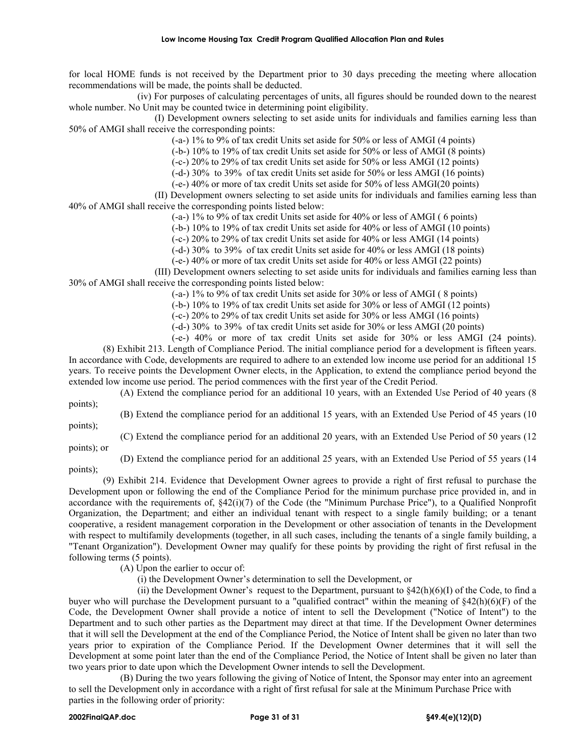for local HOME funds is not received by the Department prior to 30 days preceding the meeting where allocation recommendations will be made, the points shall be deducted.

(iv) For purposes of calculating percentages of units, all figures should be rounded down to the nearest whole number. No Unit may be counted twice in determining point eligibility.

(I) Development owners selecting to set aside units for individuals and families earning less than 50% of AMGI shall receive the corresponding points:

(-a-) 1% to 9% of tax credit Units set aside for 50% or less of AMGI (4 points)

(-b-) 10% to 19% of tax credit Units set aside for 50% or less of AMGI (8 points)

(-c-) 20% to 29% of tax credit Units set aside for 50% or less AMGI (12 points)

(-d-) 30% to 39% of tax credit Units set aside for 50% or less AMGI (16 points)

(-e-) 40% or more of tax credit Units set aside for 50% of less AMGI(20 points)

(II) Development owners selecting to set aside units for individuals and families earning less than 40% of AMGI shall receive the corresponding points listed below:

(-a-) 1% to 9% of tax credit Units set aside for 40% or less of AMGI ( 6 points)

(-b-) 10% to 19% of tax credit Units set aside for 40% or less of AMGI (10 points)

(-c-) 20% to 29% of tax credit Units set aside for 40% or less AMGI (14 points)

(-d-) 30% to 39% of tax credit Units set aside for 40% or less AMGI (18 points)

(-e-) 40% or more of tax credit Units set aside for 40% or less AMGI (22 points)

(III) Development owners selecting to set aside units for individuals and families earning less than 30% of AMGI shall receive the corresponding points listed below:

(-a-) 1% to 9% of tax credit Units set aside for 30% or less of AMGI ( 8 points)

(-b-) 10% to 19% of tax credit Units set aside for 30% or less of AMGI (12 points)

(-c-) 20% to 29% of tax credit Units set aside for 30% or less AMGI (16 points)

(-d-) 30% to 39% of tax credit Units set aside for 30% or less AMGI (20 points)

(-e-) 40% or more of tax credit Units set aside for 30% or less AMGI (24 points).

(8) Exhibit 213. Length of Compliance Period. The initial compliance period for a development is fifteen years. In accordance with Code, developments are required to adhere to an extended low income use period for an additional 15 years. To receive points the Development Owner elects, in the Application, to extend the compliance period beyond the extended low income use period. The period commences with the first year of the Credit Period.

(A) Extend the compliance period for an additional 10 years, with an Extended Use Period of 40 years (8 points);

(B) Extend the compliance period for an additional 15 years, with an Extended Use Period of 45 years (10

points);

(C) Extend the compliance period for an additional 20 years, with an Extended Use Period of 50 years (12 points); or

(D) Extend the compliance period for an additional 25 years, with an Extended Use Period of 55 years (14

points);

(9) Exhibit 214. Evidence that Development Owner agrees to provide a right of first refusal to purchase the Development upon or following the end of the Compliance Period for the minimum purchase price provided in, and in accordance with the requirements of,  $\S42(i)(7)$  of the Code (the "Minimum Purchase Price"), to a Qualified Nonprofit Organization, the Department; and either an individual tenant with respect to a single family building; or a tenant cooperative, a resident management corporation in the Development or other association of tenants in the Development with respect to multifamily developments (together, in all such cases, including the tenants of a single family building, a "Tenant Organization"). Development Owner may qualify for these points by providing the right of first refusal in the following terms (5 points).

(A) Upon the earlier to occur of:

(i) the Development Owner's determination to sell the Development, or

(ii) the Development Owner's request to the Department, pursuant to  $\frac{842(h)(6)}{I}$  of the Code, to find a buyer who will purchase the Development pursuant to a "qualified contract" within the meaning of  $\S 42(h)(6)(F)$  of the Code, the Development Owner shall provide a notice of intent to sell the Development ("Notice of Intent") to the Department and to such other parties as the Department may direct at that time. If the Development Owner determines that it will sell the Development at the end of the Compliance Period, the Notice of Intent shall be given no later than two years prior to expiration of the Compliance Period. If the Development Owner determines that it will sell the Development at some point later than the end of the Compliance Period, the Notice of Intent shall be given no later than two years prior to date upon which the Development Owner intends to sell the Development.

(B) During the two years following the giving of Notice of Intent, the Sponsor may enter into an agreement to sell the Development only in accordance with a right of first refusal for sale at the Minimum Purchase Price with parties in the following order of priority: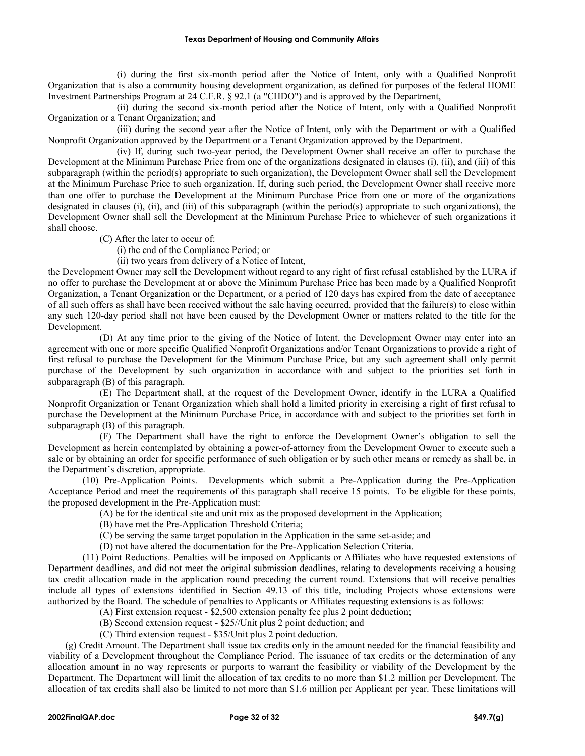(i) during the first six-month period after the Notice of Intent, only with a Qualified Nonprofit Organization that is also a community housing development organization, as defined for purposes of the federal HOME Investment Partnerships Program at 24 C.F.R. § 92.1 (a "CHDO") and is approved by the Department,

(ii) during the second six-month period after the Notice of Intent, only with a Qualified Nonprofit Organization or a Tenant Organization; and

(iii) during the second year after the Notice of Intent, only with the Department or with a Qualified Nonprofit Organization approved by the Department or a Tenant Organization approved by the Department.

(iv) If, during such two-year period, the Development Owner shall receive an offer to purchase the Development at the Minimum Purchase Price from one of the organizations designated in clauses (i), (ii), and (iii) of this subparagraph (within the period(s) appropriate to such organization), the Development Owner shall sell the Development at the Minimum Purchase Price to such organization. If, during such period, the Development Owner shall receive more than one offer to purchase the Development at the Minimum Purchase Price from one or more of the organizations designated in clauses (i), (ii), and (iii) of this subparagraph (within the period(s) appropriate to such organizations), the Development Owner shall sell the Development at the Minimum Purchase Price to whichever of such organizations it shall choose.

(C) After the later to occur of:

(i) the end of the Compliance Period; or

(ii) two years from delivery of a Notice of Intent,

the Development Owner may sell the Development without regard to any right of first refusal established by the LURA if no offer to purchase the Development at or above the Minimum Purchase Price has been made by a Qualified Nonprofit Organization, a Tenant Organization or the Department, or a period of 120 days has expired from the date of acceptance of all such offers as shall have been received without the sale having occurred, provided that the failure(s) to close within any such 120-day period shall not have been caused by the Development Owner or matters related to the title for the Development.

(D) At any time prior to the giving of the Notice of Intent, the Development Owner may enter into an agreement with one or more specific Qualified Nonprofit Organizations and/or Tenant Organizations to provide a right of first refusal to purchase the Development for the Minimum Purchase Price, but any such agreement shall only permit purchase of the Development by such organization in accordance with and subject to the priorities set forth in subparagraph (B) of this paragraph.

(E) The Department shall, at the request of the Development Owner, identify in the LURA a Qualified Nonprofit Organization or Tenant Organization which shall hold a limited priority in exercising a right of first refusal to purchase the Development at the Minimum Purchase Price, in accordance with and subject to the priorities set forth in subparagraph (B) of this paragraph.

(F) The Department shall have the right to enforce the Development Owner's obligation to sell the Development as herein contemplated by obtaining a power-of-attorney from the Development Owner to execute such a sale or by obtaining an order for specific performance of such obligation or by such other means or remedy as shall be, in the Department's discretion, appropriate.

(10) Pre-Application Points. Developments which submit a Pre-Application during the Pre-Application Acceptance Period and meet the requirements of this paragraph shall receive 15 points. To be eligible for these points, the proposed development in the Pre-Application must:

(A) be for the identical site and unit mix as the proposed development in the Application;

- (B) have met the Pre-Application Threshold Criteria;
- (C) be serving the same target population in the Application in the same set-aside; and
- (D) not have altered the documentation for the Pre-Application Selection Criteria.

(11) Point Reductions. Penalties will be imposed on Applicants or Affiliates who have requested extensions of Department deadlines, and did not meet the original submission deadlines, relating to developments receiving a housing tax credit allocation made in the application round preceding the current round. Extensions that will receive penalties include all types of extensions identified in Section 49.13 of this title, including Projects whose extensions were authorized by the Board. The schedule of penalties to Applicants or Affiliates requesting extensions is as follows:

- (A) First extension request \$2,500 extension penalty fee plus 2 point deduction;
- (B) Second extension request \$25//Unit plus 2 point deduction; and

(C) Third extension request - \$35/Unit plus 2 point deduction.

(g) Credit Amount. The Department shall issue tax credits only in the amount needed for the financial feasibility and viability of a Development throughout the Compliance Period. The issuance of tax credits or the determination of any allocation amount in no way represents or purports to warrant the feasibility or viability of the Development by the Department. The Department will limit the allocation of tax credits to no more than \$1.2 million per Development. The allocation of tax credits shall also be limited to not more than \$1.6 million per Applicant per year. These limitations will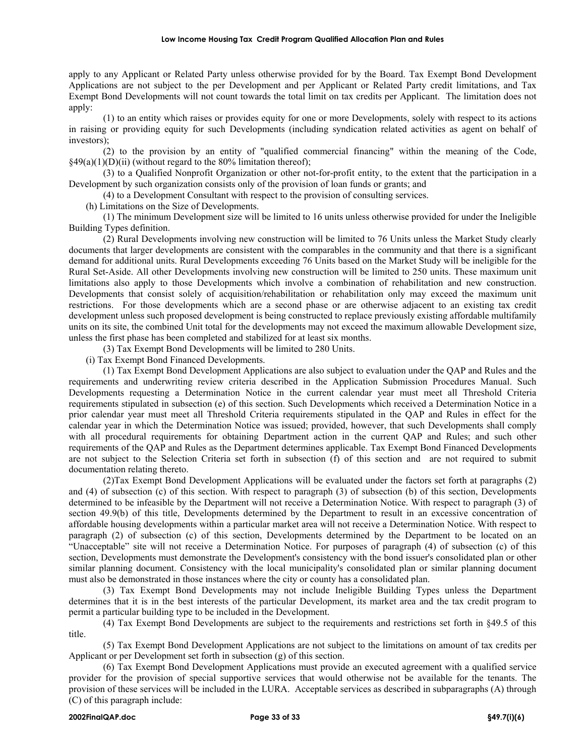apply to any Applicant or Related Party unless otherwise provided for by the Board. Tax Exempt Bond Development Applications are not subject to the per Development and per Applicant or Related Party credit limitations, and Tax Exempt Bond Developments will not count towards the total limit on tax credits per Applicant. The limitation does not apply:

(1) to an entity which raises or provides equity for one or more Developments, solely with respect to its actions in raising or providing equity for such Developments (including syndication related activities as agent on behalf of investors);

(2) to the provision by an entity of "qualified commercial financing" within the meaning of the Code,  $§49(a)(1)(D)(ii)$  (without regard to the 80% limitation thereof);

(3) to a Qualified Nonprofit Organization or other not-for-profit entity, to the extent that the participation in a Development by such organization consists only of the provision of loan funds or grants; and

(4) to a Development Consultant with respect to the provision of consulting services.

(h) Limitations on the Size of Developments.

(1) The minimum Development size will be limited to 16 units unless otherwise provided for under the Ineligible Building Types definition.

(2) Rural Developments involving new construction will be limited to 76 Units unless the Market Study clearly documents that larger developments are consistent with the comparables in the community and that there is a significant demand for additional units. Rural Developments exceeding 76 Units based on the Market Study will be ineligible for the Rural Set-Aside. All other Developments involving new construction will be limited to 250 units. These maximum unit limitations also apply to those Developments which involve a combination of rehabilitation and new construction. Developments that consist solely of acquisition/rehabilitation or rehabilitation only may exceed the maximum unit restrictions. For those developments which are a second phase or are otherwise adjacent to an existing tax credit development unless such proposed development is being constructed to replace previously existing affordable multifamily units on its site, the combined Unit total for the developments may not exceed the maximum allowable Development size, unless the first phase has been completed and stabilized for at least six months.

(3) Tax Exempt Bond Developments will be limited to 280 Units.

(i) Tax Exempt Bond Financed Developments.

(1) Tax Exempt Bond Development Applications are also subject to evaluation under the QAP and Rules and the requirements and underwriting review criteria described in the Application Submission Procedures Manual. Such Developments requesting a Determination Notice in the current calendar year must meet all Threshold Criteria requirements stipulated in subsection (e) of this section. Such Developments which received a Determination Notice in a prior calendar year must meet all Threshold Criteria requirements stipulated in the QAP and Rules in effect for the calendar year in which the Determination Notice was issued; provided, however, that such Developments shall comply with all procedural requirements for obtaining Department action in the current QAP and Rules; and such other requirements of the QAP and Rules as the Department determines applicable. Tax Exempt Bond Financed Developments are not subject to the Selection Criteria set forth in subsection (f) of this section and are not required to submit documentation relating thereto.

(2)Tax Exempt Bond Development Applications will be evaluated under the factors set forth at paragraphs (2) and (4) of subsection (c) of this section. With respect to paragraph (3) of subsection (b) of this section, Developments determined to be infeasible by the Department will not receive a Determination Notice. With respect to paragraph (3) of section 49.9(b) of this title, Developments determined by the Department to result in an excessive concentration of affordable housing developments within a particular market area will not receive a Determination Notice. With respect to paragraph (2) of subsection (c) of this section, Developments determined by the Department to be located on an "Unacceptable" site will not receive a Determination Notice. For purposes of paragraph (4) of subsection (c) of this section, Developments must demonstrate the Development's consistency with the bond issuer's consolidated plan or other similar planning document. Consistency with the local municipality's consolidated plan or similar planning document must also be demonstrated in those instances where the city or county has a consolidated plan.

(3) Tax Exempt Bond Developments may not include Ineligible Building Types unless the Department determines that it is in the best interests of the particular Development, its market area and the tax credit program to permit a particular building type to be included in the Development.

(4) Tax Exempt Bond Developments are subject to the requirements and restrictions set forth in §49.5 of this title.

(5) Tax Exempt Bond Development Applications are not subject to the limitations on amount of tax credits per Applicant or per Development set forth in subsection (g) of this section.

(6) Tax Exempt Bond Development Applications must provide an executed agreement with a qualified service provider for the provision of special supportive services that would otherwise not be available for the tenants. The provision of these services will be included in the LURA. Acceptable services as described in subparagraphs (A) through (C) of this paragraph include: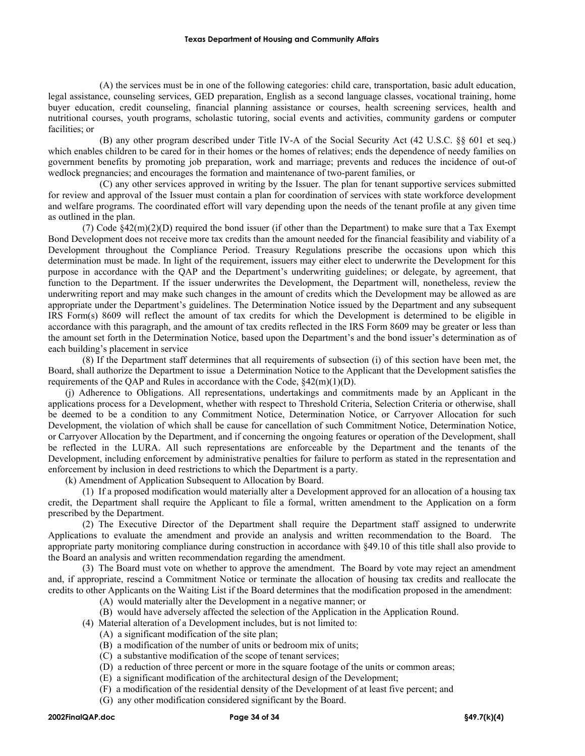(A) the services must be in one of the following categories: child care, transportation, basic adult education, legal assistance, counseling services, GED preparation, English as a second language classes, vocational training, home buyer education, credit counseling, financial planning assistance or courses, health screening services, health and nutritional courses, youth programs, scholastic tutoring, social events and activities, community gardens or computer facilities; or

(B) any other program described under Title IV-A of the Social Security Act (42 U.S.C. §§ 601 et seq.) which enables children to be cared for in their homes or the homes of relatives; ends the dependence of needy families on government benefits by promoting job preparation, work and marriage; prevents and reduces the incidence of out-of wedlock pregnancies; and encourages the formation and maintenance of two-parent families, or

(C) any other services approved in writing by the Issuer. The plan for tenant supportive services submitted for review and approval of the Issuer must contain a plan for coordination of services with state workforce development and welfare programs. The coordinated effort will vary depending upon the needs of the tenant profile at any given time as outlined in the plan.

(7) Code §42(m)(2)(D) required the bond issuer (if other than the Department) to make sure that a Tax Exempt Bond Development does not receive more tax credits than the amount needed for the financial feasibility and viability of a Development throughout the Compliance Period. Treasury Regulations prescribe the occasions upon which this determination must be made. In light of the requirement, issuers may either elect to underwrite the Development for this purpose in accordance with the QAP and the Department's underwriting guidelines; or delegate, by agreement, that function to the Department. If the issuer underwrites the Development, the Department will, nonetheless, review the underwriting report and may make such changes in the amount of credits which the Development may be allowed as are appropriate under the Department's guidelines. The Determination Notice issued by the Department and any subsequent IRS Form(s) 8609 will reflect the amount of tax credits for which the Development is determined to be eligible in accordance with this paragraph, and the amount of tax credits reflected in the IRS Form 8609 may be greater or less than the amount set forth in the Determination Notice, based upon the Department's and the bond issuer's determination as of each building's placement in service

(8) If the Department staff determines that all requirements of subsection (i) of this section have been met, the Board, shall authorize the Department to issue a Determination Notice to the Applicant that the Development satisfies the requirements of the QAP and Rules in accordance with the Code, §42(m)(1)(D).

(j) Adherence to Obligations. All representations, undertakings and commitments made by an Applicant in the applications process for a Development, whether with respect to Threshold Criteria, Selection Criteria or otherwise, shall be deemed to be a condition to any Commitment Notice, Determination Notice, or Carryover Allocation for such Development, the violation of which shall be cause for cancellation of such Commitment Notice, Determination Notice, or Carryover Allocation by the Department, and if concerning the ongoing features or operation of the Development, shall be reflected in the LURA. All such representations are enforceable by the Department and the tenants of the Development, including enforcement by administrative penalties for failure to perform as stated in the representation and enforcement by inclusion in deed restrictions to which the Department is a party.

(k) Amendment of Application Subsequent to Allocation by Board.

(1) If a proposed modification would materially alter a Development approved for an allocation of a housing tax credit, the Department shall require the Applicant to file a formal, written amendment to the Application on a form prescribed by the Department.

(2) The Executive Director of the Department shall require the Department staff assigned to underwrite Applications to evaluate the amendment and provide an analysis and written recommendation to the Board. The appropriate party monitoring compliance during construction in accordance with §49.10 of this title shall also provide to the Board an analysis and written recommendation regarding the amendment.

(3) The Board must vote on whether to approve the amendment. The Board by vote may reject an amendment and, if appropriate, rescind a Commitment Notice or terminate the allocation of housing tax credits and reallocate the credits to other Applicants on the Waiting List if the Board determines that the modification proposed in the amendment:

(A) would materially alter the Development in a negative manner; or

(B) would have adversely affected the selection of the Application in the Application Round.

(4) Material alteration of a Development includes, but is not limited to:

- (A) a significant modification of the site plan;
- (B) a modification of the number of units or bedroom mix of units;
- (C) a substantive modification of the scope of tenant services;
- (D) a reduction of three percent or more in the square footage of the units or common areas;
- (E) a significant modification of the architectural design of the Development;
- (F) a modification of the residential density of the Development of at least five percent; and
- (G) any other modification considered significant by the Board.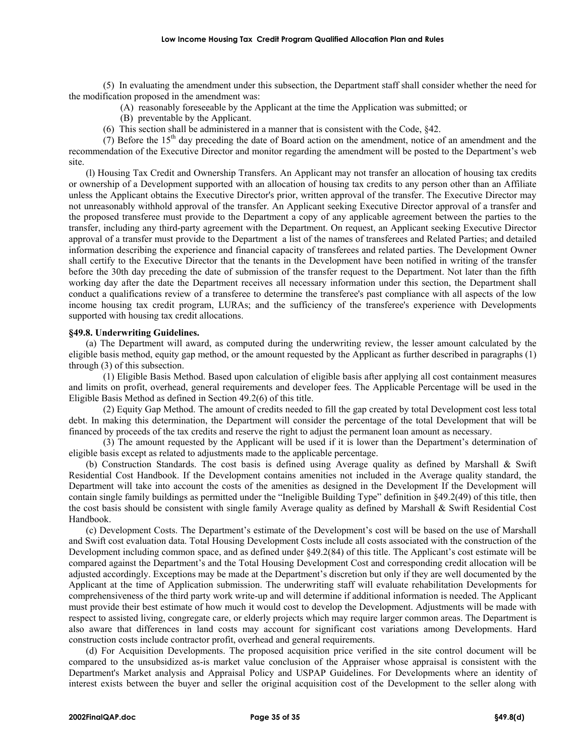(5) In evaluating the amendment under this subsection, the Department staff shall consider whether the need for the modification proposed in the amendment was:

(A) reasonably foreseeable by the Applicant at the time the Application was submitted; or

(B) preventable by the Applicant.

(6) This section shall be administered in a manner that is consistent with the Code, §42.

(7) Before the  $15<sup>th</sup>$  day preceding the date of Board action on the amendment, notice of an amendment and the recommendation of the Executive Director and monitor regarding the amendment will be posted to the Department's web site.

(l) Housing Tax Credit and Ownership Transfers. An Applicant may not transfer an allocation of housing tax credits or ownership of a Development supported with an allocation of housing tax credits to any person other than an Affiliate unless the Applicant obtains the Executive Director's prior, written approval of the transfer. The Executive Director may not unreasonably withhold approval of the transfer. An Applicant seeking Executive Director approval of a transfer and the proposed transferee must provide to the Department a copy of any applicable agreement between the parties to the transfer, including any third-party agreement with the Department. On request, an Applicant seeking Executive Director approval of a transfer must provide to the Department a list of the names of transferees and Related Parties; and detailed information describing the experience and financial capacity of transferees and related parties. The Development Owner shall certify to the Executive Director that the tenants in the Development have been notified in writing of the transfer before the 30th day preceding the date of submission of the transfer request to the Department. Not later than the fifth working day after the date the Department receives all necessary information under this section, the Department shall conduct a qualifications review of a transferee to determine the transferee's past compliance with all aspects of the low income housing tax credit program, LURAs; and the sufficiency of the transferee's experience with Developments supported with housing tax credit allocations.

## **§49.8. Underwriting Guidelines.**

(a) The Department will award, as computed during the underwriting review, the lesser amount calculated by the eligible basis method, equity gap method, or the amount requested by the Applicant as further described in paragraphs (1) through (3) of this subsection.

(1) Eligible Basis Method. Based upon calculation of eligible basis after applying all cost containment measures and limits on profit, overhead, general requirements and developer fees. The Applicable Percentage will be used in the Eligible Basis Method as defined in Section 49.2(6) of this title.

(2) Equity Gap Method. The amount of credits needed to fill the gap created by total Development cost less total debt. In making this determination, the Department will consider the percentage of the total Development that will be financed by proceeds of the tax credits and reserve the right to adjust the permanent loan amount as necessary.

(3) The amount requested by the Applicant will be used if it is lower than the Department's determination of eligible basis except as related to adjustments made to the applicable percentage.

(b) Construction Standards. The cost basis is defined using Average quality as defined by Marshall & Swift Residential Cost Handbook. If the Development contains amenities not included in the Average quality standard, the Department will take into account the costs of the amenities as designed in the Development If the Development will contain single family buildings as permitted under the "Ineligible Building Type" definition in §49.2(49) of this title, then the cost basis should be consistent with single family Average quality as defined by Marshall & Swift Residential Cost Handbook.

(c) Development Costs. The Department's estimate of the Development's cost will be based on the use of Marshall and Swift cost evaluation data. Total Housing Development Costs include all costs associated with the construction of the Development including common space, and as defined under §49.2(84) of this title. The Applicant's cost estimate will be compared against the Department's and the Total Housing Development Cost and corresponding credit allocation will be adjusted accordingly. Exceptions may be made at the Department's discretion but only if they are well documented by the Applicant at the time of Application submission. The underwriting staff will evaluate rehabilitation Developments for comprehensiveness of the third party work write-up and will determine if additional information is needed. The Applicant must provide their best estimate of how much it would cost to develop the Development. Adjustments will be made with respect to assisted living, congregate care, or elderly projects which may require larger common areas. The Department is also aware that differences in land costs may account for significant cost variations among Developments. Hard construction costs include contractor profit, overhead and general requirements.

(d) For Acquisition Developments. The proposed acquisition price verified in the site control document will be compared to the unsubsidized as-is market value conclusion of the Appraiser whose appraisal is consistent with the Department's Market analysis and Appraisal Policy and USPAP Guidelines. For Developments where an identity of interest exists between the buyer and seller the original acquisition cost of the Development to the seller along with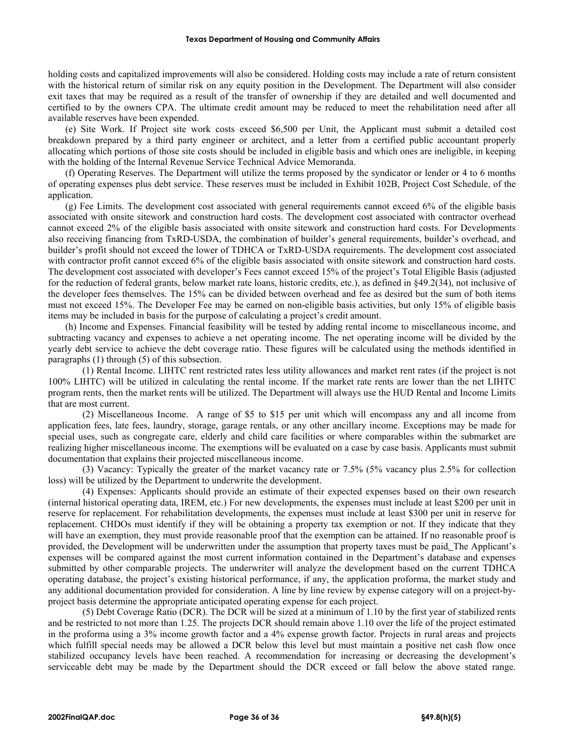holding costs and capitalized improvements will also be considered. Holding costs may include a rate of return consistent with the historical return of similar risk on any equity position in the Development. The Department will also consider exit taxes that may be required as a result of the transfer of ownership if they are detailed and well documented and certified to by the owners CPA. The ultimate credit amount may be reduced to meet the rehabilitation need after all available reserves have been expended.

(e) Site Work. If Project site work costs exceed \$6,500 per Unit, the Applicant must submit a detailed cost breakdown prepared by a third party engineer or architect, and a letter from a certified public accountant properly allocating which portions of those site costs should be included in eligible basis and which ones are ineligible, in keeping with the holding of the Internal Revenue Service Technical Advice Memoranda.

(f) Operating Reserves. The Department will utilize the terms proposed by the syndicator or lender or 4 to 6 months of operating expenses plus debt service. These reserves must be included in Exhibit 102B, Project Cost Schedule, of the application.

(g) Fee Limits. The development cost associated with general requirements cannot exceed 6% of the eligible basis associated with onsite sitework and construction hard costs. The development cost associated with contractor overhead cannot exceed 2% of the eligible basis associated with onsite sitework and construction hard costs. For Developments also receiving financing from TxRD-USDA, the combination of builder's general requirements, builder's overhead, and builder's profit should not exceed the lower of TDHCA or TxRD-USDA requirements. The development cost associated with contractor profit cannot exceed 6% of the eligible basis associated with onsite sitework and construction hard costs. The development cost associated with developer's Fees cannot exceed 15% of the project's Total Eligible Basis (adjusted for the reduction of federal grants, below market rate loans, historic credits, etc.), as defined in §49.2(34), not inclusive of the developer fees themselves. The 15% can be divided between overhead and fee as desired but the sum of both items must not exceed 15%. The Developer Fee may be earned on non-eligible basis activities, but only 15% of eligible basis items may be included in basis for the purpose of calculating a project's credit amount.

(h) Income and Expenses. Financial feasibility will be tested by adding rental income to miscellaneous income, and subtracting vacancy and expenses to achieve a net operating income. The net operating income will be divided by the yearly debt service to achieve the debt coverage ratio. These figures will be calculated using the methods identified in paragraphs (1) through (5) of this subsection.

(1) Rental Income. LIHTC rent restricted rates less utility allowances and market rent rates (if the project is not 100% LIHTC) will be utilized in calculating the rental income. If the market rate rents are lower than the net LIHTC program rents, then the market rents will be utilized. The Department will always use the HUD Rental and Income Limits that are most current.

(2) Miscellaneous Income. A range of \$5 to \$15 per unit which will encompass any and all income from application fees, late fees, laundry, storage, garage rentals, or any other ancillary income. Exceptions may be made for special uses, such as congregate care, elderly and child care facilities or where comparables within the submarket are realizing higher miscellaneous income. The exemptions will be evaluated on a case by case basis. Applicants must submit documentation that explains their projected miscellaneous income.

(3) Vacancy: Typically the greater of the market vacancy rate or 7.5% (5% vacancy plus 2.5% for collection loss) will be utilized by the Department to underwrite the development.

(4) Expenses: Applicants should provide an estimate of their expected expenses based on their own research (internal historical operating data, IREM, etc.) For new developments, the expenses must include at least \$200 per unit in reserve for replacement. For rehabilitation developments, the expenses must include at least \$300 per unit in reserve for replacement. CHDOs must identify if they will be obtaining a property tax exemption or not. If they indicate that they will have an exemption, they must provide reasonable proof that the exemption can be attained. If no reasonable proof is provided, the Development will be underwritten under the assumption that property taxes must be paid*.* The Applicant's expenses will be compared against the most current information contained in the Department's database and expenses submitted by other comparable projects. The underwriter will analyze the development based on the current TDHCA operating database, the project's existing historical performance, if any, the application proforma, the market study and any additional documentation provided for consideration. A line by line review by expense category will on a project-byproject basis determine the appropriate anticipated operating expense for each project.

(5) Debt Coverage Ratio (DCR). The DCR will be sized at a minimum of 1.10 by the first year of stabilized rents and be restricted to not more than 1.25. The projects DCR should remain above 1.10 over the life of the project estimated in the proforma using a 3% income growth factor and a 4% expense growth factor. Projects in rural areas and projects which fulfill special needs may be allowed a DCR below this level but must maintain a positive net cash flow once stabilized occupancy levels have been reached. A recommendation for increasing or decreasing the development's serviceable debt may be made by the Department should the DCR exceed or fall below the above stated range.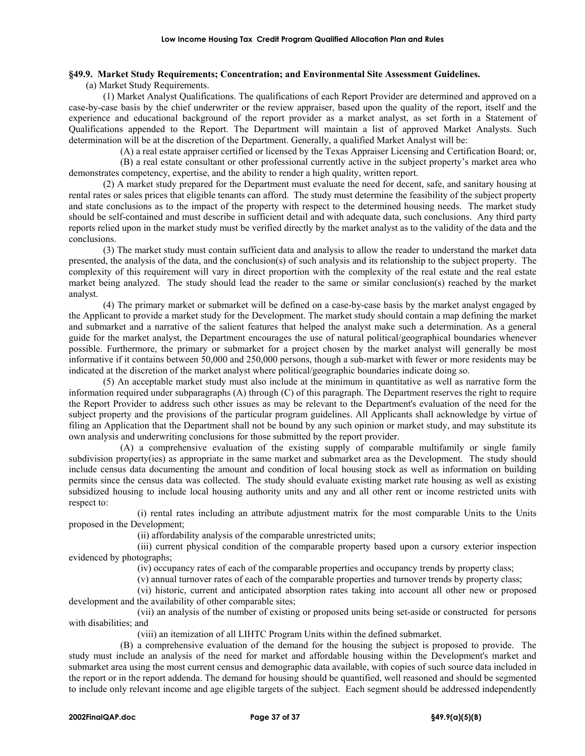## **§49.9. Market Study Requirements; Concentration; and Environmental Site Assessment Guidelines.**

(a) Market Study Requirements.

(1) Market Analyst Qualifications. The qualifications of each Report Provider are determined and approved on a case-by-case basis by the chief underwriter or the review appraiser, based upon the quality of the report, itself and the experience and educational background of the report provider as a market analyst, as set forth in a Statement of Qualifications appended to the Report. The Department will maintain a list of approved Market Analysts. Such determination will be at the discretion of the Department. Generally, a qualified Market Analyst will be:

(A) a real estate appraiser certified or licensed by the Texas Appraiser Licensing and Certification Board; or, (B) a real estate consultant or other professional currently active in the subject property's market area who demonstrates competency, expertise, and the ability to render a high quality, written report.

(2) A market study prepared for the Department must evaluate the need for decent, safe, and sanitary housing at rental rates or sales prices that eligible tenants can afford. The study must determine the feasibility of the subject property and state conclusions as to the impact of the property with respect to the determined housing needs. The market study should be self-contained and must describe in sufficient detail and with adequate data, such conclusions. Any third party reports relied upon in the market study must be verified directly by the market analyst as to the validity of the data and the conclusions.

(3) The market study must contain sufficient data and analysis to allow the reader to understand the market data presented, the analysis of the data, and the conclusion(s) of such analysis and its relationship to the subject property. The complexity of this requirement will vary in direct proportion with the complexity of the real estate and the real estate market being analyzed. The study should lead the reader to the same or similar conclusion(s) reached by the market analyst.

(4) The primary market or submarket will be defined on a case-by-case basis by the market analyst engaged by the Applicant to provide a market study for the Development. The market study should contain a map defining the market and submarket and a narrative of the salient features that helped the analyst make such a determination. As a general guide for the market analyst, the Department encourages the use of natural political/geographical boundaries whenever possible. Furthermore, the primary or submarket for a project chosen by the market analyst will generally be most informative if it contains between 50,000 and 250,000 persons, though a sub-market with fewer or more residents may be indicated at the discretion of the market analyst where political/geographic boundaries indicate doing so.

(5) An acceptable market study must also include at the minimum in quantitative as well as narrative form the information required under subparagraphs (A) through (C) of this paragraph. The Department reserves the right to require the Report Provider to address such other issues as may be relevant to the Department's evaluation of the need for the subject property and the provisions of the particular program guidelines. All Applicants shall acknowledge by virtue of filing an Application that the Department shall not be bound by any such opinion or market study, and may substitute its own analysis and underwriting conclusions for those submitted by the report provider.

(A) a comprehensive evaluation of the existing supply of comparable multifamily or single family subdivision property(ies) as appropriate in the same market and submarket area as the Development. The study should include census data documenting the amount and condition of local housing stock as well as information on building permits since the census data was collected. The study should evaluate existing market rate housing as well as existing subsidized housing to include local housing authority units and any and all other rent or income restricted units with respect to:

(i) rental rates including an attribute adjustment matrix for the most comparable Units to the Units proposed in the Development;

(ii) affordability analysis of the comparable unrestricted units;

(iii) current physical condition of the comparable property based upon a cursory exterior inspection evidenced by photographs;

(iv) occupancy rates of each of the comparable properties and occupancy trends by property class;

(v) annual turnover rates of each of the comparable properties and turnover trends by property class;

(vi) historic, current and anticipated absorption rates taking into account all other new or proposed development and the availability of other comparable sites;

(vii) an analysis of the number of existing or proposed units being set-aside or constructed for persons with disabilities; and

(viii) an itemization of all LIHTC Program Units within the defined submarket.

(B) a comprehensive evaluation of the demand for the housing the subject is proposed to provide. The study must include an analysis of the need for market and affordable housing within the Development's market and submarket area using the most current census and demographic data available, with copies of such source data included in the report or in the report addenda. The demand for housing should be quantified, well reasoned and should be segmented to include only relevant income and age eligible targets of the subject. Each segment should be addressed independently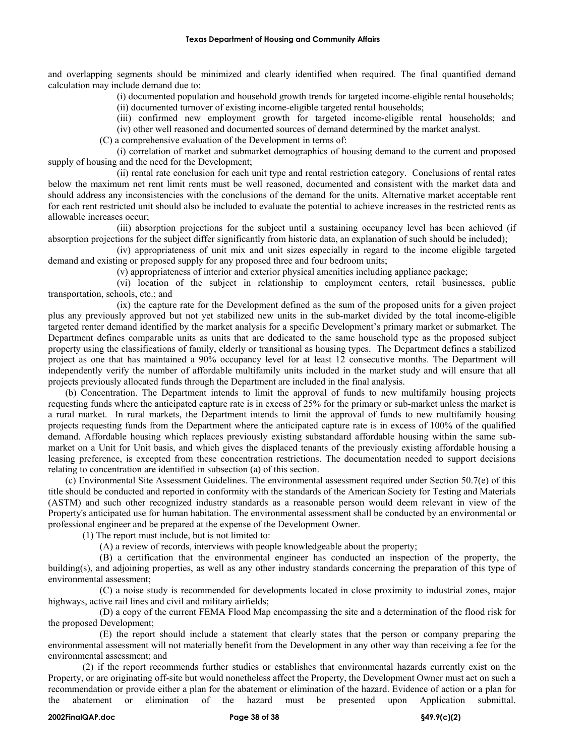and overlapping segments should be minimized and clearly identified when required. The final quantified demand calculation may include demand due to:

(i) documented population and household growth trends for targeted income-eligible rental households;

(ii) documented turnover of existing income-eligible targeted rental households;

(iii) confirmed new employment growth for targeted income-eligible rental households; and (iv) other well reasoned and documented sources of demand determined by the market analyst.

(C) a comprehensive evaluation of the Development in terms of:

(i) correlation of market and submarket demographics of housing demand to the current and proposed supply of housing and the need for the Development;

(ii) rental rate conclusion for each unit type and rental restriction category. Conclusions of rental rates below the maximum net rent limit rents must be well reasoned, documented and consistent with the market data and should address any inconsistencies with the conclusions of the demand for the units. Alternative market acceptable rent for each rent restricted unit should also be included to evaluate the potential to achieve increases in the restricted rents as allowable increases occur;

(iii) absorption projections for the subject until a sustaining occupancy level has been achieved (if absorption projections for the subject differ significantly from historic data, an explanation of such should be included);

(iv) appropriateness of unit mix and unit sizes especially in regard to the income eligible targeted demand and existing or proposed supply for any proposed three and four bedroom units;

(v) appropriateness of interior and exterior physical amenities including appliance package;

(vi) location of the subject in relationship to employment centers, retail businesses, public transportation, schools, etc.; and

(ix) the capture rate for the Development defined as the sum of the proposed units for a given project plus any previously approved but not yet stabilized new units in the sub-market divided by the total income-eligible targeted renter demand identified by the market analysis for a specific Development's primary market or submarket. The Department defines comparable units as units that are dedicated to the same household type as the proposed subject property using the classifications of family, elderly or transitional as housing types. The Department defines a stabilized project as one that has maintained a 90% occupancy level for at least 12 consecutive months. The Department will independently verify the number of affordable multifamily units included in the market study and will ensure that all projects previously allocated funds through the Department are included in the final analysis.

(b) Concentration. The Department intends to limit the approval of funds to new multifamily housing projects requesting funds where the anticipated capture rate is in excess of 25% for the primary or sub-market unless the market is a rural market. In rural markets, the Department intends to limit the approval of funds to new multifamily housing projects requesting funds from the Department where the anticipated capture rate is in excess of 100% of the qualified demand. Affordable housing which replaces previously existing substandard affordable housing within the same submarket on a Unit for Unit basis, and which gives the displaced tenants of the previously existing affordable housing a leasing preference, is excepted from these concentration restrictions. The documentation needed to support decisions relating to concentration are identified in subsection (a) of this section.

(c) Environmental Site Assessment Guidelines. The environmental assessment required under Section 50.7(e) of this title should be conducted and reported in conformity with the standards of the American Society for Testing and Materials (ASTM) and such other recognized industry standards as a reasonable person would deem relevant in view of the Property's anticipated use for human habitation. The environmental assessment shall be conducted by an environmental or professional engineer and be prepared at the expense of the Development Owner.

(1) The report must include, but is not limited to:

(A) a review of records, interviews with people knowledgeable about the property;

(B) a certification that the environmental engineer has conducted an inspection of the property, the building(s), and adjoining properties, as well as any other industry standards concerning the preparation of this type of environmental assessment;

(C) a noise study is recommended for developments located in close proximity to industrial zones, major highways, active rail lines and civil and military airfields;

(D) a copy of the current FEMA Flood Map encompassing the site and a determination of the flood risk for the proposed Development;

(E) the report should include a statement that clearly states that the person or company preparing the environmental assessment will not materially benefit from the Development in any other way than receiving a fee for the environmental assessment; and

(2) if the report recommends further studies or establishes that environmental hazards currently exist on the Property, or are originating off-site but would nonetheless affect the Property, the Development Owner must act on such a recommendation or provide either a plan for the abatement or elimination of the hazard. Evidence of action or a plan for the abatement or elimination of the hazard must be presented upon Application submittal.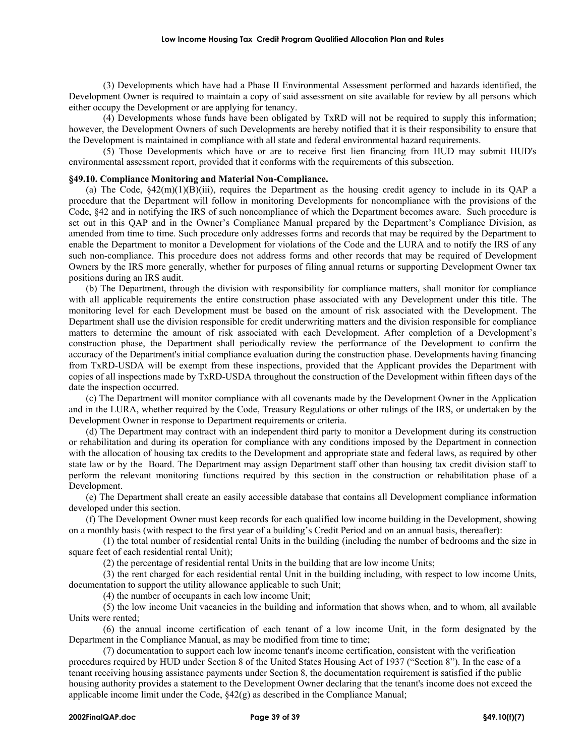(3) Developments which have had a Phase II Environmental Assessment performed and hazards identified, the Development Owner is required to maintain a copy of said assessment on site available for review by all persons which either occupy the Development or are applying for tenancy.

(4) Developments whose funds have been obligated by TxRD will not be required to supply this information; however, the Development Owners of such Developments are hereby notified that it is their responsibility to ensure that the Development is maintained in compliance with all state and federal environmental hazard requirements.

(5) Those Developments which have or are to receive first lien financing from HUD may submit HUD's environmental assessment report, provided that it conforms with the requirements of this subsection.

## **§49.10. Compliance Monitoring and Material Non-Compliance.**

(a) The Code,  $\S 42(m)(1)(B)(iii)$ , requires the Department as the housing credit agency to include in its QAP a procedure that the Department will follow in monitoring Developments for noncompliance with the provisions of the Code, §42 and in notifying the IRS of such noncompliance of which the Department becomes aware. Such procedure is set out in this QAP and in the Owner's Compliance Manual prepared by the Department's Compliance Division, as amended from time to time. Such procedure only addresses forms and records that may be required by the Department to enable the Department to monitor a Development for violations of the Code and the LURA and to notify the IRS of any such non-compliance. This procedure does not address forms and other records that may be required of Development Owners by the IRS more generally, whether for purposes of filing annual returns or supporting Development Owner tax positions during an IRS audit.

(b) The Department, through the division with responsibility for compliance matters, shall monitor for compliance with all applicable requirements the entire construction phase associated with any Development under this title. The monitoring level for each Development must be based on the amount of risk associated with the Development. The Department shall use the division responsible for credit underwriting matters and the division responsible for compliance matters to determine the amount of risk associated with each Development. After completion of a Development's construction phase, the Department shall periodically review the performance of the Development to confirm the accuracy of the Department's initial compliance evaluation during the construction phase. Developments having financing from TxRD-USDA will be exempt from these inspections, provided that the Applicant provides the Department with copies of all inspections made by TxRD-USDA throughout the construction of the Development within fifteen days of the date the inspection occurred.

(c) The Department will monitor compliance with all covenants made by the Development Owner in the Application and in the LURA, whether required by the Code, Treasury Regulations or other rulings of the IRS, or undertaken by the Development Owner in response to Department requirements or criteria.

(d) The Department may contract with an independent third party to monitor a Development during its construction or rehabilitation and during its operation for compliance with any conditions imposed by the Department in connection with the allocation of housing tax credits to the Development and appropriate state and federal laws, as required by other state law or by the Board. The Department may assign Department staff other than housing tax credit division staff to perform the relevant monitoring functions required by this section in the construction or rehabilitation phase of a Development.

(e) The Department shall create an easily accessible database that contains all Development compliance information developed under this section.

(f) The Development Owner must keep records for each qualified low income building in the Development, showing on a monthly basis (with respect to the first year of a building's Credit Period and on an annual basis, thereafter):

(1) the total number of residential rental Units in the building (including the number of bedrooms and the size in square feet of each residential rental Unit);

(2) the percentage of residential rental Units in the building that are low income Units;

(3) the rent charged for each residential rental Unit in the building including, with respect to low income Units, documentation to support the utility allowance applicable to such Unit;

(4) the number of occupants in each low income Unit;

(5) the low income Unit vacancies in the building and information that shows when, and to whom, all available Units were rented;

(6) the annual income certification of each tenant of a low income Unit, in the form designated by the Department in the Compliance Manual, as may be modified from time to time;

(7) documentation to support each low income tenant's income certification, consistent with the verification procedures required by HUD under Section 8 of the United States Housing Act of 1937 ("Section 8"). In the case of a tenant receiving housing assistance payments under Section 8, the documentation requirement is satisfied if the public housing authority provides a statement to the Development Owner declaring that the tenant's income does not exceed the applicable income limit under the Code,  $\frac{242(g)}{g}$  as described in the Compliance Manual;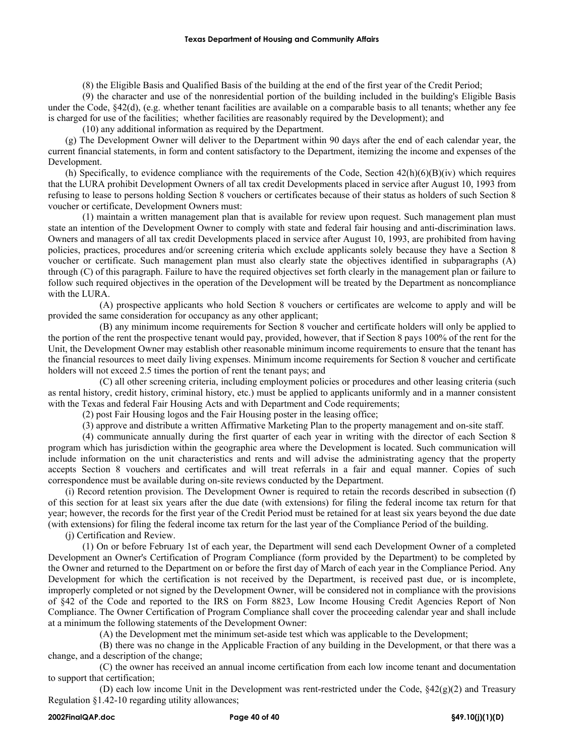(8) the Eligible Basis and Qualified Basis of the building at the end of the first year of the Credit Period;

(9) the character and use of the nonresidential portion of the building included in the building's Eligible Basis under the Code, §42(d), (e.g. whether tenant facilities are available on a comparable basis to all tenants; whether any fee is charged for use of the facilities; whether facilities are reasonably required by the Development); and

(10) any additional information as required by the Department.

(g) The Development Owner will deliver to the Department within 90 days after the end of each calendar year, the current financial statements, in form and content satisfactory to the Department, itemizing the income and expenses of the Development.

(h) Specifically, to evidence compliance with the requirements of the Code, Section  $42(h)(6)(B)(iv)$  which requires that the LURA prohibit Development Owners of all tax credit Developments placed in service after August 10, 1993 from refusing to lease to persons holding Section 8 vouchers or certificates because of their status as holders of such Section 8 voucher or certificate, Development Owners must:

(1) maintain a written management plan that is available for review upon request. Such management plan must state an intention of the Development Owner to comply with state and federal fair housing and anti-discrimination laws. Owners and managers of all tax credit Developments placed in service after August 10, 1993, are prohibited from having policies, practices, procedures and/or screening criteria which exclude applicants solely because they have a Section 8 voucher or certificate. Such management plan must also clearly state the objectives identified in subparagraphs (A) through (C) of this paragraph. Failure to have the required objectives set forth clearly in the management plan or failure to follow such required objectives in the operation of the Development will be treated by the Department as noncompliance with the LURA.

(A) prospective applicants who hold Section 8 vouchers or certificates are welcome to apply and will be provided the same consideration for occupancy as any other applicant;

(B) any minimum income requirements for Section 8 voucher and certificate holders will only be applied to the portion of the rent the prospective tenant would pay, provided, however, that if Section 8 pays 100% of the rent for the Unit, the Development Owner may establish other reasonable minimum income requirements to ensure that the tenant has the financial resources to meet daily living expenses. Minimum income requirements for Section 8 voucher and certificate holders will not exceed 2.5 times the portion of rent the tenant pays; and

(C) all other screening criteria, including employment policies or procedures and other leasing criteria (such as rental history, credit history, criminal history, etc.) must be applied to applicants uniformly and in a manner consistent with the Texas and federal Fair Housing Acts and with Department and Code requirements;

(2) post Fair Housing logos and the Fair Housing poster in the leasing office;

(3) approve and distribute a written Affirmative Marketing Plan to the property management and on-site staff.

(4) communicate annually during the first quarter of each year in writing with the director of each Section 8 program which has jurisdiction within the geographic area where the Development is located. Such communication will include information on the unit characteristics and rents and will advise the administrating agency that the property accepts Section 8 vouchers and certificates and will treat referrals in a fair and equal manner. Copies of such correspondence must be available during on-site reviews conducted by the Department.

(i) Record retention provision. The Development Owner is required to retain the records described in subsection (f) of this section for at least six years after the due date (with extensions) for filing the federal income tax return for that year; however, the records for the first year of the Credit Period must be retained for at least six years beyond the due date (with extensions) for filing the federal income tax return for the last year of the Compliance Period of the building.

(j) Certification and Review.

(1) On or before February 1st of each year, the Department will send each Development Owner of a completed Development an Owner's Certification of Program Compliance (form provided by the Department) to be completed by the Owner and returned to the Department on or before the first day of March of each year in the Compliance Period. Any Development for which the certification is not received by the Department, is received past due, or is incomplete, improperly completed or not signed by the Development Owner, will be considered not in compliance with the provisions of §42 of the Code and reported to the IRS on Form 8823, Low Income Housing Credit Agencies Report of Non Compliance. The Owner Certification of Program Compliance shall cover the proceeding calendar year and shall include at a minimum the following statements of the Development Owner:

(A) the Development met the minimum set-aside test which was applicable to the Development;

(B) there was no change in the Applicable Fraction of any building in the Development, or that there was a change, and a description of the change;

(C) the owner has received an annual income certification from each low income tenant and documentation to support that certification;

(D) each low income Unit in the Development was rent-restricted under the Code,  $\frac{842(g)(2)}{2}$  and Treasury Regulation §1.42-10 regarding utility allowances;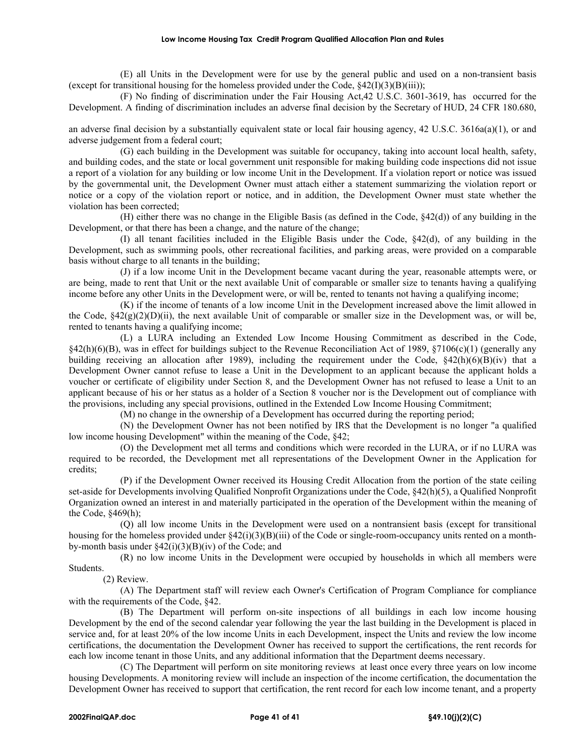(E) all Units in the Development were for use by the general public and used on a non-transient basis (except for transitional housing for the homeless provided under the Code,  $\frac{242(I)(3)(B)(iii)}{2}$ ;

(F) No finding of discrimination under the Fair Housing Act,42 U.S.C. 3601-3619, has occurred for the Development. A finding of discrimination includes an adverse final decision by the Secretary of HUD, 24 CFR 180.680,

an adverse final decision by a substantially equivalent state or local fair housing agency, 42 U.S.C. 3616a(a)(1), or and adverse judgement from a federal court;

(G) each building in the Development was suitable for occupancy, taking into account local health, safety, and building codes, and the state or local government unit responsible for making building code inspections did not issue a report of a violation for any building or low income Unit in the Development. If a violation report or notice was issued by the governmental unit, the Development Owner must attach either a statement summarizing the violation report or notice or a copy of the violation report or notice, and in addition, the Development Owner must state whether the violation has been corrected;

(H) either there was no change in the Eligible Basis (as defined in the Code, §42(d)) of any building in the Development, or that there has been a change, and the nature of the change;

(I) all tenant facilities included in the Eligible Basis under the Code, §42(d), of any building in the Development, such as swimming pools, other recreational facilities, and parking areas, were provided on a comparable basis without charge to all tenants in the building;

(J) if a low income Unit in the Development became vacant during the year, reasonable attempts were, or are being, made to rent that Unit or the next available Unit of comparable or smaller size to tenants having a qualifying income before any other Units in the Development were, or will be, rented to tenants not having a qualifying income;

(K) if the income of tenants of a low income Unit in the Development increased above the limit allowed in the Code,  $\S42(g)(2)(D)(ii)$ , the next available Unit of comparable or smaller size in the Development was, or will be, rented to tenants having a qualifying income;

(L) a LURA including an Extended Low Income Housing Commitment as described in the Code,  $§42(h)(6)(B)$ , was in effect for buildings subject to the Revenue Reconciliation Act of 1989,  $§7106(c)(1)$  (generally any building receiving an allocation after 1989), including the requirement under the Code,  $\frac{842(h)(6)(B)(iv)}{h}$  that a Development Owner cannot refuse to lease a Unit in the Development to an applicant because the applicant holds a voucher or certificate of eligibility under Section 8, and the Development Owner has not refused to lease a Unit to an applicant because of his or her status as a holder of a Section 8 voucher nor is the Development out of compliance with the provisions, including any special provisions, outlined in the Extended Low Income Housing Commitment;

(M) no change in the ownership of a Development has occurred during the reporting period;

(N) the Development Owner has not been notified by IRS that the Development is no longer "a qualified low income housing Development" within the meaning of the Code, §42;

(O) the Development met all terms and conditions which were recorded in the LURA, or if no LURA was required to be recorded, the Development met all representations of the Development Owner in the Application for credits;

(P) if the Development Owner received its Housing Credit Allocation from the portion of the state ceiling set-aside for Developments involving Qualified Nonprofit Organizations under the Code, §42(h)(5), a Qualified Nonprofit Organization owned an interest in and materially participated in the operation of the Development within the meaning of the Code, §469(h);

(Q) all low income Units in the Development were used on a nontransient basis (except for transitional housing for the homeless provided under §42(i)(3)(B)(iii) of the Code or single-room-occupancy units rented on a monthby-month basis under  $\frac{242(i)(3)(B)(iv)}{B}$  of the Code; and

(R) no low income Units in the Development were occupied by households in which all members were Students.

(2) Review.

(A) The Department staff will review each Owner's Certification of Program Compliance for compliance with the requirements of the Code, §42.

(B) The Department will perform on-site inspections of all buildings in each low income housing Development by the end of the second calendar year following the year the last building in the Development is placed in service and, for at least 20% of the low income Units in each Development, inspect the Units and review the low income certifications, the documentation the Development Owner has received to support the certifications, the rent records for each low income tenant in those Units, and any additional information that the Department deems necessary.

(C) The Department will perform on site monitoring reviews at least once every three years on low income housing Developments. A monitoring review will include an inspection of the income certification, the documentation the Development Owner has received to support that certification, the rent record for each low income tenant, and a property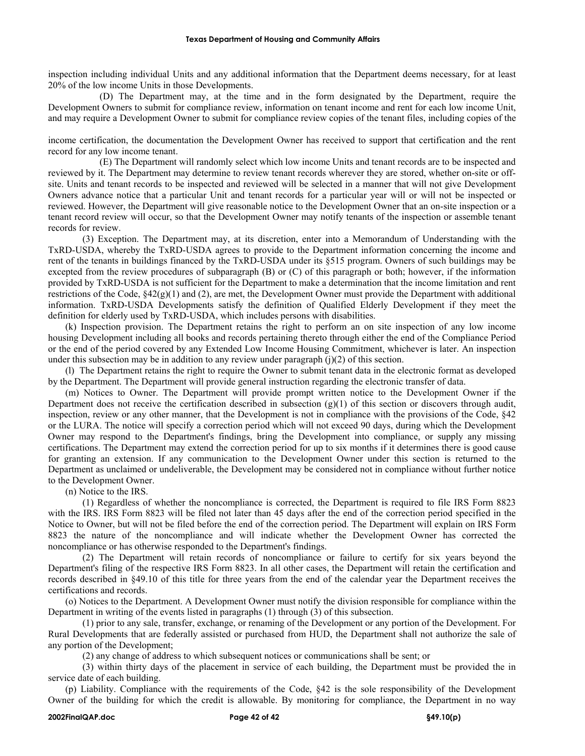inspection including individual Units and any additional information that the Department deems necessary, for at least 20% of the low income Units in those Developments.

(D) The Department may, at the time and in the form designated by the Department, require the Development Owners to submit for compliance review, information on tenant income and rent for each low income Unit, and may require a Development Owner to submit for compliance review copies of the tenant files, including copies of the

income certification, the documentation the Development Owner has received to support that certification and the rent record for any low income tenant.

(E) The Department will randomly select which low income Units and tenant records are to be inspected and reviewed by it. The Department may determine to review tenant records wherever they are stored, whether on-site or offsite. Units and tenant records to be inspected and reviewed will be selected in a manner that will not give Development Owners advance notice that a particular Unit and tenant records for a particular year will or will not be inspected or reviewed. However, the Department will give reasonable notice to the Development Owner that an on-site inspection or a tenant record review will occur, so that the Development Owner may notify tenants of the inspection or assemble tenant records for review.

(3) Exception. The Department may, at its discretion, enter into a Memorandum of Understanding with the TxRD-USDA, whereby the TxRD-USDA agrees to provide to the Department information concerning the income and rent of the tenants in buildings financed by the TxRD-USDA under its §515 program. Owners of such buildings may be excepted from the review procedures of subparagraph (B) or (C) of this paragraph or both; however, if the information provided by TxRD-USDA is not sufficient for the Department to make a determination that the income limitation and rent restrictions of the Code, §42(g)(1) and (2), are met, the Development Owner must provide the Department with additional information. TxRD-USDA Developments satisfy the definition of Qualified Elderly Development if they meet the definition for elderly used by TxRD-USDA, which includes persons with disabilities.

(k) Inspection provision. The Department retains the right to perform an on site inspection of any low income housing Development including all books and records pertaining thereto through either the end of the Compliance Period or the end of the period covered by any Extended Low Income Housing Commitment, whichever is later. An inspection under this subsection may be in addition to any review under paragraph  $(i)(2)$  of this section.

(l) The Department retains the right to require the Owner to submit tenant data in the electronic format as developed by the Department. The Department will provide general instruction regarding the electronic transfer of data.

(m) Notices to Owner. The Department will provide prompt written notice to the Development Owner if the Department does not receive the certification described in subsection  $(g)(1)$  of this section or discovers through audit, inspection, review or any other manner, that the Development is not in compliance with the provisions of the Code, §42 or the LURA. The notice will specify a correction period which will not exceed 90 days, during which the Development Owner may respond to the Department's findings, bring the Development into compliance, or supply any missing certifications. The Department may extend the correction period for up to six months if it determines there is good cause for granting an extension. If any communication to the Development Owner under this section is returned to the Department as unclaimed or undeliverable, the Development may be considered not in compliance without further notice to the Development Owner.

(n) Notice to the IRS.

(1) Regardless of whether the noncompliance is corrected, the Department is required to file IRS Form 8823 with the IRS. IRS Form 8823 will be filed not later than 45 days after the end of the correction period specified in the Notice to Owner, but will not be filed before the end of the correction period. The Department will explain on IRS Form 8823 the nature of the noncompliance and will indicate whether the Development Owner has corrected the noncompliance or has otherwise responded to the Department's findings.

(2) The Department will retain records of noncompliance or failure to certify for six years beyond the Department's filing of the respective IRS Form 8823. In all other cases, the Department will retain the certification and records described in §49.10 of this title for three years from the end of the calendar year the Department receives the certifications and records.

(o) Notices to the Department. A Development Owner must notify the division responsible for compliance within the Department in writing of the events listed in paragraphs (1) through (3) of this subsection.

(1) prior to any sale, transfer, exchange, or renaming of the Development or any portion of the Development. For Rural Developments that are federally assisted or purchased from HUD, the Department shall not authorize the sale of any portion of the Development;

(2) any change of address to which subsequent notices or communications shall be sent; or

(3) within thirty days of the placement in service of each building, the Department must be provided the in service date of each building.

(p) Liability. Compliance with the requirements of the Code, §42 is the sole responsibility of the Development Owner of the building for which the credit is allowable. By monitoring for compliance, the Department in no way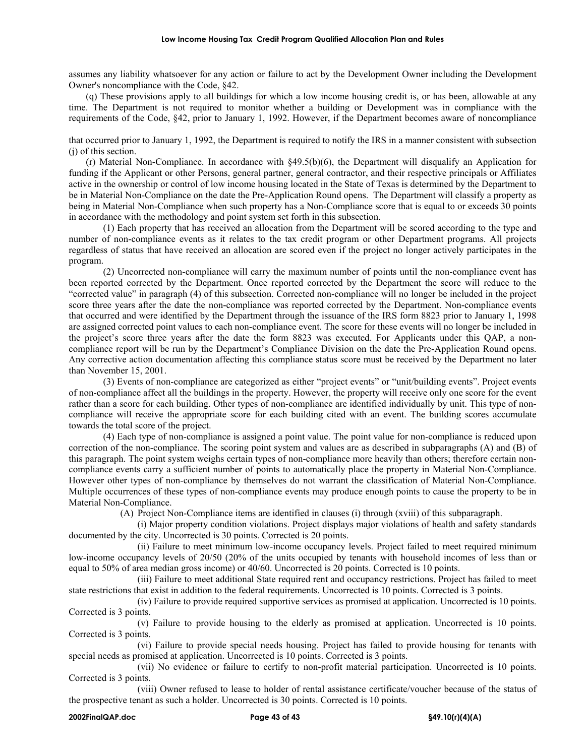assumes any liability whatsoever for any action or failure to act by the Development Owner including the Development Owner's noncompliance with the Code, §42.

(q) These provisions apply to all buildings for which a low income housing credit is, or has been, allowable at any time. The Department is not required to monitor whether a building or Development was in compliance with the requirements of the Code, §42, prior to January 1, 1992. However, if the Department becomes aware of noncompliance

that occurred prior to January 1, 1992, the Department is required to notify the IRS in a manner consistent with subsection (j) of this section.

(r) Material Non-Compliance. In accordance with §49.5(b)(6), the Department will disqualify an Application for funding if the Applicant or other Persons, general partner, general contractor, and their respective principals or Affiliates active in the ownership or control of low income housing located in the State of Texas is determined by the Department to be in Material Non-Compliance on the date the Pre-Application Round opens. The Department will classify a property as being in Material Non-Compliance when such property has a Non-Compliance score that is equal to or exceeds 30 points in accordance with the methodology and point system set forth in this subsection.

(1) Each property that has received an allocation from the Department will be scored according to the type and number of non-compliance events as it relates to the tax credit program or other Department programs. All projects regardless of status that have received an allocation are scored even if the project no longer actively participates in the program.

(2) Uncorrected non-compliance will carry the maximum number of points until the non-compliance event has been reported corrected by the Department. Once reported corrected by the Department the score will reduce to the "corrected value" in paragraph (4) of this subsection. Corrected non-compliance will no longer be included in the project score three years after the date the non-compliance was reported corrected by the Department. Non-compliance events that occurred and were identified by the Department through the issuance of the IRS form 8823 prior to January 1, 1998 are assigned corrected point values to each non-compliance event. The score for these events will no longer be included in the project's score three years after the date the form 8823 was executed. For Applicants under this QAP, a noncompliance report will be run by the Department's Compliance Division on the date the Pre-Application Round opens. Any corrective action documentation affecting this compliance status score must be received by the Department no later than November 15, 2001.

(3) Events of non-compliance are categorized as either "project events" or "unit/building events". Project events of non-compliance affect all the buildings in the property. However, the property will receive only one score for the event rather than a score for each building. Other types of non-compliance are identified individually by unit. This type of noncompliance will receive the appropriate score for each building cited with an event. The building scores accumulate towards the total score of the project.

(4) Each type of non-compliance is assigned a point value. The point value for non-compliance is reduced upon correction of the non-compliance. The scoring point system and values are as described in subparagraphs (A) and (B) of this paragraph. The point system weighs certain types of non-compliance more heavily than others; therefore certain noncompliance events carry a sufficient number of points to automatically place the property in Material Non-Compliance. However other types of non-compliance by themselves do not warrant the classification of Material Non-Compliance. Multiple occurrences of these types of non-compliance events may produce enough points to cause the property to be in Material Non-Compliance.

(A) Project Non-Compliance items are identified in clauses (i) through (xviii) of this subparagraph.

(i) Major property condition violations. Project displays major violations of health and safety standards documented by the city. Uncorrected is 30 points. Corrected is 20 points.

(ii) Failure to meet minimum low-income occupancy levels. Project failed to meet required minimum low-income occupancy levels of 20/50 (20% of the units occupied by tenants with household incomes of less than or equal to 50% of area median gross income) or 40/60. Uncorrected is 20 points. Corrected is 10 points.

(iii) Failure to meet additional State required rent and occupancy restrictions. Project has failed to meet state restrictions that exist in addition to the federal requirements. Uncorrected is 10 points. Corrected is 3 points.

(iv) Failure to provide required supportive services as promised at application. Uncorrected is 10 points. Corrected is 3 points.

(v) Failure to provide housing to the elderly as promised at application. Uncorrected is 10 points. Corrected is 3 points.

(vi) Failure to provide special needs housing. Project has failed to provide housing for tenants with special needs as promised at application. Uncorrected is 10 points. Corrected is 3 points.

(vii) No evidence or failure to certify to non-profit material participation. Uncorrected is 10 points. Corrected is 3 points.

(viii) Owner refused to lease to holder of rental assistance certificate/voucher because of the status of the prospective tenant as such a holder. Uncorrected is 30 points. Corrected is 10 points.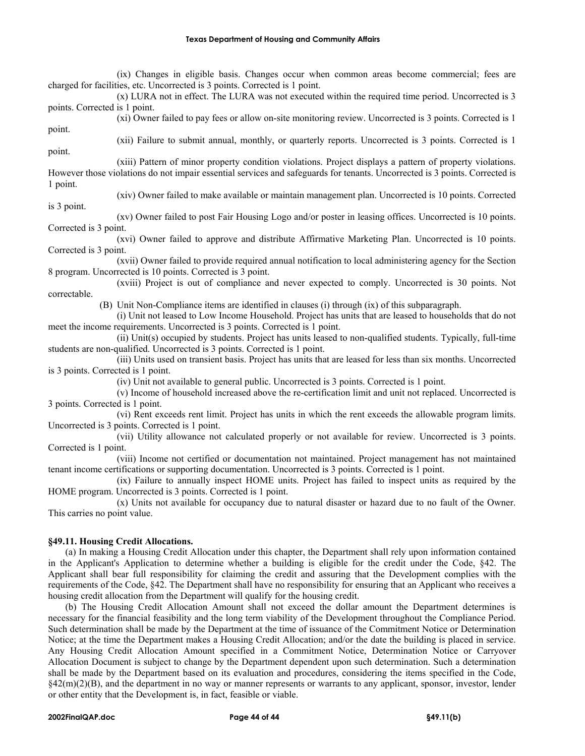(ix) Changes in eligible basis. Changes occur when common areas become commercial; fees are charged for facilities, etc. Uncorrected is 3 points. Corrected is 1 point.

(x) LURA not in effect. The LURA was not executed within the required time period. Uncorrected is 3 points. Corrected is 1 point.

(xi) Owner failed to pay fees or allow on-site monitoring review. Uncorrected is 3 points. Corrected is 1

point. point.

(xii) Failure to submit annual, monthly, or quarterly reports. Uncorrected is 3 points. Corrected is 1

(xiii) Pattern of minor property condition violations. Project displays a pattern of property violations. However those violations do not impair essential services and safeguards for tenants. Uncorrected is 3 points. Corrected is 1 point. (xiv) Owner failed to make available or maintain management plan. Uncorrected is 10 points. Corrected

is 3 point. (xv) Owner failed to post Fair Housing Logo and/or poster in leasing offices. Uncorrected is 10 points. Corrected is 3 point.

(xvi) Owner failed to approve and distribute Affirmative Marketing Plan. Uncorrected is 10 points. Corrected is 3 point.

(xvii) Owner failed to provide required annual notification to local administering agency for the Section 8 program. Uncorrected is 10 points. Corrected is 3 point.

(xviii) Project is out of compliance and never expected to comply. Uncorrected is 30 points. Not correctable.

(B) Unit Non-Compliance items are identified in clauses (i) through (ix) of this subparagraph.

(i) Unit not leased to Low Income Household. Project has units that are leased to households that do not meet the income requirements. Uncorrected is 3 points. Corrected is 1 point.

(ii) Unit(s) occupied by students. Project has units leased to non-qualified students. Typically, full-time students are non-qualified. Uncorrected is 3 points. Corrected is 1 point.

(iii) Units used on transient basis. Project has units that are leased for less than six months. Uncorrected is 3 points. Corrected is 1 point.

(iv) Unit not available to general public. Uncorrected is 3 points. Corrected is 1 point.

(v) Income of household increased above the re-certification limit and unit not replaced. Uncorrected is 3 points. Corrected is 1 point.

(vi) Rent exceeds rent limit. Project has units in which the rent exceeds the allowable program limits. Uncorrected is 3 points. Corrected is 1 point.

(vii) Utility allowance not calculated properly or not available for review. Uncorrected is 3 points. Corrected is 1 point.

(viii) Income not certified or documentation not maintained. Project management has not maintained tenant income certifications or supporting documentation. Uncorrected is 3 points. Corrected is 1 point.

(ix) Failure to annually inspect HOME units. Project has failed to inspect units as required by the HOME program. Uncorrected is 3 points. Corrected is 1 point.

(x) Units not available for occupancy due to natural disaster or hazard due to no fault of the Owner. This carries no point value.

# **§49.11. Housing Credit Allocations.**

(a) In making a Housing Credit Allocation under this chapter, the Department shall rely upon information contained in the Applicant's Application to determine whether a building is eligible for the credit under the Code, §42. The Applicant shall bear full responsibility for claiming the credit and assuring that the Development complies with the requirements of the Code, §42. The Department shall have no responsibility for ensuring that an Applicant who receives a housing credit allocation from the Department will qualify for the housing credit.

(b) The Housing Credit Allocation Amount shall not exceed the dollar amount the Department determines is necessary for the financial feasibility and the long term viability of the Development throughout the Compliance Period. Such determination shall be made by the Department at the time of issuance of the Commitment Notice or Determination Notice; at the time the Department makes a Housing Credit Allocation; and/or the date the building is placed in service. Any Housing Credit Allocation Amount specified in a Commitment Notice, Determination Notice or Carryover Allocation Document is subject to change by the Department dependent upon such determination. Such a determination shall be made by the Department based on its evaluation and procedures, considering the items specified in the Code,  $§42(m)(2)(B)$ , and the department in no way or manner represents or warrants to any applicant, sponsor, investor, lender or other entity that the Development is, in fact, feasible or viable.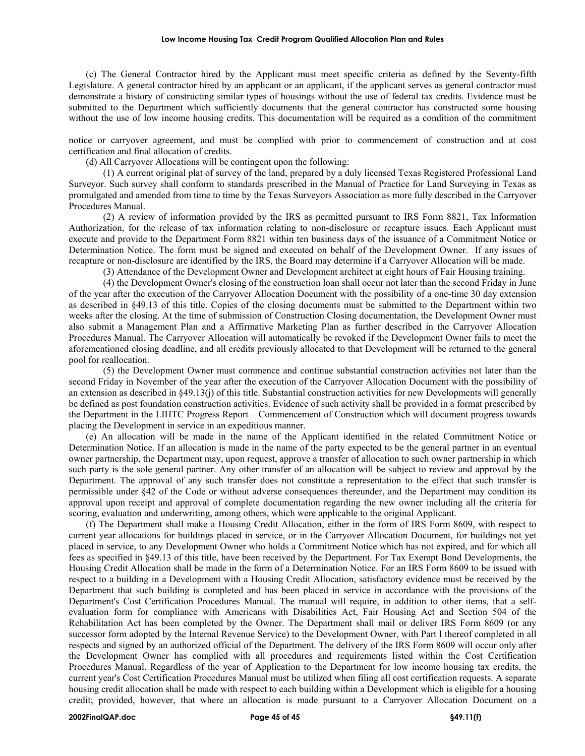#### **Low Income Housing Tax Credit Program Qualified Allocation Plan and Rules**

(c) The General Contractor hired by the Applicant must meet specific criteria as defined by the Seventy-fifth Legislature. A general contractor hired by an applicant or an applicant, if the applicant serves as general contractor must demonstrate a history of constructing similar types of housings without the use of federal tax credits. Evidence must be submitted to the Department which sufficiently documents that the general contractor has constructed some housing without the use of low income housing credits. This documentation will be required as a condition of the commitment

notice or carryover agreement, and must be complied with prior to commencement of construction and at cost certification and final allocation of credits.

(d) All Carryover Allocations will be contingent upon the following:

(1) A current original plat of survey of the land, prepared by a duly licensed Texas Registered Professional Land Surveyor. Such survey shall conform to standards prescribed in the Manual of Practice for Land Surveying in Texas as promulgated and amended from time to time by the Texas Surveyors Association as more fully described in the Carryover Procedures Manual.

(2) A review of information provided by the IRS as permitted pursuant to IRS Form 8821, Tax Information Authorization, for the release of tax information relating to non-disclosure or recapture issues. Each Applicant must execute and provide to the Department Form 8821 within ten business days of the issuance of a Commitment Notice or Determination Notice. The form must be signed and executed on behalf of the Development Owner. If any issues of recapture or non-disclosure are identified by the IRS, the Board may determine if a Carryover Allocation will be made.

(3) Attendance of the Development Owner and Development architect at eight hours of Fair Housing training.

(4) the Development Owner's closing of the construction loan shall occur not later than the second Friday in June of the year after the execution of the Carryover Allocation Document with the possibility of a one-time 30 day extension as described in §49.13 of this title. Copies of the closing documents must be submitted to the Department within two weeks after the closing. At the time of submission of Construction Closing documentation, the Development Owner must also submit a Management Plan and a Affirmative Marketing Plan as further described in the Carryover Allocation Procedures Manual. The Carryover Allocation will automatically be revoked if the Development Owner fails to meet the aforementioned closing deadline, and all credits previously allocated to that Development will be returned to the general pool for reallocation.

(5) the Development Owner must commence and continue substantial construction activities not later than the second Friday in November of the year after the execution of the Carryover Allocation Document with the possibility of an extension as described in §49.13(j) of this title. Substantial construction activities for new Developments will generally be defined as post foundation construction activities. Evidence of such activity shall be provided in a format prescribed by the Department in the LIHTC Progress Report – Commencement of Construction which will document progress towards placing the Development in service in an expeditious manner.

(e) An allocation will be made in the name of the Applicant identified in the related Commitment Notice or Determination Notice. If an allocation is made in the name of the party expected to be the general partner in an eventual owner partnership, the Department may, upon request, approve a transfer of allocation to such owner partnership in which such party is the sole general partner. Any other transfer of an allocation will be subject to review and approval by the Department. The approval of any such transfer does not constitute a representation to the effect that such transfer is permissible under §42 of the Code or without adverse consequences thereunder, and the Department may condition its approval upon receipt and approval of complete documentation regarding the new owner including all the criteria for scoring, evaluation and underwriting, among others, which were applicable to the original Applicant.

(f) The Department shall make a Housing Credit Allocation, either in the form of IRS Form 8609, with respect to current year allocations for buildings placed in service, or in the Carryover Allocation Document, for buildings not yet placed in service, to any Development Owner who holds a Commitment Notice which has not expired, and for which all fees as specified in §49.13 of this title, have been received by the Department. For Tax Exempt Bond Developments, the Housing Credit Allocation shall be made in the form of a Determination Notice. For an IRS Form 8609 to be issued with respect to a building in a Development with a Housing Credit Allocation, satisfactory evidence must be received by the Department that such building is completed and has been placed in service in accordance with the provisions of the Department's Cost Certification Procedures Manual. The manual will require, in addition to other items, that a selfevaluation form for compliance with Americans with Disabilities Act, Fair Housing Act and Section 504 of the Rehabilitation Act has been completed by the Owner. The Department shall mail or deliver IRS Form 8609 (or any successor form adopted by the Internal Revenue Service) to the Development Owner, with Part I thereof completed in all respects and signed by an authorized official of the Department. The delivery of the IRS Form 8609 will occur only after the Development Owner has complied with all procedures and requirements listed within the Cost Certification Procedures Manual. Regardless of the year of Application to the Department for low income housing tax credits, the current year's Cost Certification Procedures Manual must be utilized when filing all cost certification requests. A separate housing credit allocation shall be made with respect to each building within a Development which is eligible for a housing credit; provided, however, that where an allocation is made pursuant to a Carryover Allocation Document on a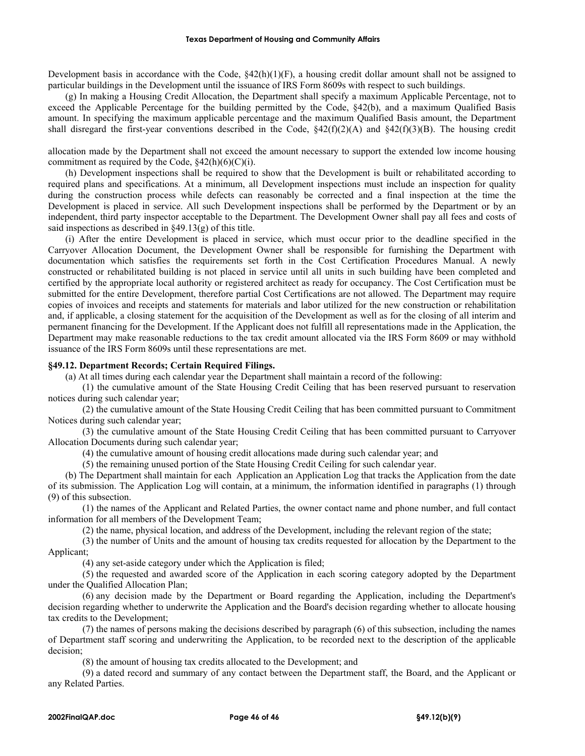Development basis in accordance with the Code,  $\S42(h)(1)(F)$ , a housing credit dollar amount shall not be assigned to particular buildings in the Development until the issuance of IRS Form 8609s with respect to such buildings.

(g) In making a Housing Credit Allocation, the Department shall specify a maximum Applicable Percentage, not to exceed the Applicable Percentage for the building permitted by the Code, §42(b), and a maximum Qualified Basis amount. In specifying the maximum applicable percentage and the maximum Qualified Basis amount, the Department shall disregard the first-year conventions described in the Code,  $\frac{242(f)(2)(A)}{2}$  and  $\frac{242(f)(3)(B)}{2}$ . The housing credit

allocation made by the Department shall not exceed the amount necessary to support the extended low income housing commitment as required by the Code,  $§42(h)(6)(C)(i)$ .

(h) Development inspections shall be required to show that the Development is built or rehabilitated according to required plans and specifications. At a minimum, all Development inspections must include an inspection for quality during the construction process while defects can reasonably be corrected and a final inspection at the time the Development is placed in service. All such Development inspections shall be performed by the Department or by an independent, third party inspector acceptable to the Department. The Development Owner shall pay all fees and costs of said inspections as described in §49.13(g) of this title.

(i) After the entire Development is placed in service, which must occur prior to the deadline specified in the Carryover Allocation Document, the Development Owner shall be responsible for furnishing the Department with documentation which satisfies the requirements set forth in the Cost Certification Procedures Manual. A newly constructed or rehabilitated building is not placed in service until all units in such building have been completed and certified by the appropriate local authority or registered architect as ready for occupancy. The Cost Certification must be submitted for the entire Development, therefore partial Cost Certifications are not allowed. The Department may require copies of invoices and receipts and statements for materials and labor utilized for the new construction or rehabilitation and, if applicable, a closing statement for the acquisition of the Development as well as for the closing of all interim and permanent financing for the Development. If the Applicant does not fulfill all representations made in the Application, the Department may make reasonable reductions to the tax credit amount allocated via the IRS Form 8609 or may withhold issuance of the IRS Form 8609s until these representations are met.

### **§49.12. Department Records; Certain Required Filings.**

(a) At all times during each calendar year the Department shall maintain a record of the following:

(1) the cumulative amount of the State Housing Credit Ceiling that has been reserved pursuant to reservation notices during such calendar year;

(2) the cumulative amount of the State Housing Credit Ceiling that has been committed pursuant to Commitment Notices during such calendar year;

(3) the cumulative amount of the State Housing Credit Ceiling that has been committed pursuant to Carryover Allocation Documents during such calendar year;

(4) the cumulative amount of housing credit allocations made during such calendar year; and

(5) the remaining unused portion of the State Housing Credit Ceiling for such calendar year.

(b) The Department shall maintain for each Application an Application Log that tracks the Application from the date of its submission. The Application Log will contain, at a minimum, the information identified in paragraphs (1) through (9) of this subsection.

(1) the names of the Applicant and Related Parties, the owner contact name and phone number, and full contact information for all members of the Development Team;

(2) the name, physical location, and address of the Development, including the relevant region of the state;

(3) the number of Units and the amount of housing tax credits requested for allocation by the Department to the Applicant;

(4) any set-aside category under which the Application is filed;

(5) the requested and awarded score of the Application in each scoring category adopted by the Department under the Qualified Allocation Plan;

(6) any decision made by the Department or Board regarding the Application, including the Department's decision regarding whether to underwrite the Application and the Board's decision regarding whether to allocate housing tax credits to the Development;

(7) the names of persons making the decisions described by paragraph (6) of this subsection, including the names of Department staff scoring and underwriting the Application, to be recorded next to the description of the applicable decision;

(8) the amount of housing tax credits allocated to the Development; and

(9) a dated record and summary of any contact between the Department staff, the Board, and the Applicant or any Related Parties.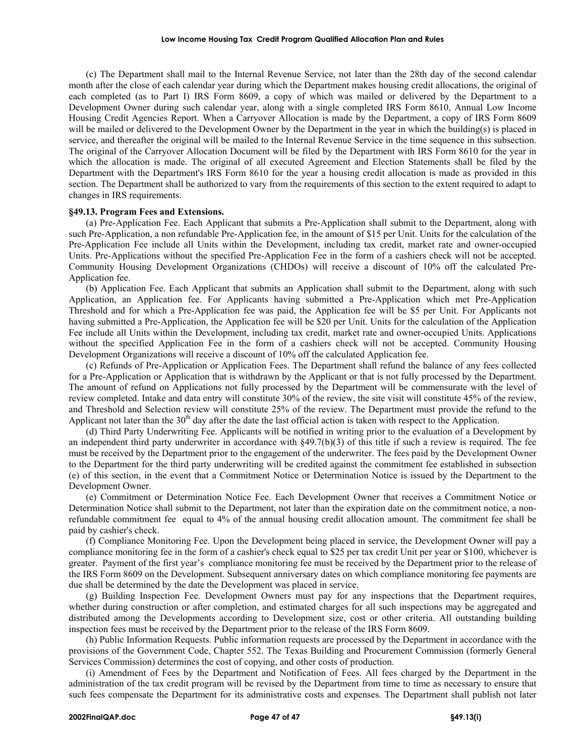(c) The Department shall mail to the Internal Revenue Service, not later than the 28th day of the second calendar month after the close of each calendar year during which the Department makes housing credit allocations, the original of each completed (as to Part I) IRS Form 8609, a copy of which was mailed or delivered by the Department to a Development Owner during such calendar year, along with a single completed IRS Form 8610, Annual Low Income Housing Credit Agencies Report. When a Carryover Allocation is made by the Department, a copy of IRS Form 8609 will be mailed or delivered to the Development Owner by the Department in the year in which the building(s) is placed in service, and thereafter the original will be mailed to the Internal Revenue Service in the time sequence in this subsection. The original of the Carryover Allocation Document will be filed by the Department with IRS Form 8610 for the year in which the allocation is made. The original of all executed Agreement and Election Statements shall be filed by the Department with the Department's IRS Form 8610 for the year a housing credit allocation is made as provided in this section. The Department shall be authorized to vary from the requirements of this section to the extent required to adapt to changes in IRS requirements.

### **§49.13. Program Fees and Extensions.**

(a) Pre-Application Fee. Each Applicant that submits a Pre-Application shall submit to the Department, along with such Pre-Application, a non refundable Pre-Application fee, in the amount of \$15 per Unit. Units for the calculation of the Pre-Application Fee include all Units within the Development, including tax credit, market rate and owner-occupied Units. Pre-Applications without the specified Pre-Application Fee in the form of a cashiers check will not be accepted. Community Housing Development Organizations (CHDOs) will receive a discount of 10% off the calculated Pre-Application fee.

(b) Application Fee. Each Applicant that submits an Application shall submit to the Department, along with such Application, an Application fee. For Applicants having submitted a Pre-Application which met Pre-Application Threshold and for which a Pre-Application fee was paid, the Application fee will be \$5 per Unit. For Applicants not having submitted a Pre-Application, the Application fee will be \$20 per Unit. Units for the calculation of the Application Fee include all Units within the Development, including tax credit, market rate and owner-occupied Units. Applications without the specified Application Fee in the form of a cashiers check will not be accepted. Community Housing Development Organizations will receive a discount of 10% off the calculated Application fee.

(c) Refunds of Pre-Application or Application Fees. The Department shall refund the balance of any fees collected for a Pre-Application or Application that is withdrawn by the Applicant or that is not fully processed by the Department. The amount of refund on Applications not fully processed by the Department will be commensurate with the level of review completed. Intake and data entry will constitute 30% of the review, the site visit will constitute 45% of the review, and Threshold and Selection review will constitute 25% of the review. The Department must provide the refund to the Applicant not later than the  $30<sup>th</sup>$  day after the date the last official action is taken with respect to the Application.

(d) Third Party Underwriting Fee. Applicants will be notified in writing prior to the evaluation of a Development by an independent third party underwriter in accordance with  $\S$ 49.7(b)(3) of this title if such a review is required. The fee must be received by the Department prior to the engagement of the underwriter. The fees paid by the Development Owner to the Department for the third party underwriting will be credited against the commitment fee established in subsection (e) of this section, in the event that a Commitment Notice or Determination Notice is issued by the Department to the Development Owner.

(e) Commitment or Determination Notice Fee. Each Development Owner that receives a Commitment Notice or Determination Notice shall submit to the Department, not later than the expiration date on the commitment notice, a nonrefundable commitment fee equal to 4% of the annual housing credit allocation amount. The commitment fee shall be paid by cashier's check.

(f) Compliance Monitoring Fee. Upon the Development being placed in service, the Development Owner will pay a compliance monitoring fee in the form of a cashier's check equal to \$25 per tax credit Unit per year or \$100, whichever is greater. Payment of the first year's compliance monitoring fee must be received by the Department prior to the release of the IRS Form 8609 on the Development. Subsequent anniversary dates on which compliance monitoring fee payments are due shall be determined by the date the Development was placed in service.

(g) Building Inspection Fee. Development Owners must pay for any inspections that the Department requires, whether during construction or after completion, and estimated charges for all such inspections may be aggregated and distributed among the Developments according to Development size, cost or other criteria. All outstanding building inspection fees must be received by the Department prior to the release of the IRS Form 8609.

(h) Public Information Requests. Public information requests are processed by the Department in accordance with the provisions of the Government Code, Chapter 552. The Texas Building and Procurement Commission (formerly General Services Commission) determines the cost of copying, and other costs of production.

(i) Amendment of Fees by the Department and Notification of Fees. All fees charged by the Department in the administration of the tax credit program will be revised by the Department from time to time as necessary to ensure that such fees compensate the Department for its administrative costs and expenses. The Department shall publish not later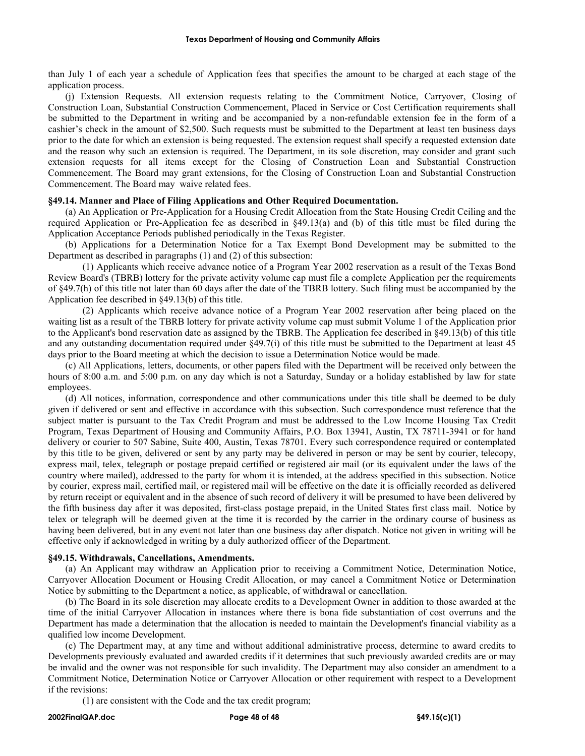than July 1 of each year a schedule of Application fees that specifies the amount to be charged at each stage of the application process.

(j) Extension Requests. All extension requests relating to the Commitment Notice, Carryover, Closing of Construction Loan, Substantial Construction Commencement, Placed in Service or Cost Certification requirements shall be submitted to the Department in writing and be accompanied by a non-refundable extension fee in the form of a cashier's check in the amount of \$2,500. Such requests must be submitted to the Department at least ten business days prior to the date for which an extension is being requested. The extension request shall specify a requested extension date and the reason why such an extension is required. The Department, in its sole discretion, may consider and grant such extension requests for all items except for the Closing of Construction Loan and Substantial Construction Commencement. The Board may grant extensions, for the Closing of Construction Loan and Substantial Construction Commencement. The Board may waive related fees.

# **§49.14. Manner and Place of Filing Applications and Other Required Documentation.**

(a) An Application or Pre-Application for a Housing Credit Allocation from the State Housing Credit Ceiling and the required Application or Pre-Application fee as described in §49.13(a) and (b) of this title must be filed during the Application Acceptance Periods published periodically in the Texas Register.

(b) Applications for a Determination Notice for a Tax Exempt Bond Development may be submitted to the Department as described in paragraphs (1) and (2) of this subsection:

(1) Applicants which receive advance notice of a Program Year 2002 reservation as a result of the Texas Bond Review Board's (TBRB) lottery for the private activity volume cap must file a complete Application per the requirements of §49.7(h) of this title not later than 60 days after the date of the TBRB lottery. Such filing must be accompanied by the Application fee described in §49.13(b) of this title.

(2) Applicants which receive advance notice of a Program Year 2002 reservation after being placed on the waiting list as a result of the TBRB lottery for private activity volume cap must submit Volume 1 of the Application prior to the Applicant's bond reservation date as assigned by the TBRB. The Application fee described in §49.13(b) of this title and any outstanding documentation required under §49.7(i) of this title must be submitted to the Department at least 45 days prior to the Board meeting at which the decision to issue a Determination Notice would be made.

(c) All Applications, letters, documents, or other papers filed with the Department will be received only between the hours of 8:00 a.m. and 5:00 p.m. on any day which is not a Saturday, Sunday or a holiday established by law for state employees.

(d) All notices, information, correspondence and other communications under this title shall be deemed to be duly given if delivered or sent and effective in accordance with this subsection. Such correspondence must reference that the subject matter is pursuant to the Tax Credit Program and must be addressed to the Low Income Housing Tax Credit Program, Texas Department of Housing and Community Affairs, P.O. Box 13941, Austin, TX 78711-3941 or for hand delivery or courier to 507 Sabine, Suite 400, Austin, Texas 78701. Every such correspondence required or contemplated by this title to be given, delivered or sent by any party may be delivered in person or may be sent by courier, telecopy, express mail, telex, telegraph or postage prepaid certified or registered air mail (or its equivalent under the laws of the country where mailed), addressed to the party for whom it is intended, at the address specified in this subsection. Notice by courier, express mail, certified mail, or registered mail will be effective on the date it is officially recorded as delivered by return receipt or equivalent and in the absence of such record of delivery it will be presumed to have been delivered by the fifth business day after it was deposited, first-class postage prepaid, in the United States first class mail. Notice by telex or telegraph will be deemed given at the time it is recorded by the carrier in the ordinary course of business as having been delivered, but in any event not later than one business day after dispatch. Notice not given in writing will be effective only if acknowledged in writing by a duly authorized officer of the Department.

## **§49.15. Withdrawals, Cancellations, Amendments.**

(a) An Applicant may withdraw an Application prior to receiving a Commitment Notice, Determination Notice, Carryover Allocation Document or Housing Credit Allocation, or may cancel a Commitment Notice or Determination Notice by submitting to the Department a notice, as applicable, of withdrawal or cancellation.

(b) The Board in its sole discretion may allocate credits to a Development Owner in addition to those awarded at the time of the initial Carryover Allocation in instances where there is bona fide substantiation of cost overruns and the Department has made a determination that the allocation is needed to maintain the Development's financial viability as a qualified low income Development.

(c) The Department may, at any time and without additional administrative process, determine to award credits to Developments previously evaluated and awarded credits if it determines that such previously awarded credits are or may be invalid and the owner was not responsible for such invalidity. The Department may also consider an amendment to a Commitment Notice, Determination Notice or Carryover Allocation or other requirement with respect to a Development if the revisions:

(1) are consistent with the Code and the tax credit program;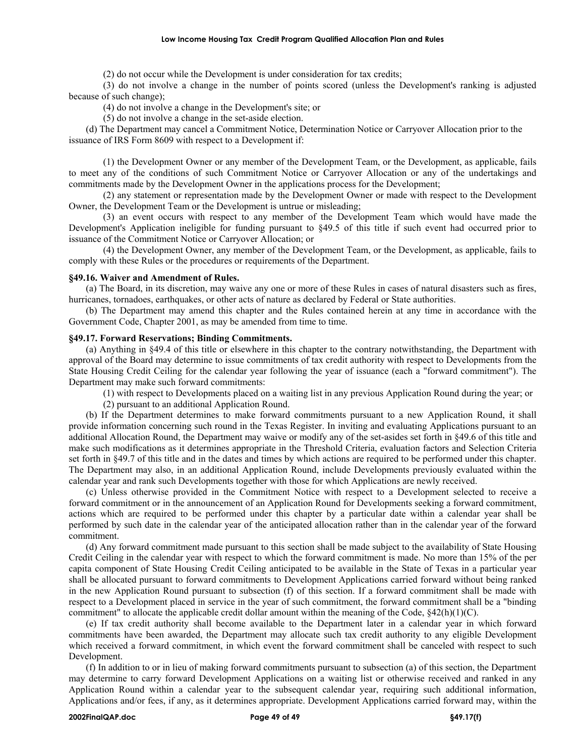#### **Low Income Housing Tax Credit Program Qualified Allocation Plan and Rules**

(2) do not occur while the Development is under consideration for tax credits;

(3) do not involve a change in the number of points scored (unless the Development's ranking is adjusted because of such change);

(4) do not involve a change in the Development's site; or

(5) do not involve a change in the set-aside election.

(d) The Department may cancel a Commitment Notice, Determination Notice or Carryover Allocation prior to the issuance of IRS Form 8609 with respect to a Development if:

(1) the Development Owner or any member of the Development Team, or the Development, as applicable, fails to meet any of the conditions of such Commitment Notice or Carryover Allocation or any of the undertakings and commitments made by the Development Owner in the applications process for the Development;

(2) any statement or representation made by the Development Owner or made with respect to the Development Owner, the Development Team or the Development is untrue or misleading;

(3) an event occurs with respect to any member of the Development Team which would have made the Development's Application ineligible for funding pursuant to §49.5 of this title if such event had occurred prior to issuance of the Commitment Notice or Carryover Allocation; or

(4) the Development Owner, any member of the Development Team, or the Development, as applicable, fails to comply with these Rules or the procedures or requirements of the Department.

## **§49.16. Waiver and Amendment of Rules.**

(a) The Board, in its discretion, may waive any one or more of these Rules in cases of natural disasters such as fires, hurricanes, tornadoes, earthquakes, or other acts of nature as declared by Federal or State authorities.

(b) The Department may amend this chapter and the Rules contained herein at any time in accordance with the Government Code, Chapter 2001, as may be amended from time to time.

## **§49.17. Forward Reservations; Binding Commitments.**

(a) Anything in §49.4 of this title or elsewhere in this chapter to the contrary notwithstanding, the Department with approval of the Board may determine to issue commitments of tax credit authority with respect to Developments from the State Housing Credit Ceiling for the calendar year following the year of issuance (each a "forward commitment"). The Department may make such forward commitments:

(1) with respect to Developments placed on a waiting list in any previous Application Round during the year; or

(2) pursuant to an additional Application Round.

(b) If the Department determines to make forward commitments pursuant to a new Application Round, it shall provide information concerning such round in the Texas Register. In inviting and evaluating Applications pursuant to an additional Allocation Round, the Department may waive or modify any of the set-asides set forth in §49.6 of this title and make such modifications as it determines appropriate in the Threshold Criteria, evaluation factors and Selection Criteria set forth in §49.7 of this title and in the dates and times by which actions are required to be performed under this chapter. The Department may also, in an additional Application Round, include Developments previously evaluated within the calendar year and rank such Developments together with those for which Applications are newly received.

(c) Unless otherwise provided in the Commitment Notice with respect to a Development selected to receive a forward commitment or in the announcement of an Application Round for Developments seeking a forward commitment, actions which are required to be performed under this chapter by a particular date within a calendar year shall be performed by such date in the calendar year of the anticipated allocation rather than in the calendar year of the forward commitment.

(d) Any forward commitment made pursuant to this section shall be made subject to the availability of State Housing Credit Ceiling in the calendar year with respect to which the forward commitment is made. No more than 15% of the per capita component of State Housing Credit Ceiling anticipated to be available in the State of Texas in a particular year shall be allocated pursuant to forward commitments to Development Applications carried forward without being ranked in the new Application Round pursuant to subsection (f) of this section. If a forward commitment shall be made with respect to a Development placed in service in the year of such commitment, the forward commitment shall be a "binding commitment" to allocate the applicable credit dollar amount within the meaning of the Code,  $\S42(h)(1)(C)$ .

(e) If tax credit authority shall become available to the Department later in a calendar year in which forward commitments have been awarded, the Department may allocate such tax credit authority to any eligible Development which received a forward commitment, in which event the forward commitment shall be canceled with respect to such Development.

(f) In addition to or in lieu of making forward commitments pursuant to subsection (a) of this section, the Department may determine to carry forward Development Applications on a waiting list or otherwise received and ranked in any Application Round within a calendar year to the subsequent calendar year, requiring such additional information, Applications and/or fees, if any, as it determines appropriate. Development Applications carried forward may, within the